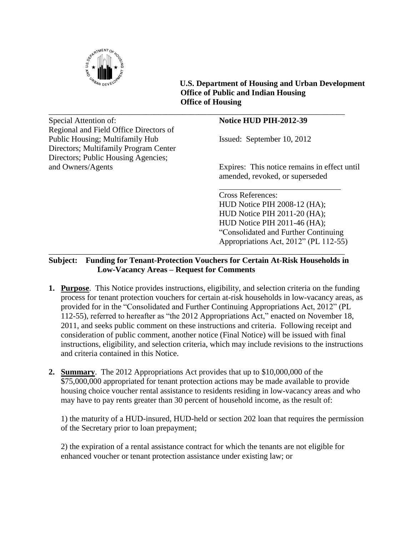

 **U.S. Department of Housing and Urban Development Office of Public and Indian Housing Office of Housing**

\_\_\_\_\_\_\_\_\_\_\_\_\_\_\_\_\_\_\_\_\_\_\_\_\_\_\_\_\_\_\_\_\_\_\_\_\_\_\_\_\_\_\_\_\_\_\_\_\_\_\_\_\_\_\_\_\_\_\_\_\_\_\_\_\_\_\_\_\_\_\_\_\_ Special Attention of: **Notice HUD PIH-2012-39** Regional and Field Office Directors of Public Housing; Multifamily Hub Issued: September 10, 2012 Directors; Multifamily Program Center Directors; Public Housing Agencies;

and Owners/Agents Expires: This notice remains in effect until amended, revoked, or superseded

> Cross References: HUD Notice PIH 2008-12 (HA); HUD Notice PIH 2011-20 (HA); HUD Notice PIH 2011-46 (HA); "Consolidated and Further Continuing Appropriations Act, 2012" (PL 112-55)

# \_\_\_\_\_\_\_\_\_\_\_\_\_\_\_\_\_\_\_\_\_\_\_\_\_\_\_\_\_\_\_\_\_\_\_\_\_\_\_\_\_\_\_\_\_\_\_\_\_\_\_\_\_\_\_\_\_\_\_\_\_\_\_\_\_\_\_\_\_\_\_\_\_ **Subject: Funding for Tenant-Protection Vouchers for Certain At-Risk Households in Low-Vacancy Areas – Request for Comments**

- **1. Purpose**. This Notice provides instructions, eligibility, and selection criteria on the funding process for tenant protection vouchers for certain at-risk households in low-vacancy areas, as provided for in the "Consolidated and Further Continuing Appropriations Act, 2012" (PL 112-55), referred to hereafter as "the 2012 Appropriations Act," enacted on November 18, 2011, and seeks public comment on these instructions and criteria. Following receipt and consideration of public comment, another notice (Final Notice) will be issued with final instructions, eligibility, and selection criteria, which may include revisions to the instructions and criteria contained in this Notice.
- **2. Summary**. The 2012 Appropriations Act provides that up to \$10,000,000 of the \$75,000,000 appropriated for tenant protection actions may be made available to provide housing choice voucher rental assistance to residents residing in low-vacancy areas and who may have to pay rents greater than 30 percent of household income, as the result of:

1) the maturity of a HUD-insured, HUD-held or section 202 loan that requires the permission of the Secretary prior to loan prepayment;

2) the expiration of a rental assistance contract for which the tenants are not eligible for enhanced voucher or tenant protection assistance under existing law; or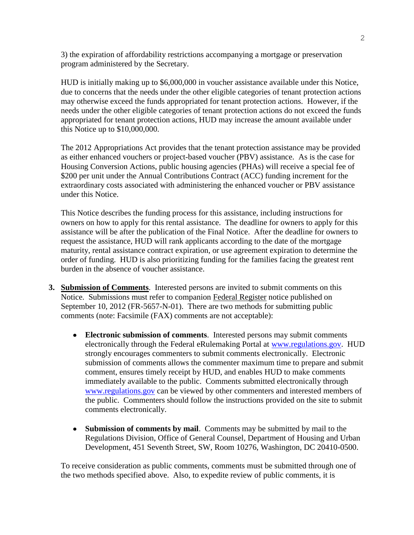3) the expiration of affordability restrictions accompanying a mortgage or preservation program administered by the Secretary.

HUD is initially making up to \$6,000,000 in voucher assistance available under this Notice, due to concerns that the needs under the other eligible categories of tenant protection actions may otherwise exceed the funds appropriated for tenant protection actions. However, if the needs under the other eligible categories of tenant protection actions do not exceed the funds appropriated for tenant protection actions, HUD may increase the amount available under this Notice up to \$10,000,000.

The 2012 Appropriations Act provides that the tenant protection assistance may be provided as either enhanced vouchers or project-based voucher (PBV) assistance. As is the case for Housing Conversion Actions, public housing agencies (PHAs) will receive a special fee of \$200 per unit under the Annual Contributions Contract (ACC) funding increment for the extraordinary costs associated with administering the enhanced voucher or PBV assistance under this Notice.

This Notice describes the funding process for this assistance, including instructions for owners on how to apply for this rental assistance. The deadline for owners to apply for this assistance will be after the publication of the Final Notice. After the deadline for owners to request the assistance, HUD will rank applicants according to the date of the mortgage maturity, rental assistance contract expiration, or use agreement expiration to determine the order of funding. HUD is also prioritizing funding for the families facing the greatest rent burden in the absence of voucher assistance.

- **3. Submission of Comments**. Interested persons are invited to submit comments on this Notice. Submissions must refer to companion Federal Register notice published on September 10, 2012 (FR-5657-N-01). There are two methods for submitting public comments (note: Facsimile (FAX) comments are not acceptable):
	- **Electronic submission of comments**. Interested persons may submit comments electronically through the Federal eRulemaking Portal at [www.regulations.gov.](http://www.regulations.gov/) HUD strongly encourages commenters to submit comments electronically. Electronic submission of comments allows the commenter maximum time to prepare and submit comment, ensures timely receipt by HUD, and enables HUD to make comments immediately available to the public. Comments submitted electronically through [www.regulations.gov](http://www.regulations.gov/) can be viewed by other commenters and interested members of the public. Commenters should follow the instructions provided on the site to submit comments electronically.
	- **Submission of comments by mail**. Comments may be submitted by mail to the Regulations Division, Office of General Counsel, Department of Housing and Urban Development, 451 Seventh Street, SW, Room 10276, Washington, DC 20410-0500.

To receive consideration as public comments, comments must be submitted through one of the two methods specified above. Also, to expedite review of public comments, it is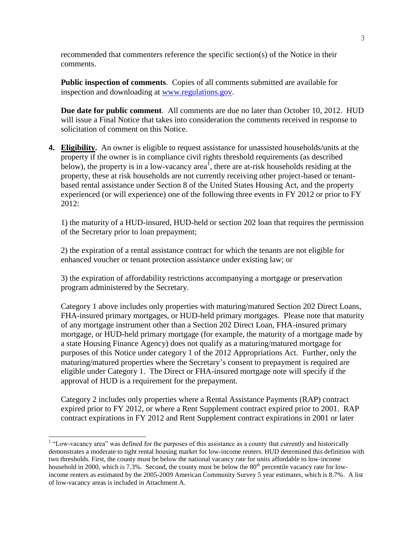recommended that commenters reference the specific section(s) of the Notice in their comments.

**Public inspection of comments**. Copies of all comments submitted are available for inspection and downloading at [www.regulations.gov.](http://www.regulations.gov/)

**Due date for public comment**. All comments are due no later than October 10, 2012. HUD will issue a Final Notice that takes into consideration the comments received in response to solicitation of comment on this Notice.

**4. Eligibility.** An owner is eligible to request assistance for unassisted households/units at the property if the owner is in compliance civil rights threshold requirements (as described below), the property is in a low-vacancy area<sup> $\overline{1}$ </sup>, there are at-risk households residing at the property, these at risk households are not currently receiving other project-based or tenantbased rental assistance under Section 8 of the United States Housing Act, and the property experienced (or will experience) one of the following three events in FY 2012 or prior to FY 2012:

1) the maturity of a HUD-insured, HUD-held or section 202 loan that requires the permission of the Secretary prior to loan prepayment;

2) the expiration of a rental assistance contract for which the tenants are not eligible for enhanced voucher or tenant protection assistance under existing law; or

3) the expiration of affordability restrictions accompanying a mortgage or preservation program administered by the Secretary.

Category 1 above includes only properties with maturing/matured Section 202 Direct Loans, FHA-insured primary mortgages, or HUD-held primary mortgages. Please note that maturity of any mortgage instrument other than a Section 202 Direct Loan, FHA-insured primary mortgage, or HUD-held primary mortgage (for example, the maturity of a mortgage made by a state Housing Finance Agency) does not qualify as a maturing/matured mortgage for purposes of this Notice under category 1 of the 2012 Appropriations Act. Further, only the maturing/matured properties where the Secretary's consent to prepayment is required are eligible under Category 1. The Direct or FHA-insured mortgage note will specify if the approval of HUD is a requirement for the prepayment.

Category 2 includes only properties where a Rental Assistance Payments (RAP) contract expired prior to FY 2012, or where a Rent Supplement contract expired prior to 2001. RAP contract expirations in FY 2012 and Rent Supplement contract expirations in 2001 or later

<sup>&</sup>lt;sup>1</sup> "Low-vacancy area" was defined for the purposes of this assistance as a county that currently and historically demonstrates a moderate to tight rental housing market for low-income renters. HUD determined this definition with two thresholds. First, the county must be below the national vacancy rate for units affordable to low-income household in 2000, which is 7.3%. Second, the county must be below the  $80<sup>th</sup>$  percentile vacancy rate for lowincome renters as estimated by the 2005-2009 American Community Survey 5 year estimates, which is 8.7%. A list of low-vacancy areas is included in Attachment A.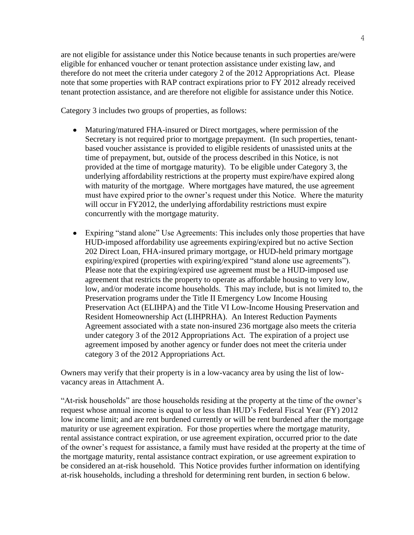4

are not eligible for assistance under this Notice because tenants in such properties are/were eligible for enhanced voucher or tenant protection assistance under existing law, and therefore do not meet the criteria under category 2 of the 2012 Appropriations Act. Please note that some properties with RAP contract expirations prior to FY 2012 already received tenant protection assistance, and are therefore not eligible for assistance under this Notice.

Category 3 includes two groups of properties, as follows:

- Maturing/matured FHA-insured or Direct mortgages, where permission of the Secretary is not required prior to mortgage prepayment. (In such properties, tenantbased voucher assistance is provided to eligible residents of unassisted units at the time of prepayment, but, outside of the process described in this Notice, is not provided at the time of mortgage maturity). To be eligible under Category 3, the underlying affordability restrictions at the property must expire/have expired along with maturity of the mortgage. Where mortgages have matured, the use agreement must have expired prior to the owner's request under this Notice. Where the maturity will occur in FY2012, the underlying affordability restrictions must expire concurrently with the mortgage maturity.
- Expiring "stand alone" Use Agreements: This includes only those properties that have HUD-imposed affordability use agreements expiring/expired but no active Section 202 Direct Loan, FHA-insured primary mortgage, or HUD-held primary mortgage expiring/expired (properties with expiring/expired "stand alone use agreements"). Please note that the expiring/expired use agreement must be a HUD-imposed use agreement that restricts the property to operate as affordable housing to very low, low, and/or moderate income households. This may include, but is not limited to, the Preservation programs under the Title II Emergency Low Income Housing Preservation Act (ELIHPA) and the Title VI Low-Income Housing Preservation and Resident Homeownership Act (LIHPRHA). An Interest Reduction Payments Agreement associated with a state non-insured 236 mortgage also meets the criteria under category 3 of the 2012 Appropriations Act. The expiration of a project use agreement imposed by another agency or funder does not meet the criteria under category 3 of the 2012 Appropriations Act.

Owners may verify that their property is in a low-vacancy area by using the list of lowvacancy areas in Attachment A.

"At-risk households" are those households residing at the property at the time of the owner's request whose annual income is equal to or less than HUD's Federal Fiscal Year (FY) 2012 low income limit; and are rent burdened currently or will be rent burdened after the mortgage maturity or use agreement expiration. For those properties where the mortgage maturity, rental assistance contract expiration, or use agreement expiration, occurred prior to the date of the owner's request for assistance, a family must have resided at the property at the time of the mortgage maturity, rental assistance contract expiration, or use agreement expiration to be considered an at-risk household. This Notice provides further information on identifying at-risk households, including a threshold for determining rent burden, in section 6 below.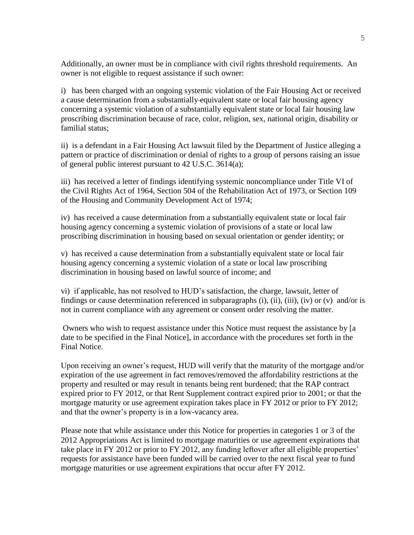Additionally, an owner must be in compliance with civil rights threshold requirements. An owner is not eligible to request assistance if such owner:

i) has been charged with an ongoing systemic violation of the Fair Housing Act or received a cause determination from a substantially equivalent state or local fair housing agency concerning a systemic violation of a substantially equivalent state or local fair housing law proscribing discrimination because of race, color, religion, sex, national origin, disability or familial status;

ii) is a defendant in a Fair Housing Act lawsuit filed by the Department of Justice alleging a pattern or practice of discrimination or denial of rights to a group of persons raising an issue of general public interest pursuant to 42 U.S.C. 3614(a);

iii) has received a letter of findings identifying systemic noncompliance under Title VI of the Civil Rights Act of 1964, Section 504 of the Rehabilitation Act of 1973, or Section 109 of the Housing and Community Development Act of 1974;

iv) has received a cause determination from a substantially equivalent state or local fair housing agency concerning a systemic violation of provisions of a state or local law proscribing discrimination in housing based on sexual orientation or gender identity; or

v) has received a cause determination from a substantially equivalent state or local fair housing agency concerning a systemic violation of a state or local law proscribing discrimination in housing based on lawful source of income; and

vi) if applicable, has not resolved to HUD's satisfaction, the charge, lawsuit, letter of findings or cause determination referenced in subparagraphs (i), (ii), (iii), (iv) or (v) and/or is not in current compliance with any agreement or consent order resolving the matter.

Owners who wish to request assistance under this Notice must request the assistance by [a date to be specified in the Final Notice], in accordance with the procedures set forth in the Final Notice.

Upon receiving an owner's request, HUD will verify that the maturity of the mortgage and/or expiration of the use agreement in fact removes/removed the affordability restrictions at the property and resulted or may result in tenants being rent burdened; that the RAP contract expired prior to FY 2012, or that Rent Supplement contract expired prior to 2001; or that the mortgage maturity or use agreement expiration takes place in FY 2012 or prior to FY 2012; and that the owner's property is in a low-vacancy area.

Please note that while assistance under this Notice for properties in categories 1 or 3 of the 2012 Appropriations Act is limited to mortgage maturities or use agreement expirations that take place in FY 2012 or prior to FY 2012, any funding leftover after all eligible properties' requests for assistance have been funded will be carried over to the next fiscal year to fund mortgage maturities or use agreement expirations that occur after FY 2012.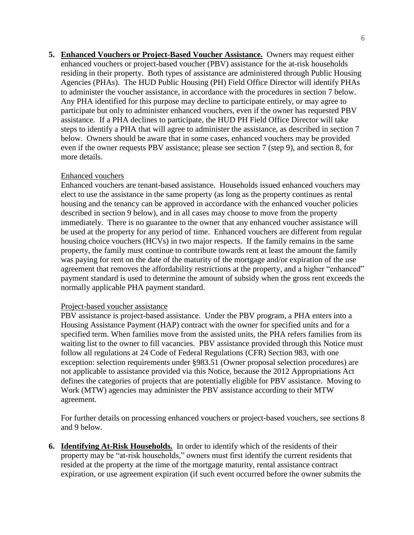**5. Enhanced Vouchers or Project-Based Voucher Assistance.** Owners may request either enhanced vouchers or project-based voucher (PBV) assistance for the at-risk households residing in their property. Both types of assistance are administered through Public Housing Agencies (PHAs). The HUD Public Housing (PH) Field Office Director will identify PHAs to administer the voucher assistance, in accordance with the procedures in section 7 below. Any PHA identified for this purpose may decline to participate entirely, or may agree to participate but only to administer enhanced vouchers, even if the owner has requested PBV assistance. If a PHA declines to participate, the HUD PH Field Office Director will take steps to identify a PHA that will agree to administer the assistance, as described in section 7 below. Owners should be aware that in some cases, enhanced vouchers may be provided even if the owner requests PBV assistance; please see section 7 (step 9), and section 8, for more details.

## Enhanced vouchers

Enhanced vouchers are tenant-based assistance. Households issued enhanced vouchers may elect to use the assistance in the same property (as long as the property continues as rental housing and the tenancy can be approved in accordance with the enhanced voucher policies described in section 9 below), and in all cases may choose to move from the property immediately. There is no guarantee to the owner that any enhanced voucher assistance will be used at the property for any period of time. Enhanced vouchers are different from regular housing choice vouchers (HCVs) in two major respects. If the family remains in the same property, the family must continue to contribute towards rent at least the amount the family was paying for rent on the date of the maturity of the mortgage and/or expiration of the use agreement that removes the affordability restrictions at the property, and a higher "enhanced" payment standard is used to determine the amount of subsidy when the gross rent exceeds the normally applicable PHA payment standard.

#### Project-based voucher assistance

PBV assistance is project-based assistance. Under the PBV program, a PHA enters into a Housing Assistance Payment (HAP) contract with the owner for specified units and for a specified term. When families move from the assisted units, the PHA refers families from its waiting list to the owner to fill vacancies. PBV assistance provided through this Notice must follow all regulations at 24 Code of Federal Regulations (CFR) Section 983, with one exception: selection requirements under §983.51 (Owner proposal selection procedures) are not applicable to assistance provided via this Notice, because the 2012 Appropriations Act defines the categories of projects that are potentially eligible for PBV assistance. Moving to Work (MTW) agencies may administer the PBV assistance according to their MTW agreement.

For further details on processing enhanced vouchers or project-based vouchers, see sections 8 and 9 below.

**6. Identifying At-Risk Households.** In order to identify which of the residents of their property may be "at-risk households," owners must first identify the current residents that resided at the property at the time of the mortgage maturity, rental assistance contract expiration, or use agreement expiration (if such event occurred before the owner submits the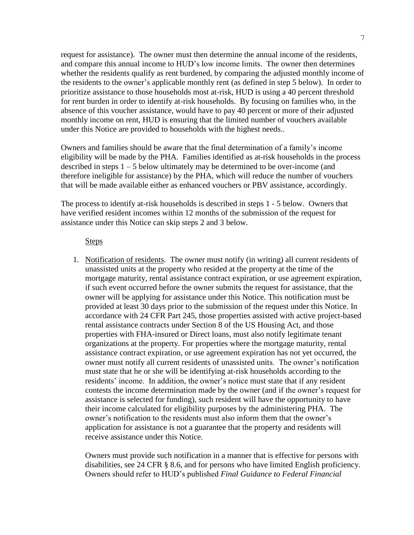request for assistance). The owner must then determine the annual income of the residents, and compare this annual income to HUD's low income limits. The owner then determines whether the residents qualify as rent burdened, by comparing the adjusted monthly income of the residents to the owner's applicable monthly rent (as defined in step 5 below). In order to prioritize assistance to those households most at-risk, HUD is using a 40 percent threshold for rent burden in order to identify at-risk households. By focusing on families who, in the absence of this voucher assistance, would have to pay 40 percent or more of their adjusted monthly income on rent, HUD is ensuring that the limited number of vouchers available under this Notice are provided to households with the highest needs..

Owners and families should be aware that the final determination of a family's income eligibility will be made by the PHA. Families identified as at-risk households in the process described in steps  $1 - 5$  below ultimately may be determined to be over-income (and therefore ineligible for assistance) by the PHA, which will reduce the number of vouchers that will be made available either as enhanced vouchers or PBV assistance, accordingly.

The process to identify at-risk households is described in steps 1 - 5 below. Owners that have verified resident incomes within 12 months of the submission of the request for assistance under this Notice can skip steps 2 and 3 below.

#### **Steps**

1. Notification of residents. The owner must notify (in writing) all current residents of unassisted units at the property who resided at the property at the time of the mortgage maturity, rental assistance contract expiration, or use agreement expiration, if such event occurred before the owner submits the request for assistance, that the owner will be applying for assistance under this Notice. This notification must be provided at least 30 days prior to the submission of the request under this Notice. In accordance with 24 CFR Part 245, those properties assisted with active project-based rental assistance contracts under Section 8 of the US Housing Act, and those properties with FHA-insured or Direct loans, must also notify legitimate tenant organizations at the property. For properties where the mortgage maturity, rental assistance contract expiration, or use agreement expiration has not yet occurred, the owner must notify all current residents of unassisted units. The owner's notification must state that he or she will be identifying at-risk households according to the residents' income. In addition, the owner's notice must state that if any resident contests the income determination made by the owner (and if the owner's request for assistance is selected for funding), such resident will have the opportunity to have their income calculated for eligibility purposes by the administering PHA. The owner's notification to the residents must also inform them that the owner's application for assistance is not a guarantee that the property and residents will receive assistance under this Notice.

Owners must provide such notification in a manner that is effective for persons with disabilities, see 24 CFR § 8.6, and for persons who have limited English proficiency. Owners should refer to HUD's published *Final Guidance to Federal Financial*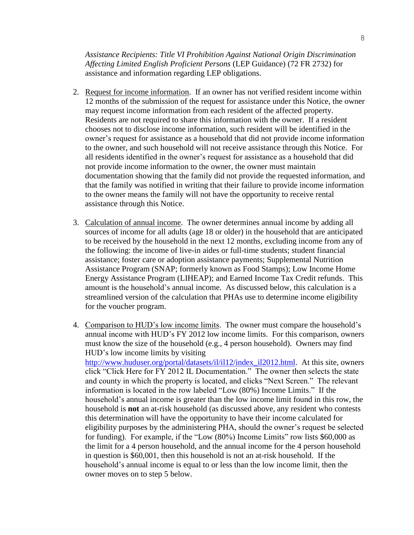*Assistance Recipients: Title VI Prohibition Against National Origin Discrimination Affecting Limited English Proficient Persons* (LEP Guidance) (72 FR 2732) for assistance and information regarding LEP obligations.

- 2. Request for income information. If an owner has not verified resident income within 12 months of the submission of the request for assistance under this Notice, the owner may request income information from each resident of the affected property. Residents are not required to share this information with the owner. If a resident chooses not to disclose income information, such resident will be identified in the owner's request for assistance as a household that did not provide income information to the owner, and such household will not receive assistance through this Notice. For all residents identified in the owner's request for assistance as a household that did not provide income information to the owner, the owner must maintain documentation showing that the family did not provide the requested information, and that the family was notified in writing that their failure to provide income information to the owner means the family will not have the opportunity to receive rental assistance through this Notice.
- 3. Calculation of annual income. The owner determines annual income by adding all sources of income for all adults (age 18 or older) in the household that are anticipated to be received by the household in the next 12 months, excluding income from any of the following: the income of live-in aides or full-time students; student financial assistance; foster care or adoption assistance payments; Supplemental Nutrition Assistance Program (SNAP; formerly known as Food Stamps); Low Income Home Energy Assistance Program (LIHEAP); and Earned Income Tax Credit refunds. This amount is the household's annual income. As discussed below, this calculation is a streamlined version of the calculation that PHAs use to determine income eligibility for the voucher program.
- 4. Comparison to HUD's low income limits. The owner must compare the household's annual income with HUD's FY 2012 low income limits. For this comparison, owners must know the size of the household (e.g., 4 person household). Owners may find HUD's low income limits by visiting [http://www.huduser.org/portal/datasets/il/il12/index\\_il2012.html.](http://www.huduser.org/portal/datasets/il/il12/index_il2012.html) At this site, owners click "Click Here for FY 2012 IL Documentation." The owner then selects the state and county in which the property is located, and clicks "Next Screen." The relevant information is located in the row labeled "Low (80%) Income Limits." If the household's annual income is greater than the low income limit found in this row, the household is **not** an at-risk household (as discussed above, any resident who contests this determination will have the opportunity to have their income calculated for eligibility purposes by the administering PHA, should the owner's request be selected for funding). For example, if the "Low (80%) Income Limits" row lists \$60,000 as the limit for a 4 person household, and the annual income for the 4 person household in question is \$60,001, then this household is not an at-risk household. If the household's annual income is equal to or less than the low income limit, then the owner moves on to step 5 below.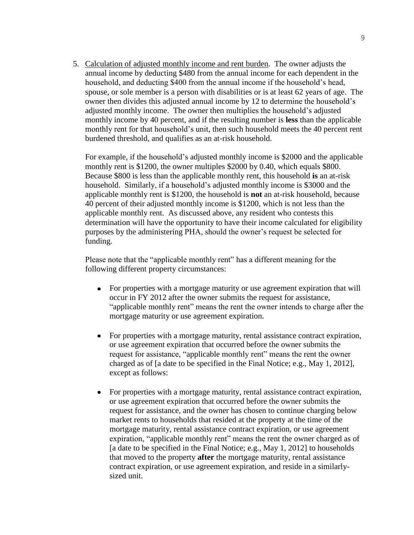5. Calculation of adjusted monthly income and rent burden. The owner adjusts the annual income by deducting \$480 from the annual income for each dependent in the household, and deducting \$400 from the annual income if the household's head, spouse, or sole member is a person with disabilities or is at least 62 years of age. The owner then divides this adjusted annual income by 12 to determine the household's adjusted monthly income. The owner then multiplies the household's adjusted monthly income by 40 percent, and if the resulting number is **less** than the applicable monthly rent for that household's unit, then such household meets the 40 percent rent burdened threshold, and qualifies as an at-risk household.

For example, if the household's adjusted monthly income is \$2000 and the applicable monthly rent is \$1200, the owner multiples \$2000 by 0.40, which equals \$800. Because \$800 is less than the applicable monthly rent, this household **is** an at-risk household. Similarly, if a household's adjusted monthly income is \$3000 and the applicable monthly rent is \$1200, the household is **not** an at-risk household, because 40 percent of their adjusted monthly income is \$1200, which is not less than the applicable monthly rent. As discussed above, any resident who contests this determination will have the opportunity to have their income calculated for eligibility purposes by the administering PHA, should the owner's request be selected for funding.

Please note that the "applicable monthly rent" has a different meaning for the following different property circumstances:

- For properties with a mortgage maturity or use agreement expiration that will occur in FY 2012 after the owner submits the request for assistance, "applicable monthly rent" means the rent the owner intends to charge after the mortgage maturity or use agreement expiration.
- For properties with a mortgage maturity, rental assistance contract expiration,  $\bullet$ or use agreement expiration that occurred before the owner submits the request for assistance, "applicable monthly rent" means the rent the owner charged as of [a date to be specified in the Final Notice; e.g., May 1, 2012], except as follows:
- For properties with a mortgage maturity, rental assistance contract expiration,  $\bullet$ or use agreement expiration that occurred before the owner submits the request for assistance, and the owner has chosen to continue charging below market rents to households that resided at the property at the time of the mortgage maturity, rental assistance contract expiration, or use agreement expiration, "applicable monthly rent" means the rent the owner charged as of [a date to be specified in the Final Notice; e.g., May 1, 2012] to households that moved to the property **after** the mortgage maturity, rental assistance contract expiration, or use agreement expiration, and reside in a similarlysized unit.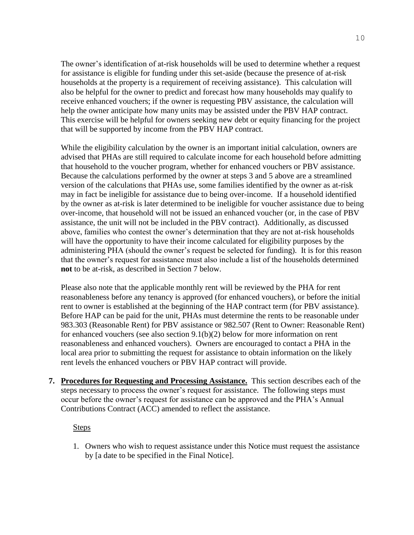The owner's identification of at-risk households will be used to determine whether a request for assistance is eligible for funding under this set-aside (because the presence of at-risk households at the property is a requirement of receiving assistance). This calculation will also be helpful for the owner to predict and forecast how many households may qualify to receive enhanced vouchers; if the owner is requesting PBV assistance, the calculation will help the owner anticipate how many units may be assisted under the PBV HAP contract. This exercise will be helpful for owners seeking new debt or equity financing for the project that will be supported by income from the PBV HAP contract.

While the eligibility calculation by the owner is an important initial calculation, owners are advised that PHAs are still required to calculate income for each household before admitting that household to the voucher program, whether for enhanced vouchers or PBV assistance. Because the calculations performed by the owner at steps 3 and 5 above are a streamlined version of the calculations that PHAs use, some families identified by the owner as at-risk may in fact be ineligible for assistance due to being over-income. If a household identified by the owner as at-risk is later determined to be ineligible for voucher assistance due to being over-income, that household will not be issued an enhanced voucher (or, in the case of PBV assistance, the unit will not be included in the PBV contract). Additionally, as discussed above, families who contest the owner's determination that they are not at-risk households will have the opportunity to have their income calculated for eligibility purposes by the administering PHA (should the owner's request be selected for funding). It is for this reason that the owner's request for assistance must also include a list of the households determined **not** to be at-risk, as described in Section 7 below.

Please also note that the applicable monthly rent will be reviewed by the PHA for rent reasonableness before any tenancy is approved (for enhanced vouchers), or before the initial rent to owner is established at the beginning of the HAP contract term (for PBV assistance). Before HAP can be paid for the unit, PHAs must determine the rents to be reasonable under 983.303 (Reasonable Rent) for PBV assistance or 982.507 (Rent to Owner: Reasonable Rent) for enhanced vouchers (see also section 9.1(b)(2) below for more information on rent reasonableness and enhanced vouchers). Owners are encouraged to contact a PHA in the local area prior to submitting the request for assistance to obtain information on the likely rent levels the enhanced vouchers or PBV HAP contract will provide.

**7. Procedures for Requesting and Processing Assistance.** This section describes each of the steps necessary to process the owner's request for assistance. The following steps must occur before the owner's request for assistance can be approved and the PHA's Annual Contributions Contract (ACC) amended to reflect the assistance.

## Steps

1. Owners who wish to request assistance under this Notice must request the assistance by [a date to be specified in the Final Notice].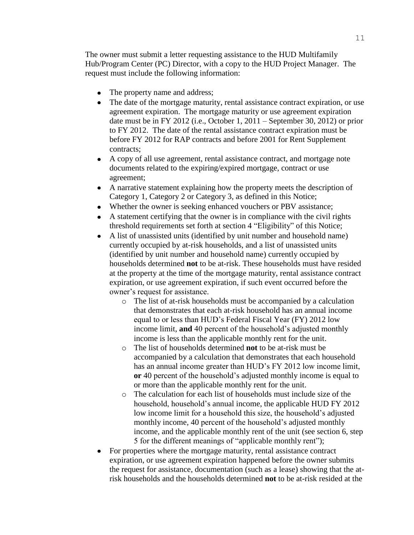The owner must submit a letter requesting assistance to the HUD Multifamily Hub/Program Center (PC) Director, with a copy to the HUD Project Manager. The request must include the following information:

- The property name and address;
- The date of the mortgage maturity, rental assistance contract expiration, or use  $\bullet$ agreement expiration. The mortgage maturity or use agreement expiration date must be in FY 2012 (i.e., October 1, 2011 – September 30, 2012) or prior to FY 2012. The date of the rental assistance contract expiration must be before FY 2012 for RAP contracts and before 2001 for Rent Supplement contracts;
- $\bullet$ A copy of all use agreement, rental assistance contract, and mortgage note documents related to the expiring/expired mortgage, contract or use agreement;
- A narrative statement explaining how the property meets the description of Category 1, Category 2 or Category 3, as defined in this Notice;
- Whether the owner is seeking enhanced vouchers or PBV assistance;
- A statement certifying that the owner is in compliance with the civil rights threshold requirements set forth at section 4 "Eligibility" of this Notice;
- A list of unassisted units (identified by unit number and household name)  $\bullet$ currently occupied by at-risk households, and a list of unassisted units (identified by unit number and household name) currently occupied by households determined **not** to be at-risk. These households must have resided at the property at the time of the mortgage maturity, rental assistance contract expiration, or use agreement expiration, if such event occurred before the owner's request for assistance.
	- o The list of at-risk households must be accompanied by a calculation that demonstrates that each at-risk household has an annual income equal to or less than HUD's Federal Fiscal Year (FY) 2012 low income limit, **and** 40 percent of the household's adjusted monthly income is less than the applicable monthly rent for the unit.
	- o The list of households determined **not** to be at-risk must be accompanied by a calculation that demonstrates that each household has an annual income greater than HUD's FY 2012 low income limit, **or** 40 percent of the household's adjusted monthly income is equal to or more than the applicable monthly rent for the unit.
	- o The calculation for each list of households must include size of the household, household's annual income, the applicable HUD FY 2012 low income limit for a household this size, the household's adjusted monthly income, 40 percent of the household's adjusted monthly income, and the applicable monthly rent of the unit (see section 6, step 5 for the different meanings of "applicable monthly rent");
- For properties where the mortgage maturity, rental assistance contract expiration, or use agreement expiration happened before the owner submits the request for assistance, documentation (such as a lease) showing that the atrisk households and the households determined **not** to be at-risk resided at the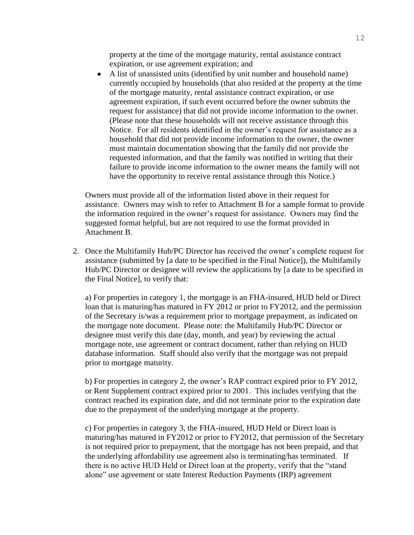property at the time of the mortgage maturity, rental assistance contract expiration, or use agreement expiration; and

A list of unassisted units (identified by unit number and household name)  $\bullet$ currently occupied by households (that also resided at the property at the time of the mortgage maturity, rental assistance contract expiration, or use agreement expiration, if such event occurred before the owner submits the request for assistance) that did not provide income information to the owner. (Please note that these households will not receive assistance through this Notice. For all residents identified in the owner's request for assistance as a household that did not provide income information to the owner, the owner must maintain documentation showing that the family did not provide the requested information, and that the family was notified in writing that their failure to provide income information to the owner means the family will not have the opportunity to receive rental assistance through this Notice.)

Owners must provide all of the information listed above in their request for assistance. Owners may wish to refer to Attachment B for a sample format to provide the information required in the owner's request for assistance. Owners may find the suggested format helpful, but are not required to use the format provided in Attachment B.

2. Once the Multifamily Hub/PC Director has received the owner's complete request for assistance (submitted by [a date to be specified in the Final Notice]), the Multifamily Hub/PC Director or designee will review the applications by [a date to be specified in the Final Notice], to verify that:

a) For properties in category 1, the mortgage is an FHA-insured, HUD held or Direct loan that is maturing/has matured in FY 2012 or prior to FY2012, and the permission of the Secretary is/was a requirement prior to mortgage prepayment, as indicated on the mortgage note document. Please note: the Multifamily Hub/PC Director or designee must verify this date (day, month, and year) by reviewing the actual mortgage note, use agreement or contract document, rather than relying on HUD database information. Staff should also verify that the mortgage was not prepaid prior to mortgage maturity.

b) For properties in category 2, the owner's RAP contract expired prior to FY 2012, or Rent Supplement contract expired prior to 2001. This includes verifying that the contract reached its expiration date, and did not terminate prior to the expiration date due to the prepayment of the underlying mortgage at the property.

c) For properties in category 3, the FHA-insured, HUD Held or Direct loan is maturing/has matured in FY2012 or prior to FY2012, that permission of the Secretary is not required prior to prepayment, that the mortgage has not been prepaid, and that the underlying affordability use agreement also is terminating/has terminated. If there is no active HUD Held or Direct loan at the property, verify that the "stand alone" use agreement or state Interest Reduction Payments (IRP) agreement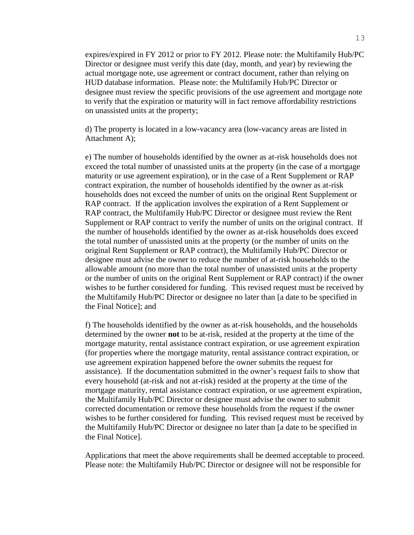expires/expired in FY 2012 or prior to FY 2012. Please note: the Multifamily Hub/PC Director or designee must verify this date (day, month, and year) by reviewing the actual mortgage note, use agreement or contract document, rather than relying on HUD database information. Please note: the Multifamily Hub/PC Director or designee must review the specific provisions of the use agreement and mortgage note to verify that the expiration or maturity will in fact remove affordability restrictions on unassisted units at the property;

d) The property is located in a low-vacancy area (low-vacancy areas are listed in Attachment A);

e) The number of households identified by the owner as at-risk households does not exceed the total number of unassisted units at the property (in the case of a mortgage maturity or use agreement expiration), or in the case of a Rent Supplement or RAP contract expiration, the number of households identified by the owner as at-risk households does not exceed the number of units on the original Rent Supplement or RAP contract. If the application involves the expiration of a Rent Supplement or RAP contract, the Multifamily Hub/PC Director or designee must review the Rent Supplement or RAP contract to verify the number of units on the original contract. If the number of households identified by the owner as at-risk households does exceed the total number of unassisted units at the property (or the number of units on the original Rent Supplement or RAP contract), the Multifamily Hub/PC Director or designee must advise the owner to reduce the number of at-risk households to the allowable amount (no more than the total number of unassisted units at the property or the number of units on the original Rent Supplement or RAP contract) if the owner wishes to be further considered for funding. This revised request must be received by the Multifamily Hub/PC Director or designee no later than [a date to be specified in the Final Notice]; and

f) The households identified by the owner as at-risk households, and the households determined by the owner **not** to be at-risk, resided at the property at the time of the mortgage maturity, rental assistance contract expiration, or use agreement expiration (for properties where the mortgage maturity, rental assistance contract expiration, or use agreement expiration happened before the owner submits the request for assistance). If the documentation submitted in the owner's request fails to show that every household (at-risk and not at-risk) resided at the property at the time of the mortgage maturity, rental assistance contract expiration, or use agreement expiration, the Multifamily Hub/PC Director or designee must advise the owner to submit corrected documentation or remove these households from the request if the owner wishes to be further considered for funding. This revised request must be received by the Multifamily Hub/PC Director or designee no later than [a date to be specified in the Final Notice].

Applications that meet the above requirements shall be deemed acceptable to proceed. Please note: the Multifamily Hub/PC Director or designee will not be responsible for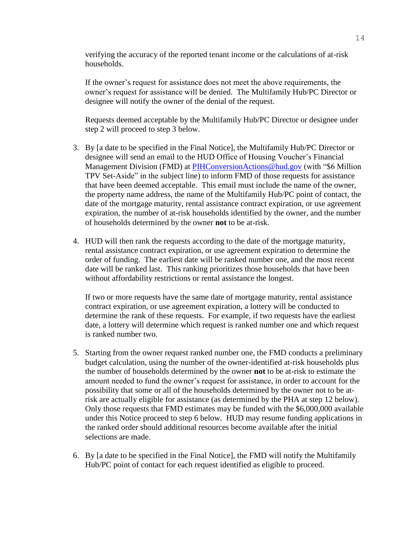verifying the accuracy of the reported tenant income or the calculations of at-risk households.

If the owner's request for assistance does not meet the above requirements, the owner's request for assistance will be denied. The Multifamily Hub/PC Director or designee will notify the owner of the denial of the request.

Requests deemed acceptable by the Multifamily Hub/PC Director or designee under step 2 will proceed to step 3 below.

- 3. By [a date to be specified in the Final Notice], the Multifamily Hub/PC Director or designee will send an email to the HUD Office of Housing Voucher's Financial Management Division (FMD) at **PIHConversionActions@hud.gov** (with "\$6 Million TPV Set-Aside" in the subject line) to inform FMD of those requests for assistance that have been deemed acceptable. This email must include the name of the owner, the property name address, the name of the Multifamily Hub/PC point of contact, the date of the mortgage maturity, rental assistance contract expiration, or use agreement expiration, the number of at-risk households identified by the owner, and the number of households determined by the owner **not** to be at-risk.
- 4. HUD will then rank the requests according to the date of the mortgage maturity, rental assistance contract expiration, or use agreement expiration to determine the order of funding. The earliest date will be ranked number one, and the most recent date will be ranked last. This ranking prioritizes those households that have been without affordability restrictions or rental assistance the longest.

If two or more requests have the same date of mortgage maturity, rental assistance contract expiration, or use agreement expiration, a lottery will be conducted to determine the rank of these requests. For example, if two requests have the earliest date, a lottery will determine which request is ranked number one and which request is ranked number two.

- 5. Starting from the owner request ranked number one, the FMD conducts a preliminary budget calculation, using the number of the owner-identified at-risk households plus the number of households determined by the owner **not** to be at-risk to estimate the amount needed to fund the owner's request for assistance, in order to account for the possibility that some or all of the households determined by the owner not to be atrisk are actually eligible for assistance (as determined by the PHA at step 12 below). Only those requests that FMD estimates may be funded with the \$6,000,000 available under this Notice proceed to step 6 below. HUD may resume funding applications in the ranked order should additional resources become available after the initial selections are made.
- 6. By [a date to be specified in the Final Notice], the FMD will notify the Multifamily Hub/PC point of contact for each request identified as eligible to proceed.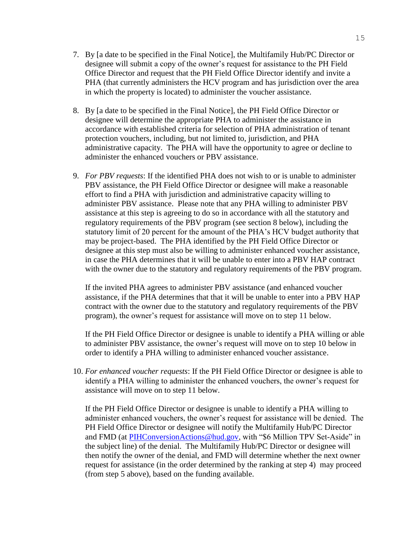- 7. By [a date to be specified in the Final Notice], the Multifamily Hub/PC Director or designee will submit a copy of the owner's request for assistance to the PH Field Office Director and request that the PH Field Office Director identify and invite a PHA (that currently administers the HCV program and has jurisdiction over the area in which the property is located) to administer the voucher assistance.
- 8. By [a date to be specified in the Final Notice], the PH Field Office Director or designee will determine the appropriate PHA to administer the assistance in accordance with established criteria for selection of PHA administration of tenant protection vouchers, including, but not limited to, jurisdiction, and PHA administrative capacity. The PHA will have the opportunity to agree or decline to administer the enhanced vouchers or PBV assistance.
- 9. *For PBV requests*: If the identified PHA does not wish to or is unable to administer PBV assistance, the PH Field Office Director or designee will make a reasonable effort to find a PHA with jurisdiction and administrative capacity willing to administer PBV assistance. Please note that any PHA willing to administer PBV assistance at this step is agreeing to do so in accordance with all the statutory and regulatory requirements of the PBV program (see section 8 below), including the statutory limit of 20 percent for the amount of the PHA's HCV budget authority that may be project-based. The PHA identified by the PH Field Office Director or designee at this step must also be willing to administer enhanced voucher assistance, in case the PHA determines that it will be unable to enter into a PBV HAP contract with the owner due to the statutory and regulatory requirements of the PBV program.

If the invited PHA agrees to administer PBV assistance (and enhanced voucher assistance, if the PHA determines that that it will be unable to enter into a PBV HAP contract with the owner due to the statutory and regulatory requirements of the PBV program), the owner's request for assistance will move on to step 11 below.

If the PH Field Office Director or designee is unable to identify a PHA willing or able to administer PBV assistance, the owner's request will move on to step 10 below in order to identify a PHA willing to administer enhanced voucher assistance.

10. *For enhanced voucher requests*: If the PH Field Office Director or designee is able to identify a PHA willing to administer the enhanced vouchers, the owner's request for assistance will move on to step 11 below.

If the PH Field Office Director or designee is unable to identify a PHA willing to administer enhanced vouchers, the owner's request for assistance will be denied. The PH Field Office Director or designee will notify the Multifamily Hub/PC Director and FMD (at [PIHConversionActions@hud.gov,](mailto:PIHConversionActions@hud.gov) with "\$6 Million TPV Set-Aside" in the subject line) of the denial. The Multifamily Hub/PC Director or designee will then notify the owner of the denial, and FMD will determine whether the next owner request for assistance (in the order determined by the ranking at step 4) may proceed (from step 5 above), based on the funding available.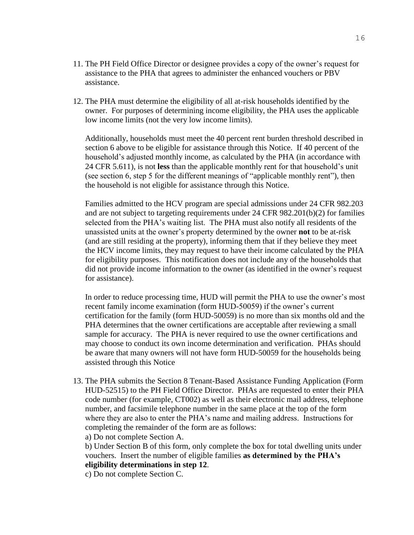- 11. The PH Field Office Director or designee provides a copy of the owner's request for assistance to the PHA that agrees to administer the enhanced vouchers or PBV assistance.
- 12. The PHA must determine the eligibility of all at-risk households identified by the owner. For purposes of determining income eligibility, the PHA uses the applicable low income limits (not the very low income limits).

Additionally, households must meet the 40 percent rent burden threshold described in section 6 above to be eligible for assistance through this Notice. If 40 percent of the household's adjusted monthly income, as calculated by the PHA (in accordance with 24 CFR 5.611), is not **less** than the applicable monthly rent for that household's unit (see section 6, step 5 for the different meanings of "applicable monthly rent"), then the household is not eligible for assistance through this Notice.

Families admitted to the HCV program are special admissions under 24 CFR 982.203 and are not subject to targeting requirements under 24 CFR 982.201(b)(2) for families selected from the PHA's waiting list. The PHA must also notify all residents of the unassisted units at the owner's property determined by the owner **not** to be at-risk (and are still residing at the property), informing them that if they believe they meet the HCV income limits, they may request to have their income calculated by the PHA for eligibility purposes. This notification does not include any of the households that did not provide income information to the owner (as identified in the owner's request for assistance).

In order to reduce processing time, HUD will permit the PHA to use the owner's most recent family income examination (form HUD-50059) if the owner's current certification for the family (form HUD-50059) is no more than six months old and the PHA determines that the owner certifications are acceptable after reviewing a small sample for accuracy. The PHA is never required to use the owner certifications and may choose to conduct its own income determination and verification. PHAs should be aware that many owners will not have form HUD-50059 for the households being assisted through this Notice

13. The PHA submits the Section 8 Tenant-Based Assistance Funding Application (Form HUD-52515) to the PH Field Office Director. PHAs are requested to enter their PHA code number (for example, CT002) as well as their electronic mail address, telephone number, and facsimile telephone number in the same place at the top of the form where they are also to enter the PHA's name and mailing address. Instructions for completing the remainder of the form are as follows:

a) Do not complete Section A.

b) Under Section B of this form, only complete the box for total dwelling units under vouchers. Insert the number of eligible families **as determined by the PHA's eligibility determinations in step 12**.

c) Do not complete Section C.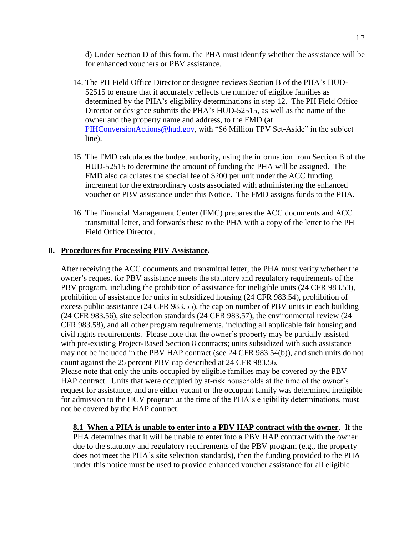d) Under Section D of this form, the PHA must identify whether the assistance will be for enhanced vouchers or PBV assistance.

- 14. The PH Field Office Director or designee reviews Section B of the PHA's HUD-52515 to ensure that it accurately reflects the number of eligible families as determined by the PHA's eligibility determinations in step 12. The PH Field Office Director or designee submits the PHA's HUD-52515, as well as the name of the owner and the property name and address, to the FMD (at [PIHConversionActions@hud.gov,](mailto:PIHConversionActions@hud.gov) with "\$6 Million TPV Set-Aside" in the subject line).
- 15. The FMD calculates the budget authority, using the information from Section B of the HUD-52515 to determine the amount of funding the PHA will be assigned. The FMD also calculates the special fee of \$200 per unit under the ACC funding increment for the extraordinary costs associated with administering the enhanced voucher or PBV assistance under this Notice. The FMD assigns funds to the PHA.
- 16. The Financial Management Center (FMC) prepares the ACC documents and ACC transmittal letter, and forwards these to the PHA with a copy of the letter to the PH Field Office Director.

### **8. Procedures for Processing PBV Assistance.**

After receiving the ACC documents and transmittal letter, the PHA must verify whether the owner's request for PBV assistance meets the statutory and regulatory requirements of the PBV program, including the prohibition of assistance for ineligible units (24 CFR 983.53), prohibition of assistance for units in subsidized housing (24 CFR 983.54), prohibition of excess public assistance (24 CFR 983.55), the cap on number of PBV units in each building (24 CFR 983.56), site selection standards (24 CFR 983.57), the environmental review (24 CFR 983.58), and all other program requirements, including all applicable fair housing and civil rights requirements. Please note that the owner's property may be partially assisted with pre-existing Project-Based Section 8 contracts; units subsidized with such assistance may not be included in the PBV HAP contract (see 24 CFR 983.54(b)), and such units do not count against the 25 percent PBV cap described at 24 CFR 983.56. Please note that only the units occupied by eligible families may be covered by the PBV HAP contract. Units that were occupied by at-risk households at the time of the owner's

request for assistance, and are either vacant or the occupant family was determined ineligible for admission to the HCV program at the time of the PHA's eligibility determinations, must not be covered by the HAP contract.

**8.1 When a PHA is unable to enter into a PBV HAP contract with the owner**. If the PHA determines that it will be unable to enter into a PBV HAP contract with the owner due to the statutory and regulatory requirements of the PBV program (e.g., the property does not meet the PHA's site selection standards), then the funding provided to the PHA under this notice must be used to provide enhanced voucher assistance for all eligible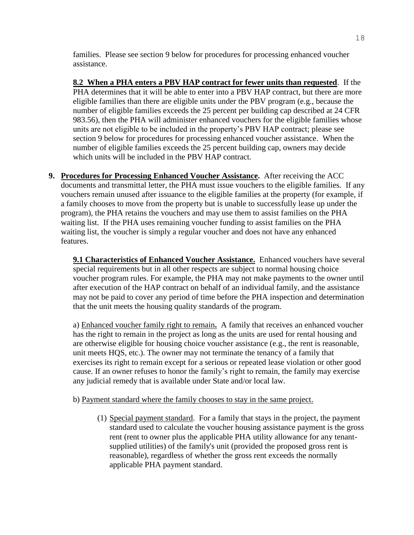families. Please see section 9 below for procedures for processing enhanced voucher assistance.

**8.2 When a PHA enters a PBV HAP contract for fewer units than requested**. If the PHA determines that it will be able to enter into a PBV HAP contract, but there are more eligible families than there are eligible units under the PBV program (e.g., because the number of eligible families exceeds the 25 percent per building cap described at 24 CFR 983.56), then the PHA will administer enhanced vouchers for the eligible families whose units are not eligible to be included in the property's PBV HAP contract; please see section 9 below for procedures for processing enhanced voucher assistance. When the number of eligible families exceeds the 25 percent building cap, owners may decide which units will be included in the PBV HAP contract.

**9. Procedures for Processing Enhanced Voucher Assistance.** After receiving the ACC documents and transmittal letter, the PHA must issue vouchers to the eligible families. If any vouchers remain unused after issuance to the eligible families at the property (for example, if a family chooses to move from the property but is unable to successfully lease up under the program), the PHA retains the vouchers and may use them to assist families on the PHA waiting list. If the PHA uses remaining voucher funding to assist families on the PHA waiting list, the voucher is simply a regular voucher and does not have any enhanced features.

**9.1 Characteristics of Enhanced Voucher Assistance.** Enhanced vouchers have several special requirements but in all other respects are subject to normal housing choice voucher program rules. For example, the PHA may not make payments to the owner until after execution of the HAP contract on behalf of an individual family, and the assistance may not be paid to cover any period of time before the PHA inspection and determination that the unit meets the housing quality standards of the program.

a) Enhanced voucher family right to remain**.** A family that receives an enhanced voucher has the right to remain in the project as long as the units are used for rental housing and are otherwise eligible for housing choice voucher assistance (e.g., the rent is reasonable, unit meets HQS, etc.). The owner may not terminate the tenancy of a family that exercises its right to remain except for a serious or repeated lease violation or other good cause. If an owner refuses to honor the family's right to remain, the family may exercise any judicial remedy that is available under State and/or local law.

#### b) Payment standard where the family chooses to stay in the same project.

(1) Special payment standard. For a family that stays in the project, the payment standard used to calculate the voucher housing assistance payment is the gross rent (rent to owner plus the applicable PHA utility allowance for any tenantsupplied utilities) of the family's unit (provided the proposed gross rent is reasonable), regardless of whether the gross rent exceeds the normally applicable PHA payment standard.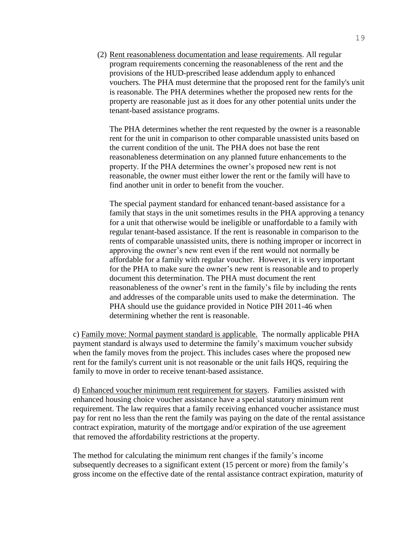(2) Rent reasonableness documentation and lease requirements. All regular program requirements concerning the reasonableness of the rent and the provisions of the HUD-prescribed lease addendum apply to enhanced vouchers. The PHA must determine that the proposed rent for the family's unit is reasonable. The PHA determines whether the proposed new rents for the property are reasonable just as it does for any other potential units under the tenant-based assistance programs.

The PHA determines whether the rent requested by the owner is a reasonable rent for the unit in comparison to other comparable unassisted units based on the current condition of the unit. The PHA does not base the rent reasonableness determination on any planned future enhancements to the property. If the PHA determines the owner's proposed new rent is not reasonable, the owner must either lower the rent or the family will have to find another unit in order to benefit from the voucher.

The special payment standard for enhanced tenant-based assistance for a family that stays in the unit sometimes results in the PHA approving a tenancy for a unit that otherwise would be ineligible or unaffordable to a family with regular tenant-based assistance. If the rent is reasonable in comparison to the rents of comparable unassisted units, there is nothing improper or incorrect in approving the owner's new rent even if the rent would not normally be affordable for a family with regular voucher. However, it is very important for the PHA to make sure the owner's new rent is reasonable and to properly document this determination. The PHA must document the rent reasonableness of the owner's rent in the family's file by including the rents and addresses of the comparable units used to make the determination. The PHA should use the guidance provided in Notice PIH 2011-46 when determining whether the rent is reasonable.

c) Family move: Normal payment standard is applicable. The normally applicable PHA payment standard is always used to determine the family's maximum voucher subsidy when the family moves from the project. This includes cases where the proposed new rent for the family's current unit is not reasonable or the unit fails HQS, requiring the family to move in order to receive tenant-based assistance.

d) Enhanced voucher minimum rent requirement for stayers. Families assisted with enhanced housing choice voucher assistance have a special statutory minimum rent requirement. The law requires that a family receiving enhanced voucher assistance must pay for rent no less than the rent the family was paying on the date of the rental assistance contract expiration, maturity of the mortgage and/or expiration of the use agreement that removed the affordability restrictions at the property.

The method for calculating the minimum rent changes if the family's income subsequently decreases to a significant extent (15 percent or more) from the family's gross income on the effective date of the rental assistance contract expiration, maturity of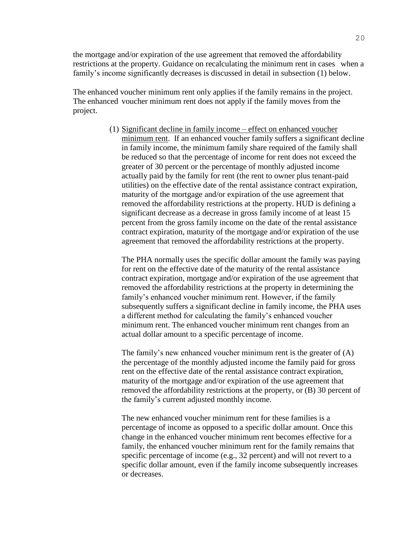the mortgage and/or expiration of the use agreement that removed the affordability restrictions at the property. Guidance on recalculating the minimum rent in cases when a family's income significantly decreases is discussed in detail in subsection (1) below.

The enhanced voucher minimum rent only applies if the family remains in the project. The enhanced voucher minimum rent does not apply if the family moves from the project.

> (1) Significant decline in family income – effect on enhanced voucher minimum rent. If an enhanced voucher family suffers a significant decline in family income, the minimum family share required of the family shall be reduced so that the percentage of income for rent does not exceed the greater of 30 percent or the percentage of monthly adjusted income actually paid by the family for rent (the rent to owner plus tenant-paid utilities) on the effective date of the rental assistance contract expiration, maturity of the mortgage and/or expiration of the use agreement that removed the affordability restrictions at the property. HUD is defining a significant decrease as a decrease in gross family income of at least 15 percent from the gross family income on the date of the rental assistance contract expiration, maturity of the mortgage and/or expiration of the use agreement that removed the affordability restrictions at the property.

The PHA normally uses the specific dollar amount the family was paying for rent on the effective date of the maturity of the rental assistance contract expiration, mortgage and/or expiration of the use agreement that removed the affordability restrictions at the property in determining the family's enhanced voucher minimum rent. However, if the family subsequently suffers a significant decline in family income, the PHA uses a different method for calculating the family's enhanced voucher minimum rent. The enhanced voucher minimum rent changes from an actual dollar amount to a specific percentage of income.

The family's new enhanced voucher minimum rent is the greater of (A) the percentage of the monthly adjusted income the family paid for gross rent on the effective date of the rental assistance contract expiration, maturity of the mortgage and/or expiration of the use agreement that removed the affordability restrictions at the property, or (B) 30 percent of the family's current adjusted monthly income.

The new enhanced voucher minimum rent for these families is a percentage of income as opposed to a specific dollar amount. Once this change in the enhanced voucher minimum rent becomes effective for a family, the enhanced voucher minimum rent for the family remains that specific percentage of income (e.g., 32 percent) and will not revert to a specific dollar amount, even if the family income subsequently increases or decreases.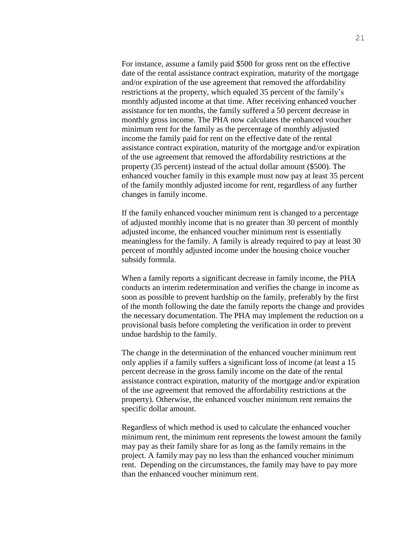For instance, assume a family paid \$500 for gross rent on the effective date of the rental assistance contract expiration, maturity of the mortgage and/or expiration of the use agreement that removed the affordability restrictions at the property, which equaled 35 percent of the family's monthly adjusted income at that time. After receiving enhanced voucher assistance for ten months, the family suffered a 50 percent decrease in monthly gross income. The PHA now calculates the enhanced voucher minimum rent for the family as the percentage of monthly adjusted income the family paid for rent on the effective date of the rental assistance contract expiration, maturity of the mortgage and/or expiration of the use agreement that removed the affordability restrictions at the property (35 percent) instead of the actual dollar amount (\$500). The enhanced voucher family in this example must now pay at least 35 percent of the family monthly adjusted income for rent, regardless of any further changes in family income.

If the family enhanced voucher minimum rent is changed to a percentage of adjusted monthly income that is no greater than 30 percent of monthly adjusted income, the enhanced voucher minimum rent is essentially meaningless for the family. A family is already required to pay at least 30 percent of monthly adjusted income under the housing choice voucher subsidy formula.

When a family reports a significant decrease in family income, the PHA conducts an interim redetermination and verifies the change in income as soon as possible to prevent hardship on the family, preferably by the first of the month following the date the family reports the change and provides the necessary documentation. The PHA may implement the reduction on a provisional basis before completing the verification in order to prevent undue hardship to the family.

The change in the determination of the enhanced voucher minimum rent only applies if a family suffers a significant loss of income (at least a 15 percent decrease in the gross family income on the date of the rental assistance contract expiration, maturity of the mortgage and/or expiration of the use agreement that removed the affordability restrictions at the property). Otherwise, the enhanced voucher minimum rent remains the specific dollar amount.

Regardless of which method is used to calculate the enhanced voucher minimum rent, the minimum rent represents the lowest amount the family may pay as their family share for as long as the family remains in the project. A family may pay no less than the enhanced voucher minimum rent. Depending on the circumstances, the family may have to pay more than the enhanced voucher minimum rent.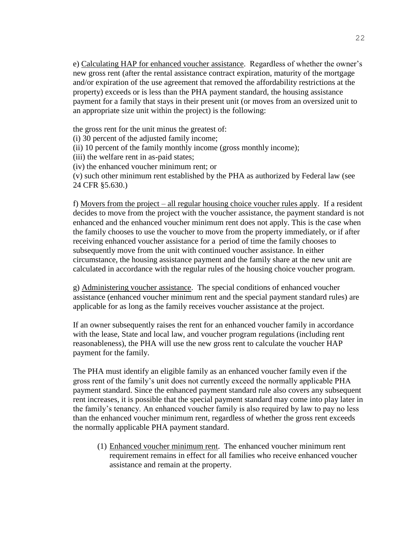e) Calculating HAP for enhanced voucher assistance. Regardless of whether the owner's new gross rent (after the rental assistance contract expiration, maturity of the mortgage and/or expiration of the use agreement that removed the affordability restrictions at the property) exceeds or is less than the PHA payment standard, the housing assistance payment for a family that stays in their present unit (or moves from an oversized unit to an appropriate size unit within the project) is the following:

the gross rent for the unit minus the greatest of:

(i) 30 percent of the adjusted family income;

(ii) 10 percent of the family monthly income (gross monthly income);

(iii) the welfare rent in as-paid states;

(iv) the enhanced voucher minimum rent; or

(v) such other minimum rent established by the PHA as authorized by Federal law (see 24 CFR §5.630.)

f) Movers from the project – all regular housing choice voucher rules apply. If a resident decides to move from the project with the voucher assistance, the payment standard is not enhanced and the enhanced voucher minimum rent does not apply. This is the case when the family chooses to use the voucher to move from the property immediately, or if after receiving enhanced voucher assistance for a period of time the family chooses to subsequently move from the unit with continued voucher assistance. In either circumstance, the housing assistance payment and the family share at the new unit are calculated in accordance with the regular rules of the housing choice voucher program.

g) Administering voucher assistance. The special conditions of enhanced voucher assistance (enhanced voucher minimum rent and the special payment standard rules) are applicable for as long as the family receives voucher assistance at the project.

If an owner subsequently raises the rent for an enhanced voucher family in accordance with the lease, State and local law, and voucher program regulations (including rent reasonableness), the PHA will use the new gross rent to calculate the voucher HAP payment for the family.

The PHA must identify an eligible family as an enhanced voucher family even if the gross rent of the family's unit does not currently exceed the normally applicable PHA payment standard. Since the enhanced payment standard rule also covers any subsequent rent increases, it is possible that the special payment standard may come into play later in the family's tenancy. An enhanced voucher family is also required by law to pay no less than the enhanced voucher minimum rent, regardless of whether the gross rent exceeds the normally applicable PHA payment standard.

(1) Enhanced voucher minimum rent. The enhanced voucher minimum rent requirement remains in effect for all families who receive enhanced voucher assistance and remain at the property.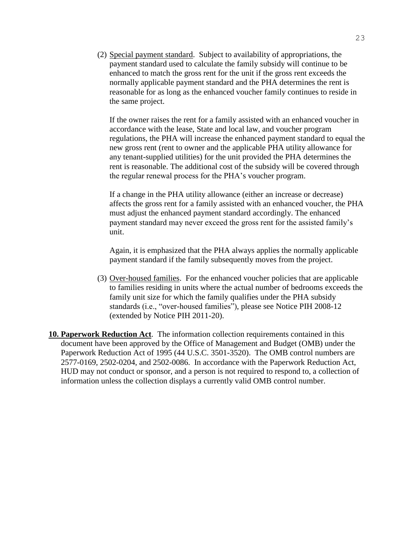(2) Special payment standard. Subject to availability of appropriations, the payment standard used to calculate the family subsidy will continue to be enhanced to match the gross rent for the unit if the gross rent exceeds the normally applicable payment standard and the PHA determines the rent is reasonable for as long as the enhanced voucher family continues to reside in the same project.

If the owner raises the rent for a family assisted with an enhanced voucher in accordance with the lease, State and local law, and voucher program regulations, the PHA will increase the enhanced payment standard to equal the new gross rent (rent to owner and the applicable PHA utility allowance for any tenant-supplied utilities) for the unit provided the PHA determines the rent is reasonable. The additional cost of the subsidy will be covered through the regular renewal process for the PHA's voucher program.

If a change in the PHA utility allowance (either an increase or decrease) affects the gross rent for a family assisted with an enhanced voucher, the PHA must adjust the enhanced payment standard accordingly. The enhanced payment standard may never exceed the gross rent for the assisted family's unit.

Again, it is emphasized that the PHA always applies the normally applicable payment standard if the family subsequently moves from the project.

- (3) Over-housed families. For the enhanced voucher policies that are applicable to families residing in units where the actual number of bedrooms exceeds the family unit size for which the family qualifies under the PHA subsidy standards (i.e., "over-housed families"), please see Notice PIH 2008-12 (extended by Notice PIH 2011-20).
- **10. Paperwork Reduction Act**. The information collection requirements contained in this document have been approved by the Office of Management and Budget (OMB) under the Paperwork Reduction Act of 1995 (44 U.S.C. 3501-3520). The OMB control numbers are 2577-0169, 2502-0204, and 2502-0086. In accordance with the Paperwork Reduction Act, HUD may not conduct or sponsor, and a person is not required to respond to, a collection of information unless the collection displays a currently valid OMB control number.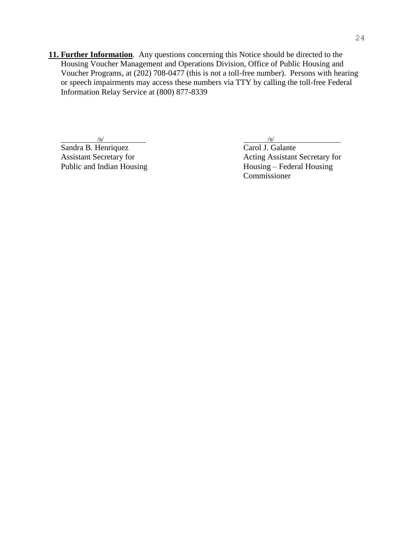**11. Further Information**. Any questions concerning this Notice should be directed to the Housing Voucher Management and Operations Division, Office of Public Housing and Voucher Programs, at (202) 708-0477 (this is not a toll-free number). Persons with hearing or speech impairments may access these numbers via TTY by calling the toll-free Federal Information Relay Service at (800) 877-8339

 $\sqrt{s}$ / $\sqrt{s}$ / $\sqrt{s}$ / $\sqrt{s}$ / $\sqrt{s}$ / $\sqrt{s}$ / $\sqrt{s}$ / $\sqrt{s}$ / $\sqrt{s}$ / $\sqrt{s}$ / $\sqrt{s}$ / $\sqrt{s}$ / $\sqrt{s}$ / $\sqrt{s}$ / $\sqrt{s}$ / $\sqrt{s}$ / $\sqrt{s}$ / $\sqrt{s}$ / $\sqrt{s}$ / $\sqrt{s}$ / $\sqrt{s}$ / $\sqrt{s}$ / $\sqrt{s}$ / $\sqrt{s}$ / $\sqrt{s}$ / $\sqrt{s}$ / $\sqrt{s}$ / $\sqrt{s}$ / $\sqrt{s}$ / $\sqrt{s}$ / $\sqrt{s}$ / $\sqrt{s$ 

Sandra B. Henriquez Carol J. Galante

Assistant Secretary for<br>
Public and Indian Housing<br>
Acting Assistant Secretary for<br>
Housing – Federal Housing  $H \text{ousing}$  – Federal Housing Commissioner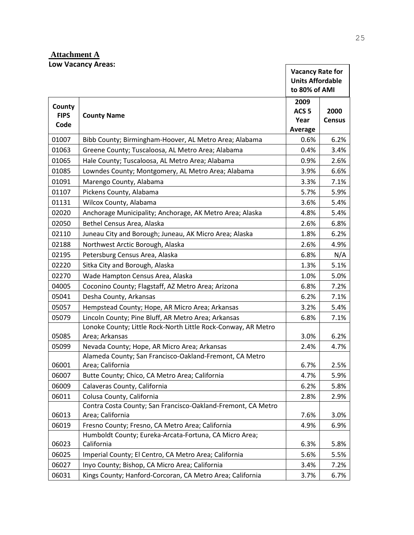# **Attachment A Low Vacancy Areas:**

|                               | Low Vacancy Areas:                                                               | <b>Vacancy Rate for</b><br><b>Units Affordable</b><br>to 80% of AMI |                       |
|-------------------------------|----------------------------------------------------------------------------------|---------------------------------------------------------------------|-----------------------|
| County<br><b>FIPS</b><br>Code | <b>County Name</b>                                                               | 2009<br>ACS <sub>5</sub><br>Year<br>Average                         | 2000<br><b>Census</b> |
| 01007                         | Bibb County; Birmingham-Hoover, AL Metro Area; Alabama                           | 0.6%                                                                | 6.2%                  |
| 01063                         | Greene County; Tuscaloosa, AL Metro Area; Alabama                                | 0.4%                                                                | 3.4%                  |
| 01065                         | Hale County; Tuscaloosa, AL Metro Area; Alabama                                  | 0.9%                                                                | 2.6%                  |
| 01085                         | Lowndes County; Montgomery, AL Metro Area; Alabama                               | 3.9%                                                                | 6.6%                  |
| 01091                         | Marengo County, Alabama                                                          | 3.3%                                                                | 7.1%                  |
| 01107                         | Pickens County, Alabama                                                          | 5.7%                                                                | 5.9%                  |
| 01131                         | Wilcox County, Alabama                                                           | 3.6%                                                                | 5.4%                  |
| 02020                         | Anchorage Municipality; Anchorage, AK Metro Area; Alaska                         | 4.8%                                                                | 5.4%                  |
| 02050                         | Bethel Census Area, Alaska                                                       | 2.6%                                                                | 6.8%                  |
| 02110                         | Juneau City and Borough; Juneau, AK Micro Area; Alaska                           | 1.8%                                                                | 6.2%                  |
| 02188                         | Northwest Arctic Borough, Alaska                                                 | 2.6%                                                                | 4.9%                  |
| 02195                         | Petersburg Census Area, Alaska                                                   | 6.8%                                                                | N/A                   |
| 02220                         | Sitka City and Borough, Alaska                                                   | 1.3%                                                                | 5.1%                  |
| 02270                         | Wade Hampton Census Area, Alaska                                                 | 1.0%                                                                | 5.0%                  |
| 04005                         | Coconino County; Flagstaff, AZ Metro Area; Arizona                               | 6.8%                                                                | 7.2%                  |
| 05041                         | Desha County, Arkansas                                                           | 6.2%                                                                | 7.1%                  |
| 05057                         | Hempstead County; Hope, AR Micro Area; Arkansas                                  | 3.2%                                                                | 5.4%                  |
| 05079                         | Lincoln County; Pine Bluff, AR Metro Area; Arkansas                              | 6.8%                                                                | 7.1%                  |
| 05085                         | Lonoke County; Little Rock-North Little Rock-Conway, AR Metro<br>Area; Arkansas  | 3.0%                                                                | 6.2%                  |
| 05099                         | Nevada County; Hope, AR Micro Area; Arkansas                                     | 2.4%                                                                | 4.7%                  |
| 06001                         | Alameda County; San Francisco-Oakland-Fremont, CA Metro<br>Area; California      | 6.7%                                                                | 2.5%                  |
| 06007                         | Butte County; Chico, CA Metro Area; California                                   | 4.7%                                                                | 5.9%                  |
| 06009                         | Calaveras County, California                                                     | 6.2%                                                                | 5.8%                  |
| 06011                         | Colusa County, California                                                        | 2.8%                                                                | 2.9%                  |
| 06013                         | Contra Costa County; San Francisco-Oakland-Fremont, CA Metro<br>Area; California | 7.6%                                                                | 3.0%                  |
| 06019                         | Fresno County; Fresno, CA Metro Area; California                                 | 4.9%                                                                | 6.9%                  |
| 06023                         | Humboldt County; Eureka-Arcata-Fortuna, CA Micro Area;<br>California             | 6.3%                                                                | 5.8%                  |
| 06025                         | Imperial County; El Centro, CA Metro Area; California                            | 5.6%                                                                | 5.5%                  |
| 06027                         | Inyo County; Bishop, CA Micro Area; California                                   | 3.4%                                                                | 7.2%                  |
| 06031                         | Kings County; Hanford-Corcoran, CA Metro Area; California                        | 3.7%                                                                | 6.7%                  |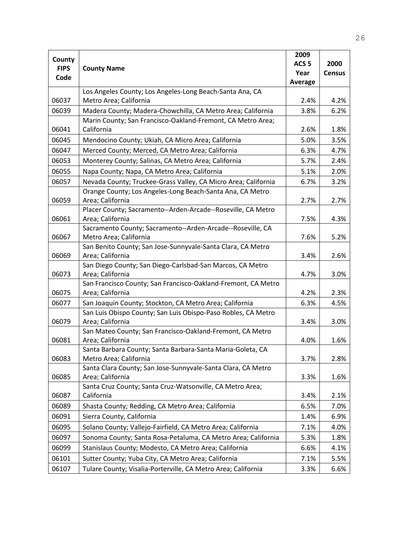| County      |                                                                                                                          | 2009             |               |
|-------------|--------------------------------------------------------------------------------------------------------------------------|------------------|---------------|
| <b>FIPS</b> | <b>County Name</b>                                                                                                       | ACS <sub>5</sub> | 2000          |
| Code        |                                                                                                                          | Year             | <b>Census</b> |
|             |                                                                                                                          | <b>Average</b>   |               |
|             | Los Angeles County; Los Angeles-Long Beach-Santa Ana, CA                                                                 |                  |               |
| 06037       | Metro Area; California                                                                                                   | 2.4%             | 4.2%          |
| 06039       | Madera County; Madera-Chowchilla, CA Metro Area; California                                                              | 3.8%             | 6.2%          |
|             | Marin County; San Francisco-Oakland-Fremont, CA Metro Area;                                                              |                  |               |
| 06041       | California                                                                                                               | 2.6%             | 1.8%          |
| 06045       | Mendocino County; Ukiah, CA Micro Area; California                                                                       | 5.0%             | 3.5%          |
| 06047       | Merced County; Merced, CA Metro Area; California                                                                         | 6.3%             | 4.7%          |
| 06053       | Monterey County; Salinas, CA Metro Area; California                                                                      | 5.7%             | 2.4%          |
| 06055       | Napa County; Napa, CA Metro Area; California                                                                             | 5.1%             | 2.0%          |
| 06057       | Nevada County; Truckee-Grass Valley, CA Micro Area; California                                                           | 6.7%             | 3.2%          |
|             | Orange County; Los Angeles-Long Beach-Santa Ana, CA Metro                                                                |                  |               |
| 06059       | Area; California                                                                                                         | 2.7%             | 2.7%          |
|             | Placer County; Sacramento--Arden-Arcade--Roseville, CA Metro                                                             |                  |               |
| 06061       | Area; California                                                                                                         | 7.5%             | 4.3%          |
|             | Sacramento County; Sacramento--Arden-Arcade--Roseville, CA                                                               |                  |               |
| 06067       | Metro Area; California                                                                                                   | 7.6%             | 5.2%          |
|             | San Benito County; San Jose-Sunnyvale-Santa Clara, CA Metro                                                              |                  |               |
| 06069       | Area; California                                                                                                         | 3.4%             | 2.6%          |
|             | San Diego County; San Diego-Carlsbad-San Marcos, CA Metro                                                                |                  |               |
| 06073       | Area; California                                                                                                         | 4.7%             | 3.0%          |
| 06075       | San Francisco County; San Francisco-Oakland-Fremont, CA Metro<br>Area; California                                        | 4.2%             | 2.3%          |
|             |                                                                                                                          |                  |               |
| 06077       | San Joaquin County; Stockton, CA Metro Area; California<br>San Luis Obispo County; San Luis Obispo-Paso Robles, CA Metro | 6.3%             | 4.5%          |
| 06079       | Area; California                                                                                                         | 3.4%             | 3.0%          |
|             | San Mateo County; San Francisco-Oakland-Fremont, CA Metro                                                                |                  |               |
| 06081       | Area; California                                                                                                         | 4.0%             | 1.6%          |
|             | Santa Barbara County; Santa Barbara-Santa Maria-Goleta, CA                                                               |                  |               |
| 06083       | Metro Area; California                                                                                                   | 3.7%             | 2.8%          |
|             | Santa Clara County; San Jose-Sunnyvale-Santa Clara, CA Metro                                                             |                  |               |
| 06085       | Area; California                                                                                                         | 3.3%             | 1.6%          |
|             | Santa Cruz County; Santa Cruz-Watsonville, CA Metro Area;                                                                |                  |               |
| 06087       | California                                                                                                               | 3.4%             | 2.1%          |
| 06089       | Shasta County; Redding, CA Metro Area; California                                                                        | 6.5%             | 7.0%          |
| 06091       | Sierra County, California                                                                                                | 1.4%             | 6.9%          |
| 06095       | Solano County; Vallejo-Fairfield, CA Metro Area; California                                                              | 7.1%             | 4.0%          |
| 06097       | Sonoma County; Santa Rosa-Petaluma, CA Metro Area; California                                                            | 5.3%             | 1.8%          |
| 06099       | Stanislaus County; Modesto, CA Metro Area; California                                                                    | 6.6%             | 4.1%          |
| 06101       | Sutter County; Yuba City, CA Metro Area; California                                                                      | 7.1%             | 5.5%          |
| 06107       | Tulare County; Visalia-Porterville, CA Metro Area; California                                                            | 3.3%             | 6.6%          |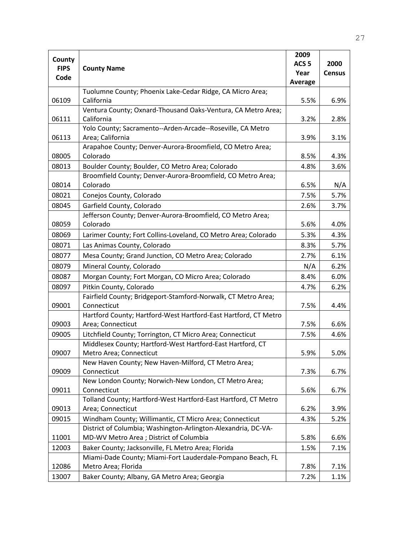|             |                                                                                | 2009             |               |
|-------------|--------------------------------------------------------------------------------|------------------|---------------|
| County      |                                                                                | ACS <sub>5</sub> | 2000          |
| <b>FIPS</b> | <b>County Name</b>                                                             | Year             | <b>Census</b> |
| Code        |                                                                                | Average          |               |
|             | Tuolumne County; Phoenix Lake-Cedar Ridge, CA Micro Area;                      |                  |               |
| 06109       | California                                                                     | 5.5%             | 6.9%          |
|             | Ventura County; Oxnard-Thousand Oaks-Ventura, CA Metro Area;                   |                  |               |
| 06111       | California                                                                     | 3.2%             | 2.8%          |
| 06113       | Yolo County; Sacramento--Arden-Arcade--Roseville, CA Metro<br>Area; California | 3.9%             | 3.1%          |
|             | Arapahoe County; Denver-Aurora-Broomfield, CO Metro Area;                      |                  |               |
| 08005       | Colorado                                                                       | 8.5%             | 4.3%          |
| 08013       | Boulder County; Boulder, CO Metro Area; Colorado                               | 4.8%             | 3.6%          |
|             | Broomfield County; Denver-Aurora-Broomfield, CO Metro Area;                    |                  |               |
| 08014       | Colorado                                                                       | 6.5%             | N/A           |
| 08021       | Conejos County, Colorado                                                       | 7.5%             | 5.7%          |
| 08045       | Garfield County, Colorado                                                      | 2.6%             | 3.7%          |
|             | Jefferson County; Denver-Aurora-Broomfield, CO Metro Area;                     |                  |               |
| 08059       | Colorado                                                                       | 5.6%             | 4.0%          |
| 08069       | Larimer County; Fort Collins-Loveland, CO Metro Area; Colorado                 | 5.3%             | 4.3%          |
| 08071       | Las Animas County, Colorado                                                    | 8.3%             | 5.7%          |
| 08077       | Mesa County; Grand Junction, CO Metro Area; Colorado                           | 2.7%             | 6.1%          |
| 08079       | Mineral County, Colorado                                                       | N/A              | 6.2%          |
| 08087       | Morgan County; Fort Morgan, CO Micro Area; Colorado                            | 8.4%             | 6.0%          |
| 08097       | Pitkin County, Colorado                                                        | 4.7%             | 6.2%          |
|             | Fairfield County; Bridgeport-Stamford-Norwalk, CT Metro Area;                  |                  |               |
| 09001       | Connecticut                                                                    | 7.5%             | 4.4%          |
|             | Hartford County; Hartford-West Hartford-East Hartford, CT Metro                |                  |               |
| 09003       | Area; Connecticut                                                              | 7.5%             | 6.6%          |
| 09005       | Litchfield County; Torrington, CT Micro Area; Connecticut                      | 7.5%             | 4.6%          |
|             | Middlesex County; Hartford-West Hartford-East Hartford, CT                     |                  |               |
| 09007       | Metro Area; Connecticut                                                        | 5.9%             | 5.0%          |
|             | New Haven County; New Haven-Milford, CT Metro Area;                            |                  |               |
| 09009       | Connecticut                                                                    | 7.3%             | 6.7%          |
| 09011       | New London County; Norwich-New London, CT Metro Area;<br>Connecticut           | 5.6%             | 6.7%          |
|             | Tolland County; Hartford-West Hartford-East Hartford, CT Metro                 |                  |               |
| 09013       | Area; Connecticut                                                              | 6.2%             | 3.9%          |
| 09015       | Windham County; Willimantic, CT Micro Area; Connecticut                        | 4.3%             | 5.2%          |
|             | District of Columbia; Washington-Arlington-Alexandria, DC-VA-                  |                  |               |
| 11001       | MD-WV Metro Area ; District of Columbia                                        | 5.8%             | 6.6%          |
| 12003       | Baker County; Jacksonville, FL Metro Area; Florida                             | 1.5%             | 7.1%          |
|             | Miami-Dade County; Miami-Fort Lauderdale-Pompano Beach, FL                     |                  |               |
| 12086       | Metro Area; Florida                                                            | 7.8%             | 7.1%          |
| 13007       | Baker County; Albany, GA Metro Area; Georgia                                   | 7.2%             | 1.1%          |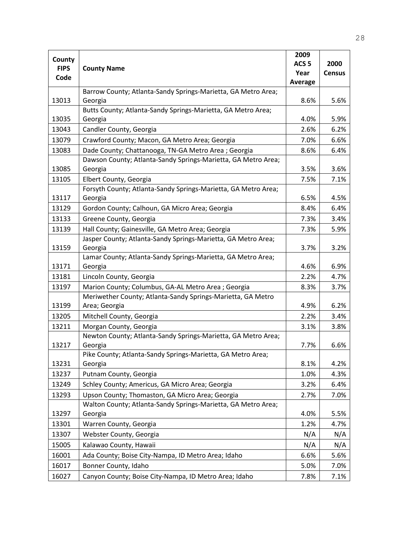|                       |                                                                | 2009             |               |
|-----------------------|----------------------------------------------------------------|------------------|---------------|
| County<br><b>FIPS</b> | <b>County Name</b>                                             | ACS <sub>5</sub> | 2000          |
| Code                  |                                                                | Year             | <b>Census</b> |
|                       |                                                                | <b>Average</b>   |               |
|                       | Barrow County; Atlanta-Sandy Springs-Marietta, GA Metro Area;  |                  |               |
| 13013                 | Georgia                                                        | 8.6%             | 5.6%          |
|                       | Butts County; Atlanta-Sandy Springs-Marietta, GA Metro Area;   |                  |               |
| 13035                 | Georgia                                                        | 4.0%             | 5.9%          |
| 13043                 | Candler County, Georgia                                        | 2.6%             | 6.2%          |
| 13079                 | Crawford County; Macon, GA Metro Area; Georgia                 | 7.0%             | 6.6%          |
| 13083                 | Dade County; Chattanooga, TN-GA Metro Area ; Georgia           | 8.6%             | 6.4%          |
|                       | Dawson County; Atlanta-Sandy Springs-Marietta, GA Metro Area;  |                  |               |
| 13085                 | Georgia                                                        | 3.5%             | 3.6%          |
| 13105                 | Elbert County, Georgia                                         | 7.5%             | 7.1%          |
|                       | Forsyth County; Atlanta-Sandy Springs-Marietta, GA Metro Area; |                  |               |
| 13117                 | Georgia                                                        | 6.5%             | 4.5%          |
| 13129                 | Gordon County; Calhoun, GA Micro Area; Georgia                 | 8.4%             | 6.4%          |
| 13133                 | Greene County, Georgia                                         | 7.3%             | 3.4%          |
| 13139                 | Hall County; Gainesville, GA Metro Area; Georgia               | 7.3%             | 5.9%          |
|                       | Jasper County; Atlanta-Sandy Springs-Marietta, GA Metro Area;  |                  |               |
| 13159                 | Georgia                                                        | 3.7%             | 3.2%          |
|                       | Lamar County; Atlanta-Sandy Springs-Marietta, GA Metro Area;   |                  |               |
| 13171                 | Georgia                                                        | 4.6%             | 6.9%          |
| 13181                 | Lincoln County, Georgia                                        | 2.2%             | 4.7%          |
| 13197                 | Marion County; Columbus, GA-AL Metro Area ; Georgia            | 8.3%             | 3.7%          |
|                       | Meriwether County; Atlanta-Sandy Springs-Marietta, GA Metro    |                  |               |
| 13199                 | Area; Georgia                                                  | 4.9%             | 6.2%          |
| 13205                 | Mitchell County, Georgia                                       | 2.2%             | 3.4%          |
| 13211                 | Morgan County, Georgia                                         | 3.1%             | 3.8%          |
|                       | Newton County; Atlanta-Sandy Springs-Marietta, GA Metro Area;  |                  |               |
| 13217                 | Georgia                                                        | 7.7%             | 6.6%          |
|                       | Pike County; Atlanta-Sandy Springs-Marietta, GA Metro Area;    |                  |               |
| 13231                 | Georgia                                                        | 8.1%             | 4.2%          |
| 13237                 | Putnam County, Georgia                                         | 1.0%             | 4.3%          |
| 13249                 | Schley County; Americus, GA Micro Area; Georgia                | 3.2%             | 6.4%          |
| 13293                 | Upson County; Thomaston, GA Micro Area; Georgia                | 2.7%             | 7.0%          |
|                       | Walton County; Atlanta-Sandy Springs-Marietta, GA Metro Area;  |                  |               |
| 13297                 | Georgia                                                        | 4.0%             | 5.5%          |
| 13301                 | Warren County, Georgia                                         | 1.2%             | 4.7%          |
| 13307                 | Webster County, Georgia                                        | N/A              | N/A           |
| 15005                 | Kalawao County, Hawaii                                         | N/A              | N/A           |
| 16001                 | Ada County; Boise City-Nampa, ID Metro Area; Idaho             | 6.6%             | 5.6%          |
| 16017                 | Bonner County, Idaho                                           | 5.0%             | 7.0%          |
| 16027                 | Canyon County; Boise City-Nampa, ID Metro Area; Idaho          | 7.8%             | 7.1%          |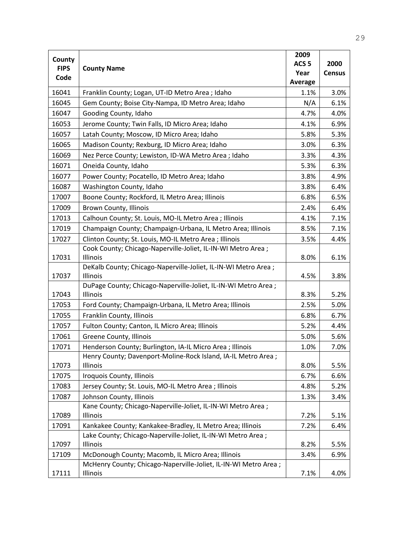|                       |                                                                            | 2009             |               |
|-----------------------|----------------------------------------------------------------------------|------------------|---------------|
| County<br><b>FIPS</b> |                                                                            | ACS <sub>5</sub> | 2000          |
| Code                  | <b>County Name</b>                                                         | Year             | <b>Census</b> |
|                       |                                                                            | Average          |               |
| 16041                 | Franklin County; Logan, UT-ID Metro Area ; Idaho                           | 1.1%             | 3.0%          |
| 16045                 | Gem County; Boise City-Nampa, ID Metro Area; Idaho                         | N/A              | 6.1%          |
| 16047                 | Gooding County, Idaho                                                      | 4.7%             | 4.0%          |
| 16053                 | Jerome County; Twin Falls, ID Micro Area; Idaho                            | 4.1%             | 6.9%          |
| 16057                 | Latah County; Moscow, ID Micro Area; Idaho                                 | 5.8%             | 5.3%          |
| 16065                 | Madison County; Rexburg, ID Micro Area; Idaho                              | 3.0%             | 6.3%          |
| 16069                 | Nez Perce County; Lewiston, ID-WA Metro Area ; Idaho                       | 3.3%             | 4.3%          |
| 16071                 | Oneida County, Idaho                                                       | 5.3%             | 6.3%          |
| 16077                 | Power County; Pocatello, ID Metro Area; Idaho                              | 3.8%             | 4.9%          |
| 16087                 | Washington County, Idaho                                                   | 3.8%             | 6.4%          |
| 17007                 | Boone County; Rockford, IL Metro Area; Illinois                            | 6.8%             | 6.5%          |
| 17009                 | <b>Brown County, Illinois</b>                                              | 2.4%             | 6.4%          |
| 17013                 | Calhoun County; St. Louis, MO-IL Metro Area ; Illinois                     | 4.1%             | 7.1%          |
| 17019                 | Champaign County; Champaign-Urbana, IL Metro Area; Illinois                | 8.5%             | 7.1%          |
| 17027                 | Clinton County; St. Louis, MO-IL Metro Area ; Illinois                     | 3.5%             | 4.4%          |
|                       | Cook County; Chicago-Naperville-Joliet, IL-IN-WI Metro Area;               |                  |               |
| 17031                 | Illinois                                                                   | 8.0%             | 6.1%          |
|                       | DeKalb County; Chicago-Naperville-Joliet, IL-IN-WI Metro Area;             |                  |               |
| 17037                 | Illinois                                                                   | 4.5%             | 3.8%          |
| 17043                 | DuPage County; Chicago-Naperville-Joliet, IL-IN-WI Metro Area;<br>Illinois | 8.3%             | 5.2%          |
| 17053                 | Ford County; Champaign-Urbana, IL Metro Area; Illinois                     | 2.5%             | 5.0%          |
| 17055                 | Franklin County, Illinois                                                  | 6.8%             | 6.7%          |
| 17057                 | Fulton County; Canton, IL Micro Area; Illinois                             | 5.2%             | 4.4%          |
| 17061                 | Greene County, Illinois                                                    | 5.0%             | 5.6%          |
| 17071                 | Henderson County; Burlington, IA-IL Micro Area ; Illinois                  | 1.0%             | 7.0%          |
|                       | Henry County; Davenport-Moline-Rock Island, IA-IL Metro Area;              |                  |               |
| 17073                 | Illinois                                                                   | 8.0%             | 5.5%          |
| 17075                 | Iroquois County, Illinois                                                  | 6.7%             | 6.6%          |
| 17083                 | Jersey County; St. Louis, MO-IL Metro Area ; Illinois                      | 4.8%             | 5.2%          |
| 17087                 | Johnson County, Illinois                                                   | 1.3%             | 3.4%          |
|                       | Kane County; Chicago-Naperville-Joliet, IL-IN-WI Metro Area;               |                  |               |
| 17089                 | Illinois                                                                   | 7.2%             | 5.1%          |
| 17091                 | Kankakee County; Kankakee-Bradley, IL Metro Area; Illinois                 | 7.2%             | 6.4%          |
|                       | Lake County; Chicago-Naperville-Joliet, IL-IN-WI Metro Area;               |                  |               |
| 17097                 | Illinois                                                                   | 8.2%             | 5.5%          |
| 17109                 | McDonough County; Macomb, IL Micro Area; Illinois                          | 3.4%             | 6.9%          |
|                       | McHenry County; Chicago-Naperville-Joliet, IL-IN-WI Metro Area ;           |                  |               |
| 17111                 | Illinois                                                                   | 7.1%             | 4.0%          |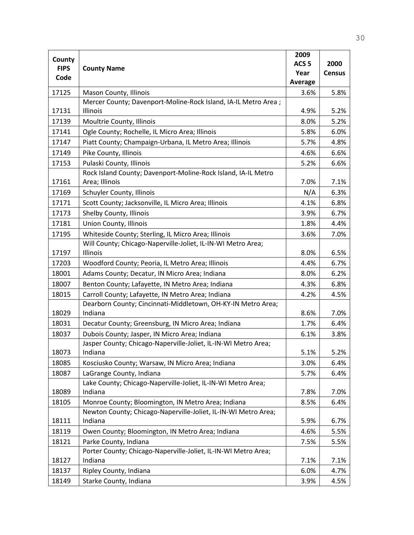|                       |                                                                | 2009             |               |
|-----------------------|----------------------------------------------------------------|------------------|---------------|
| County<br><b>FIPS</b> |                                                                | ACS <sub>5</sub> | 2000          |
| Code                  | <b>County Name</b>                                             | Year             | <b>Census</b> |
|                       |                                                                | <b>Average</b>   |               |
| 17125                 | Mason County, Illinois                                         | 3.6%             | 5.8%          |
|                       | Mercer County; Davenport-Moline-Rock Island, IA-IL Metro Area; |                  |               |
| 17131                 | Illinois                                                       | 4.9%             | 5.2%          |
| 17139                 | Moultrie County, Illinois                                      | 8.0%             | 5.2%          |
| 17141                 | Ogle County; Rochelle, IL Micro Area; Illinois                 | 5.8%             | 6.0%          |
| 17147                 | Piatt County; Champaign-Urbana, IL Metro Area; Illinois        | 5.7%             | 4.8%          |
| 17149                 | Pike County, Illinois                                          | 4.6%             | 6.6%          |
| 17153                 | Pulaski County, Illinois                                       | 5.2%             | 6.6%          |
|                       | Rock Island County; Davenport-Moline-Rock Island, IA-IL Metro  |                  |               |
| 17161                 | Area; Illinois                                                 | 7.0%             | 7.1%          |
| 17169                 | Schuyler County, Illinois                                      | N/A              | 6.3%          |
| 17171                 | Scott County; Jacksonville, IL Micro Area; Illinois            | 4.1%             | 6.8%          |
| 17173                 | Shelby County, Illinois                                        | 3.9%             | 6.7%          |
| 17181                 | <b>Union County, Illinois</b>                                  | 1.8%             | 4.4%          |
| 17195                 | Whiteside County; Sterling, IL Micro Area; Illinois            | 3.6%             | 7.0%          |
|                       | Will County; Chicago-Naperville-Joliet, IL-IN-WI Metro Area;   |                  |               |
| 17197                 | Illinois                                                       | 8.0%             | 6.5%          |
| 17203                 | Woodford County; Peoria, IL Metro Area; Illinois               | 4.4%             | 6.7%          |
| 18001                 | Adams County; Decatur, IN Micro Area; Indiana                  | 8.0%             | 6.2%          |
| 18007                 | Benton County; Lafayette, IN Metro Area; Indiana               | 4.3%             | 6.8%          |
| 18015                 | Carroll County; Lafayette, IN Metro Area; Indiana              | 4.2%             | 4.5%          |
|                       | Dearborn County; Cincinnati-Middletown, OH-KY-IN Metro Area;   |                  |               |
| 18029                 | Indiana                                                        | 8.6%             | 7.0%          |
| 18031                 | Decatur County; Greensburg, IN Micro Area; Indiana             | 1.7%             | 6.4%          |
| 18037                 | Dubois County; Jasper, IN Micro Area; Indiana                  | 6.1%             | 3.8%          |
|                       | Jasper County; Chicago-Naperville-Joliet, IL-IN-WI Metro Area; |                  |               |
| 18073                 | Indiana                                                        | 5.1%             | 5.2%          |
| 18085                 | Kosciusko County; Warsaw, IN Micro Area; Indiana               | 3.0%             | 6.4%          |
| 18087                 | LaGrange County, Indiana                                       | 5.7%             | 6.4%          |
|                       | Lake County; Chicago-Naperville-Joliet, IL-IN-WI Metro Area;   |                  |               |
| 18089                 | Indiana                                                        | 7.8%             | 7.0%          |
| 18105                 | Monroe County; Bloomington, IN Metro Area; Indiana             | 8.5%             | 6.4%          |
|                       | Newton County; Chicago-Naperville-Joliet, IL-IN-WI Metro Area; |                  |               |
| 18111                 | Indiana                                                        | 5.9%             | 6.7%          |
| 18119                 | Owen County; Bloomington, IN Metro Area; Indiana               | 4.6%             | 5.5%          |
| 18121                 | Parke County, Indiana                                          | 7.5%             | 5.5%          |
|                       | Porter County; Chicago-Naperville-Joliet, IL-IN-WI Metro Area; |                  |               |
| 18127                 | Indiana                                                        | 7.1%             | 7.1%          |
| 18137                 | Ripley County, Indiana                                         | 6.0%             | 4.7%          |
| 18149                 | Starke County, Indiana                                         | 3.9%             | 4.5%          |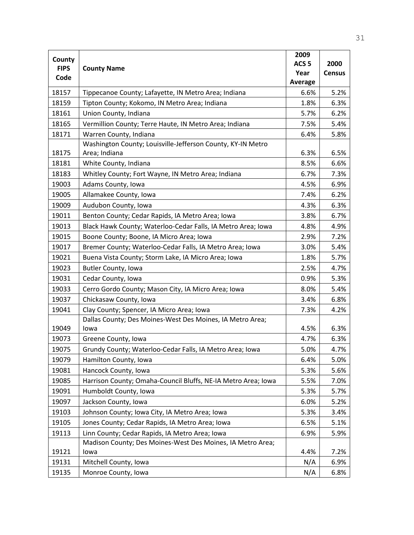|                       |                                                               | 2009             |               |
|-----------------------|---------------------------------------------------------------|------------------|---------------|
| County<br><b>FIPS</b> |                                                               | ACS <sub>5</sub> | 2000          |
| Code                  | <b>County Name</b>                                            | Year             | <b>Census</b> |
|                       |                                                               | Average          |               |
| 18157                 | Tippecanoe County; Lafayette, IN Metro Area; Indiana          | 6.6%             | 5.2%          |
| 18159                 | Tipton County; Kokomo, IN Metro Area; Indiana                 | 1.8%             | 6.3%          |
| 18161                 | Union County, Indiana                                         | 5.7%             | 6.2%          |
| 18165                 | Vermillion County; Terre Haute, IN Metro Area; Indiana        | 7.5%             | 5.4%          |
| 18171                 | Warren County, Indiana                                        | 6.4%             | 5.8%          |
|                       | Washington County; Louisville-Jefferson County, KY-IN Metro   |                  |               |
| 18175                 | Area; Indiana                                                 | 6.3%             | 6.5%          |
| 18181                 | White County, Indiana                                         | 8.5%             | 6.6%          |
| 18183                 | Whitley County; Fort Wayne, IN Metro Area; Indiana            | 6.7%             | 7.3%          |
| 19003                 | Adams County, Iowa                                            | 4.5%             | 6.9%          |
| 19005                 | Allamakee County, Iowa                                        | 7.4%             | 6.2%          |
| 19009                 | Audubon County, Iowa                                          | 4.3%             | 6.3%          |
| 19011                 | Benton County; Cedar Rapids, IA Metro Area; Iowa              | 3.8%             | 6.7%          |
| 19013                 | Black Hawk County; Waterloo-Cedar Falls, IA Metro Area; Iowa  | 4.8%             | 4.9%          |
| 19015                 | Boone County; Boone, IA Micro Area; Iowa                      | 2.9%             | 7.2%          |
| 19017                 | Bremer County; Waterloo-Cedar Falls, IA Metro Area; Iowa      | 3.0%             | 5.4%          |
| 19021                 | Buena Vista County; Storm Lake, IA Micro Area; Iowa           | 1.8%             | 5.7%          |
| 19023                 | Butler County, Iowa                                           | 2.5%             | 4.7%          |
| 19031                 | Cedar County, Iowa                                            | 0.9%             | 5.3%          |
| 19033                 | Cerro Gordo County; Mason City, IA Micro Area; Iowa           | 8.0%             | 5.4%          |
| 19037                 | Chickasaw County, Iowa                                        | 3.4%             | 6.8%          |
| 19041                 | Clay County; Spencer, IA Micro Area; Iowa                     | 7.3%             | 4.2%          |
|                       | Dallas County; Des Moines-West Des Moines, IA Metro Area;     |                  |               |
| 19049                 | lowa                                                          | 4.5%             | 6.3%          |
| 19073                 | Greene County, Iowa                                           | 4.7%             | 6.3%          |
| 19075                 | Grundy County; Waterloo-Cedar Falls, IA Metro Area; Iowa      | 5.0%             | 4.7%          |
| 19079                 | Hamilton County, Iowa                                         | 6.4%             | 5.0%          |
| 19081                 | Hancock County, Iowa                                          | 5.3%             | 5.6%          |
| 19085                 | Harrison County; Omaha-Council Bluffs, NE-IA Metro Area; Iowa | 5.5%             | 7.0%          |
| 19091                 | Humboldt County, Iowa                                         | 5.3%             | 5.7%          |
| 19097                 | Jackson County, Iowa                                          | 6.0%             | 5.2%          |
| 19103                 | Johnson County; Iowa City, IA Metro Area; Iowa                | 5.3%             | 3.4%          |
| 19105                 | Jones County; Cedar Rapids, IA Metro Area; Iowa               | 6.5%             | 5.1%          |
| 19113                 | Linn County; Cedar Rapids, IA Metro Area; Iowa                | 6.9%             | 5.9%          |
|                       | Madison County; Des Moines-West Des Moines, IA Metro Area;    |                  |               |
| 19121                 | lowa                                                          | 4.4%             | 7.2%          |
| 19131                 | Mitchell County, Iowa                                         | N/A              | 6.9%          |
| 19135                 | Monroe County, Iowa                                           | N/A              | 6.8%          |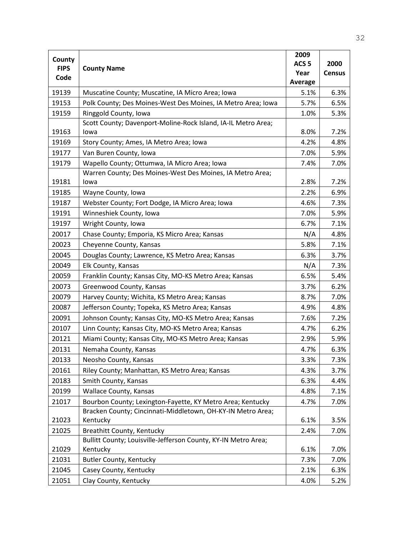|                       |                                                                | 2009             |               |
|-----------------------|----------------------------------------------------------------|------------------|---------------|
| County<br><b>FIPS</b> | <b>County Name</b>                                             | ACS <sub>5</sub> | 2000          |
| Code                  |                                                                | Year             | <b>Census</b> |
|                       |                                                                | <b>Average</b>   |               |
| 19139                 | Muscatine County; Muscatine, IA Micro Area; Iowa               | 5.1%             | 6.3%          |
| 19153                 | Polk County; Des Moines-West Des Moines, IA Metro Area; Iowa   | 5.7%             | 6.5%          |
| 19159                 | Ringgold County, Iowa                                          | 1.0%             | 5.3%          |
|                       | Scott County; Davenport-Moline-Rock Island, IA-IL Metro Area;  |                  |               |
| 19163                 | lowa                                                           | 8.0%             | 7.2%          |
| 19169                 | Story County; Ames, IA Metro Area; Iowa                        | 4.2%             | 4.8%          |
| 19177                 | Van Buren County, Iowa                                         | 7.0%             | 5.9%          |
| 19179                 | Wapello County; Ottumwa, IA Micro Area; Iowa                   | 7.4%             | 7.0%          |
|                       | Warren County; Des Moines-West Des Moines, IA Metro Area;      |                  |               |
| 19181                 | lowa                                                           | 2.8%             | 7.2%          |
| 19185                 | Wayne County, Iowa                                             | 2.2%             | 6.9%          |
| 19187                 | Webster County; Fort Dodge, IA Micro Area; Iowa                | 4.6%             | 7.3%          |
| 19191                 | Winneshiek County, Iowa                                        | 7.0%             | 5.9%          |
| 19197                 | Wright County, Iowa                                            | 6.7%             | 7.1%          |
| 20017                 | Chase County; Emporia, KS Micro Area; Kansas                   | N/A              | 4.8%          |
| 20023                 | Cheyenne County, Kansas                                        | 5.8%             | 7.1%          |
| 20045                 | Douglas County; Lawrence, KS Metro Area; Kansas                | 6.3%             | 3.7%          |
| 20049                 | Elk County, Kansas                                             | N/A              | 7.3%          |
| 20059                 | Franklin County; Kansas City, MO-KS Metro Area; Kansas         | 6.5%             | 5.4%          |
| 20073                 | Greenwood County, Kansas                                       | 3.7%             | 6.2%          |
| 20079                 | Harvey County; Wichita, KS Metro Area; Kansas                  | 8.7%             | 7.0%          |
| 20087                 | Jefferson County; Topeka, KS Metro Area; Kansas                | 4.9%             | 4.8%          |
| 20091                 | Johnson County; Kansas City, MO-KS Metro Area; Kansas          | 7.6%             | 7.2%          |
| 20107                 | Linn County; Kansas City, MO-KS Metro Area; Kansas             | 4.7%             | 6.2%          |
| 20121                 | Miami County; Kansas City, MO-KS Metro Area; Kansas            | 2.9%             | 5.9%          |
| 20131                 | Nemaha County, Kansas                                          | 4.7%             | 6.3%          |
| 20133                 | Neosho County, Kansas                                          | 3.3%             | 7.3%          |
| 20161                 | Riley County; Manhattan, KS Metro Area; Kansas                 | 4.3%             | 3.7%          |
| 20183                 | Smith County, Kansas                                           | 6.3%             | 4.4%          |
| 20199                 | <b>Wallace County, Kansas</b>                                  | 4.8%             | 7.1%          |
| 21017                 | Bourbon County; Lexington-Fayette, KY Metro Area; Kentucky     | 4.7%             | 7.0%          |
|                       | Bracken County; Cincinnati-Middletown, OH-KY-IN Metro Area;    |                  |               |
| 21023                 | Kentucky                                                       | 6.1%             | 3.5%          |
| 21025                 | Breathitt County, Kentucky                                     | 2.4%             | 7.0%          |
|                       | Bullitt County; Louisville-Jefferson County, KY-IN Metro Area; |                  |               |
| 21029                 | Kentucky                                                       | 6.1%             | 7.0%          |
| 21031                 | <b>Butler County, Kentucky</b>                                 | 7.3%             | 7.0%          |
| 21045                 | Casey County, Kentucky                                         | 2.1%             | 6.3%          |
| 21051                 | Clay County, Kentucky                                          | 4.0%             | 5.2%          |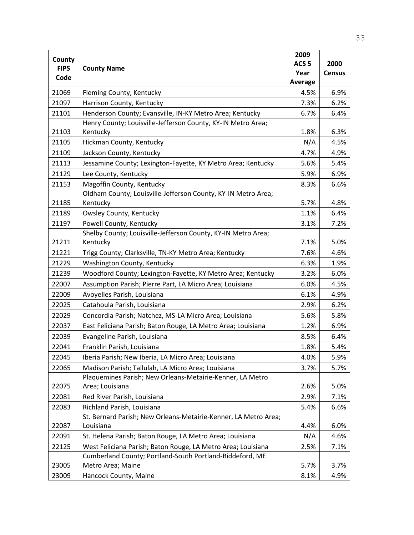|                       |                                                                              | 2009             |               |
|-----------------------|------------------------------------------------------------------------------|------------------|---------------|
| County<br><b>FIPS</b> | <b>County Name</b>                                                           | ACS <sub>5</sub> | 2000          |
| Code                  |                                                                              | Year             | <b>Census</b> |
|                       |                                                                              | Average          |               |
| 21069                 | Fleming County, Kentucky                                                     | 4.5%             | 6.9%          |
| 21097                 | Harrison County, Kentucky                                                    | 7.3%             | 6.2%          |
| 21101                 | Henderson County; Evansville, IN-KY Metro Area; Kentucky                     | 6.7%             | 6.4%          |
| 21103                 | Henry County; Louisville-Jefferson County, KY-IN Metro Area;<br>Kentucky     | 1.8%             | 6.3%          |
| 21105                 | Hickman County, Kentucky                                                     | N/A              | 4.5%          |
| 21109                 | Jackson County, Kentucky                                                     | 4.7%             | 4.9%          |
| 21113                 | Jessamine County; Lexington-Fayette, KY Metro Area; Kentucky                 | 5.6%             | 5.4%          |
| 21129                 | Lee County, Kentucky                                                         | 5.9%             | 6.9%          |
| 21153                 | Magoffin County, Kentucky                                                    | 8.3%             | 6.6%          |
|                       | Oldham County; Louisville-Jefferson County, KY-IN Metro Area;                |                  |               |
| 21185                 | Kentucky                                                                     | 5.7%             | 4.8%          |
| 21189                 | Owsley County, Kentucky                                                      | 1.1%             | 6.4%          |
| 21197                 | Powell County, Kentucky                                                      | 3.1%             | 7.2%          |
|                       | Shelby County; Louisville-Jefferson County, KY-IN Metro Area;                |                  |               |
| 21211                 | Kentucky                                                                     | 7.1%             | 5.0%          |
| 21221                 | Trigg County; Clarksville, TN-KY Metro Area; Kentucky                        | 7.6%             | 4.6%          |
| 21229                 | Washington County, Kentucky                                                  | 6.3%             | 1.9%          |
| 21239                 | Woodford County; Lexington-Fayette, KY Metro Area; Kentucky                  | 3.2%             | 6.0%          |
| 22007                 | Assumption Parish; Pierre Part, LA Micro Area; Louisiana                     | 6.0%             | 4.5%          |
| 22009                 | Avoyelles Parish, Louisiana                                                  | 6.1%             | 4.9%          |
| 22025                 | Catahoula Parish, Louisiana                                                  | 2.9%             | 6.2%          |
| 22029                 | Concordia Parish; Natchez, MS-LA Micro Area; Louisiana                       | 5.6%             | 5.8%          |
| 22037                 | East Feliciana Parish; Baton Rouge, LA Metro Area; Louisiana                 | 1.2%             | 6.9%          |
| 22039                 | Evangeline Parish, Louisiana                                                 | 8.5%             | 6.4%          |
| 22041                 | Franklin Parish, Louisiana                                                   | 1.8%             | 5.4%          |
| 22045                 | Iberia Parish; New Iberia, LA Micro Area; Louisiana                          | 4.0%             | 5.9%          |
| 22065                 | Madison Parish; Tallulah, LA Micro Area; Louisiana                           | 3.7%             | 5.7%          |
|                       | Plaquemines Parish; New Orleans-Metairie-Kenner, LA Metro                    |                  |               |
| 22075                 | Area; Louisiana                                                              | 2.6%             | 5.0%          |
| 22081                 | Red River Parish, Louisiana                                                  | 2.9%             | 7.1%          |
| 22083                 | Richland Parish, Louisiana                                                   | 5.4%             | 6.6%          |
| 22087                 | St. Bernard Parish; New Orleans-Metairie-Kenner, LA Metro Area;<br>Louisiana | 4.4%             | 6.0%          |
| 22091                 | St. Helena Parish; Baton Rouge, LA Metro Area; Louisiana                     | N/A              | 4.6%          |
| 22125                 | West Feliciana Parish; Baton Rouge, LA Metro Area; Louisiana                 | 2.5%             | 7.1%          |
|                       | Cumberland County; Portland-South Portland-Biddeford, ME                     |                  |               |
| 23005                 | Metro Area; Maine                                                            | 5.7%             | 3.7%          |
| 23009                 | Hancock County, Maine                                                        | 8.1%             | 4.9%          |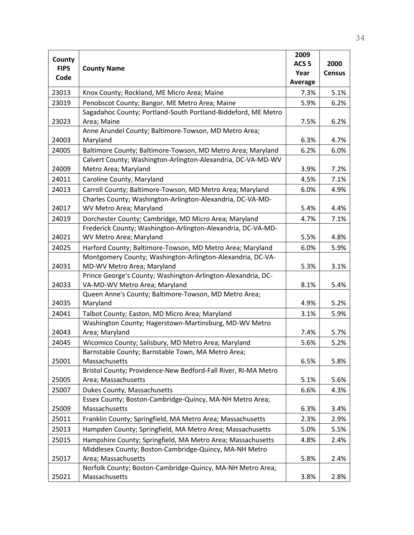|                       |                                                                                                                         | 2009             |               |
|-----------------------|-------------------------------------------------------------------------------------------------------------------------|------------------|---------------|
| County<br><b>FIPS</b> | <b>County Name</b>                                                                                                      | ACS <sub>5</sub> | 2000          |
| Code                  |                                                                                                                         | Year             | <b>Census</b> |
|                       |                                                                                                                         | Average          |               |
| 23013                 | Knox County; Rockland, ME Micro Area; Maine                                                                             | 7.3%             | 5.1%          |
| 23019                 | Penobscot County; Bangor, ME Metro Area; Maine                                                                          | 5.9%             | 6.2%          |
|                       | Sagadahoc County; Portland-South Portland-Biddeford, ME Metro                                                           |                  |               |
| 23023                 | Area; Maine                                                                                                             | 7.5%             | 6.2%          |
|                       | Anne Arundel County; Baltimore-Towson, MD Metro Area;                                                                   |                  |               |
| 24003                 | Maryland                                                                                                                | 6.3%             | 4.7%          |
| 24005                 | Baltimore County; Baltimore-Towson, MD Metro Area; Maryland                                                             | 6.2%             | 6.0%          |
|                       | Calvert County; Washington-Arlington-Alexandria, DC-VA-MD-WV                                                            |                  |               |
| 24009                 | Metro Area; Maryland                                                                                                    | 3.9%             | 7.2%          |
| 24011                 | Caroline County, Maryland                                                                                               | 4.5%             | 7.1%          |
| 24013                 | Carroll County; Baltimore-Towson, MD Metro Area; Maryland                                                               | 6.0%             | 4.9%          |
|                       | Charles County; Washington-Arlington-Alexandria, DC-VA-MD-                                                              |                  |               |
| 24017                 | WV Metro Area; Maryland                                                                                                 | 5.4%             | 4.4%          |
| 24019                 | Dorchester County; Cambridge, MD Micro Area; Maryland                                                                   | 4.7%             | 7.1%          |
| 24021                 | Frederick County; Washington-Arlington-Alexandria, DC-VA-MD-<br>WV Metro Area; Maryland                                 | 5.5%             | 4.8%          |
|                       |                                                                                                                         |                  |               |
| 24025                 | Harford County; Baltimore-Towson, MD Metro Area; Maryland<br>Montgomery County; Washington-Arlington-Alexandria, DC-VA- | 6.0%             | 5.9%          |
| 24031                 | MD-WV Metro Area; Maryland                                                                                              | 5.3%             | 3.1%          |
|                       | Prince George's County; Washington-Arlington-Alexandria, DC-                                                            |                  |               |
| 24033                 | VA-MD-WV Metro Area; Maryland                                                                                           | 8.1%             | 5.4%          |
|                       | Queen Anne's County; Baltimore-Towson, MD Metro Area;                                                                   |                  |               |
| 24035                 | Maryland                                                                                                                | 4.9%             | 5.2%          |
| 24041                 | Talbot County; Easton, MD Micro Area; Maryland                                                                          | 3.1%             | 5.9%          |
|                       | Washington County; Hagerstown-Martinsburg, MD-WV Metro                                                                  |                  |               |
| 24043                 | Area; Maryland                                                                                                          | 7.4%             | 5.7%          |
| 24045                 | Wicomico County; Salisbury, MD Metro Area; Maryland                                                                     | 5.6%             | 5.2%          |
|                       | Barnstable County; Barnstable Town, MA Metro Area;                                                                      |                  |               |
| 25001                 | Massachusetts                                                                                                           | 6.5%             | 5.8%          |
|                       | Bristol County; Providence-New Bedford-Fall River, RI-MA Metro                                                          |                  |               |
| 25005                 | Area; Massachusetts                                                                                                     | 5.1%             | 5.6%          |
| 25007                 | Dukes County, Massachusetts                                                                                             | 6.6%             | 4.3%          |
| 25009                 | Essex County; Boston-Cambridge-Quincy, MA-NH Metro Area;<br>Massachusetts                                               | 6.3%             | 3.4%          |
|                       |                                                                                                                         |                  |               |
| 25011                 | Franklin County; Springfield, MA Metro Area; Massachusetts                                                              | 2.3%             | 2.9%          |
| 25013                 | Hampden County; Springfield, MA Metro Area; Massachusetts                                                               | 5.0%             | 5.5%          |
| 25015                 | Hampshire County; Springfield, MA Metro Area; Massachusetts                                                             | 4.8%             | 2.4%          |
| 25017                 | Middlesex County; Boston-Cambridge-Quincy, MA-NH Metro<br>Area; Massachusetts                                           | 5.8%             | 2.4%          |
|                       | Norfolk County; Boston-Cambridge-Quincy, MA-NH Metro Area;                                                              |                  |               |
| 25021                 | Massachusetts                                                                                                           | 3.8%             | 2.8%          |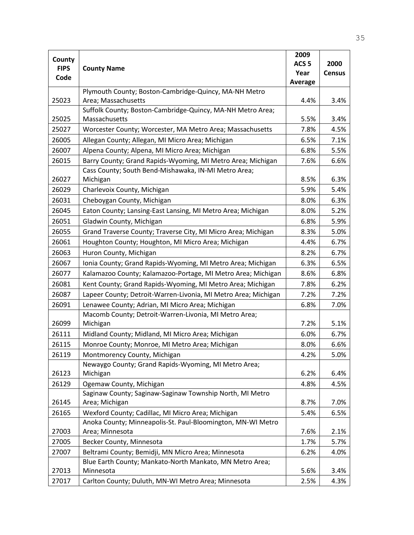|                     |                                                                | 2009             |               |
|---------------------|----------------------------------------------------------------|------------------|---------------|
| County              |                                                                | ACS <sub>5</sub> | 2000          |
| <b>FIPS</b><br>Code | <b>County Name</b>                                             | Year             | <b>Census</b> |
|                     |                                                                | <b>Average</b>   |               |
|                     | Plymouth County; Boston-Cambridge-Quincy, MA-NH Metro          |                  |               |
| 25023               | Area; Massachusetts                                            | 4.4%             | 3.4%          |
|                     | Suffolk County; Boston-Cambridge-Quincy, MA-NH Metro Area;     |                  |               |
| 25025               | Massachusetts                                                  | 5.5%             | 3.4%          |
| 25027               | Worcester County; Worcester, MA Metro Area; Massachusetts      | 7.8%             | 4.5%          |
| 26005               | Allegan County; Allegan, MI Micro Area; Michigan               | 6.5%             | 7.1%          |
| 26007               | Alpena County; Alpena, MI Micro Area; Michigan                 | 6.8%             | 5.5%          |
| 26015               | Barry County; Grand Rapids-Wyoming, MI Metro Area; Michigan    | 7.6%             | 6.6%          |
|                     | Cass County; South Bend-Mishawaka, IN-MI Metro Area;           |                  |               |
| 26027               | Michigan                                                       | 8.5%             | 6.3%          |
| 26029               | Charlevoix County, Michigan                                    | 5.9%             | 5.4%          |
| 26031               | Cheboygan County, Michigan                                     | 8.0%             | 6.3%          |
| 26045               | Eaton County; Lansing-East Lansing, MI Metro Area; Michigan    | 8.0%             | 5.2%          |
| 26051               | Gladwin County, Michigan                                       | 6.8%             | 5.9%          |
| 26055               | Grand Traverse County; Traverse City, MI Micro Area; Michigan  | 8.3%             | 5.0%          |
| 26061               | Houghton County; Houghton, MI Micro Area; Michigan             | 4.4%             | 6.7%          |
| 26063               | Huron County, Michigan                                         | 8.2%             | 6.7%          |
| 26067               | Ionia County; Grand Rapids-Wyoming, MI Metro Area; Michigan    | 6.3%             | 6.5%          |
| 26077               | Kalamazoo County; Kalamazoo-Portage, MI Metro Area; Michigan   | 8.6%             | 6.8%          |
| 26081               | Kent County; Grand Rapids-Wyoming, MI Metro Area; Michigan     | 7.8%             | 6.2%          |
| 26087               | Lapeer County; Detroit-Warren-Livonia, MI Metro Area; Michigan | 7.2%             | 7.2%          |
| 26091               | Lenawee County; Adrian, MI Micro Area; Michigan                | 6.8%             | 7.0%          |
|                     | Macomb County; Detroit-Warren-Livonia, MI Metro Area;          |                  |               |
| 26099               | Michigan                                                       | 7.2%             | 5.1%          |
| 26111               | Midland County; Midland, MI Micro Area; Michigan               | 6.0%             | 6.7%          |
| 26115               | Monroe County; Monroe, MI Metro Area; Michigan                 | 8.0%             | 6.6%          |
| 26119               | Montmorency County, Michigan                                   | 4.2%             | 5.0%          |
|                     | Newaygo County; Grand Rapids-Wyoming, MI Metro Area;           |                  |               |
| 26123               | Michigan                                                       | 6.2%             | 6.4%          |
| 26129               | Ogemaw County, Michigan                                        | 4.8%             | 4.5%          |
|                     | Saginaw County; Saginaw-Saginaw Township North, MI Metro       |                  |               |
| 26145               | Area; Michigan                                                 | 8.7%             | 7.0%          |
| 26165               | Wexford County; Cadillac, MI Micro Area; Michigan              | 5.4%             | 6.5%          |
|                     | Anoka County; Minneapolis-St. Paul-Bloomington, MN-WI Metro    |                  |               |
| 27003               | Area; Minnesota                                                | 7.6%             | 2.1%          |
| 27005               | Becker County, Minnesota                                       | 1.7%             | 5.7%          |
| 27007               | Beltrami County; Bemidji, MN Micro Area; Minnesota             | 6.2%             | 4.0%          |
|                     | Blue Earth County; Mankato-North Mankato, MN Metro Area;       |                  |               |
| 27013               | Minnesota                                                      | 5.6%             | 3.4%          |
| 27017               | Carlton County; Duluth, MN-WI Metro Area; Minnesota            | 2.5%             | 4.3%          |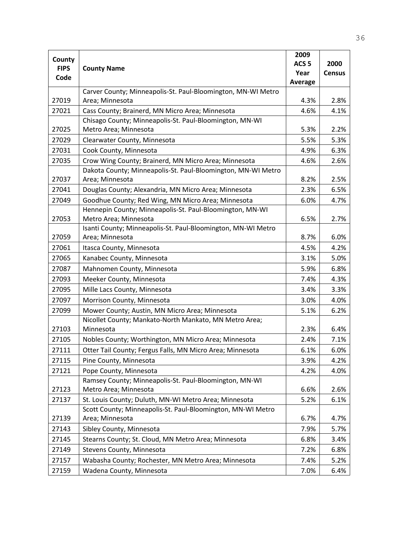|                       |                                                              | 2009             |               |
|-----------------------|--------------------------------------------------------------|------------------|---------------|
| County<br><b>FIPS</b> | <b>County Name</b>                                           | ACS <sub>5</sub> | 2000          |
| Code                  |                                                              | Year             | <b>Census</b> |
|                       |                                                              | <b>Average</b>   |               |
|                       | Carver County; Minneapolis-St. Paul-Bloomington, MN-WI Metro |                  |               |
| 27019                 | Area; Minnesota                                              | 4.3%             | 2.8%          |
| 27021                 | Cass County; Brainerd, MN Micro Area; Minnesota              | 4.6%             | 4.1%          |
|                       | Chisago County; Minneapolis-St. Paul-Bloomington, MN-WI      |                  |               |
| 27025                 | Metro Area; Minnesota                                        | 5.3%             | 2.2%          |
| 27029                 | Clearwater County, Minnesota                                 | 5.5%             | 5.3%          |
| 27031                 | Cook County, Minnesota                                       | 4.9%             | 6.3%          |
| 27035                 | Crow Wing County; Brainerd, MN Micro Area; Minnesota         | 4.6%             | 2.6%          |
|                       | Dakota County; Minneapolis-St. Paul-Bloomington, MN-WI Metro |                  |               |
| 27037                 | Area; Minnesota                                              | 8.2%             | 2.5%          |
| 27041                 | Douglas County; Alexandria, MN Micro Area; Minnesota         | 2.3%             | 6.5%          |
| 27049                 | Goodhue County; Red Wing, MN Micro Area; Minnesota           | 6.0%             | 4.7%          |
|                       | Hennepin County; Minneapolis-St. Paul-Bloomington, MN-WI     |                  |               |
| 27053                 | Metro Area; Minnesota                                        | 6.5%             | 2.7%          |
|                       | Isanti County; Minneapolis-St. Paul-Bloomington, MN-WI Metro |                  |               |
| 27059                 | Area; Minnesota                                              | 8.7%             | 6.0%          |
| 27061                 | Itasca County, Minnesota                                     | 4.5%             | 4.2%          |
| 27065                 | Kanabec County, Minnesota                                    | 3.1%             | 5.0%          |
| 27087                 | Mahnomen County, Minnesota                                   | 5.9%             | 6.8%          |
| 27093                 | Meeker County, Minnesota                                     | 7.4%             | 4.3%          |
| 27095                 | Mille Lacs County, Minnesota                                 | 3.4%             | 3.3%          |
| 27097                 | Morrison County, Minnesota                                   | 3.0%             | 4.0%          |
| 27099                 | Mower County; Austin, MN Micro Area; Minnesota               | 5.1%             | 6.2%          |
|                       | Nicollet County; Mankato-North Mankato, MN Metro Area;       |                  |               |
| 27103                 | Minnesota                                                    | 2.3%             | 6.4%          |
| 27105                 | Nobles County; Worthington, MN Micro Area; Minnesota         | 2.4%             | 7.1%          |
| 27111                 | Otter Tail County; Fergus Falls, MN Micro Area; Minnesota    | 6.1%             | 6.0%          |
| 27115                 | Pine County, Minnesota                                       | 3.9%             | 4.2%          |
| 27121                 | Pope County, Minnesota                                       | 4.2%             | 4.0%          |
|                       | Ramsey County; Minneapolis-St. Paul-Bloomington, MN-WI       |                  |               |
| 27123                 | Metro Area; Minnesota                                        | 6.6%             | 2.6%          |
| 27137                 | St. Louis County; Duluth, MN-WI Metro Area; Minnesota        | 5.2%             | 6.1%          |
|                       | Scott County; Minneapolis-St. Paul-Bloomington, MN-WI Metro  |                  |               |
| 27139                 | Area; Minnesota                                              | 6.7%             | 4.7%          |
| 27143                 | Sibley County, Minnesota                                     | 7.9%             | 5.7%          |
| 27145                 | Stearns County; St. Cloud, MN Metro Area; Minnesota          | 6.8%             | 3.4%          |
| 27149                 | Stevens County, Minnesota                                    | 7.2%             | 6.8%          |
| 27157                 | Wabasha County; Rochester, MN Metro Area; Minnesota          | 7.4%             | 5.2%          |
| 27159                 | Wadena County, Minnesota                                     | 7.0%             | 6.4%          |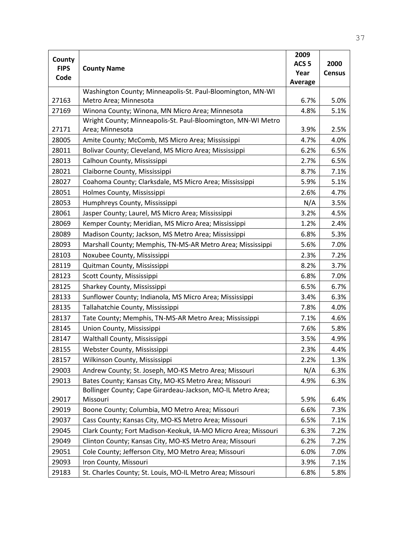|                     |                                                               | 2009             |               |
|---------------------|---------------------------------------------------------------|------------------|---------------|
| County              |                                                               | ACS <sub>5</sub> | 2000          |
| <b>FIPS</b><br>Code | <b>County Name</b>                                            | Year             | <b>Census</b> |
|                     |                                                               | <b>Average</b>   |               |
|                     | Washington County; Minneapolis-St. Paul-Bloomington, MN-WI    |                  |               |
| 27163               | Metro Area; Minnesota                                         | 6.7%             | 5.0%          |
| 27169               | Winona County; Winona, MN Micro Area; Minnesota               | 4.8%             | 5.1%          |
|                     | Wright County; Minneapolis-St. Paul-Bloomington, MN-WI Metro  |                  |               |
| 27171               | Area; Minnesota                                               | 3.9%             | 2.5%          |
| 28005               | Amite County; McComb, MS Micro Area; Mississippi              | 4.7%             | 4.0%          |
| 28011               | Bolivar County; Cleveland, MS Micro Area; Mississippi         | 6.2%             | 6.5%          |
| 28013               | Calhoun County, Mississippi                                   | 2.7%             | 6.5%          |
| 28021               | Claiborne County, Mississippi                                 | 8.7%             | 7.1%          |
| 28027               | Coahoma County; Clarksdale, MS Micro Area; Mississippi        | 5.9%             | 5.1%          |
| 28051               | Holmes County, Mississippi                                    | 2.6%             | 4.7%          |
| 28053               | Humphreys County, Mississippi                                 | N/A              | 3.5%          |
| 28061               | Jasper County; Laurel, MS Micro Area; Mississippi             | 3.2%             | 4.5%          |
| 28069               | Kemper County; Meridian, MS Micro Area; Mississippi           | 1.2%             | 2.4%          |
| 28089               | Madison County; Jackson, MS Metro Area; Mississippi           | 6.8%             | 5.3%          |
| 28093               | Marshall County; Memphis, TN-MS-AR Metro Area; Mississippi    | 5.6%             | 7.0%          |
| 28103               | Noxubee County, Mississippi                                   | 2.3%             | 7.2%          |
| 28119               | Quitman County, Mississippi                                   | 8.2%             | 3.7%          |
| 28123               | Scott County, Mississippi                                     | 6.8%             | 7.0%          |
| 28125               | Sharkey County, Mississippi                                   | 6.5%             | 6.7%          |
| 28133               | Sunflower County; Indianola, MS Micro Area; Mississippi       | 3.4%             | 6.3%          |
| 28135               | Tallahatchie County, Mississippi                              | 7.8%             | 4.0%          |
| 28137               | Tate County; Memphis, TN-MS-AR Metro Area; Mississippi        | 7.1%             | 4.6%          |
| 28145               | Union County, Mississippi                                     | 7.6%             | 5.8%          |
| 28147               | Walthall County, Mississippi                                  | 3.5%             | 4.9%          |
| 28155               | Webster County, Mississippi                                   | 2.3%             | 4.4%          |
| 28157               | Wilkinson County, Mississippi                                 | 2.2%             | 1.3%          |
| 29003               | Andrew County; St. Joseph, MO-KS Metro Area; Missouri         | N/A              | 6.3%          |
| 29013               | Bates County; Kansas City, MO-KS Metro Area; Missouri         | 4.9%             | 6.3%          |
|                     | Bollinger County; Cape Girardeau-Jackson, MO-IL Metro Area;   |                  |               |
| 29017               | Missouri                                                      | 5.9%             | 6.4%          |
| 29019               | Boone County; Columbia, MO Metro Area; Missouri               | 6.6%             | 7.3%          |
| 29037               | Cass County; Kansas City, MO-KS Metro Area; Missouri          | 6.5%             | 7.1%          |
| 29045               | Clark County; Fort Madison-Keokuk, IA-MO Micro Area; Missouri | 6.3%             | 7.2%          |
| 29049               | Clinton County; Kansas City, MO-KS Metro Area; Missouri       | 6.2%             | 7.2%          |
| 29051               | Cole County; Jefferson City, MO Metro Area; Missouri          | 6.0%             | 7.0%          |
| 29093               | Iron County, Missouri                                         | 3.9%             | 7.1%          |
| 29183               | St. Charles County; St. Louis, MO-IL Metro Area; Missouri     | 6.8%             | 5.8%          |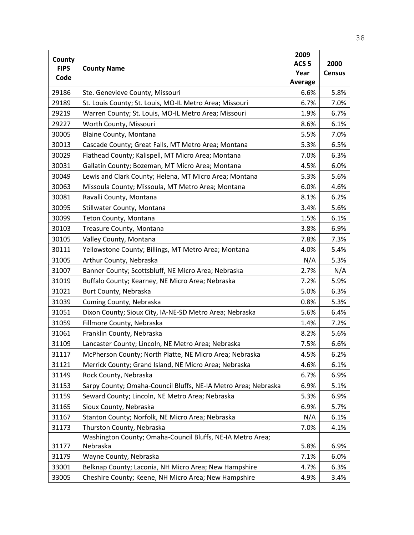| County      |                                                                | 2009             |               |
|-------------|----------------------------------------------------------------|------------------|---------------|
| <b>FIPS</b> | <b>County Name</b>                                             | ACS <sub>5</sub> | 2000          |
| Code        |                                                                | Year             | <b>Census</b> |
|             |                                                                | Average          |               |
| 29186       | Ste. Genevieve County, Missouri                                | 6.6%             | 5.8%          |
| 29189       | St. Louis County; St. Louis, MO-IL Metro Area; Missouri        | 6.7%             | 7.0%          |
| 29219       | Warren County; St. Louis, MO-IL Metro Area; Missouri           | 1.9%             | 6.7%          |
| 29227       | Worth County, Missouri                                         | 8.6%             | 6.1%          |
| 30005       | Blaine County, Montana                                         | 5.5%             | 7.0%          |
| 30013       | Cascade County; Great Falls, MT Metro Area; Montana            | 5.3%             | 6.5%          |
| 30029       | Flathead County; Kalispell, MT Micro Area; Montana             | 7.0%             | 6.3%          |
| 30031       | Gallatin County; Bozeman, MT Micro Area; Montana               | 4.5%             | 6.0%          |
| 30049       | Lewis and Clark County; Helena, MT Micro Area; Montana         | 5.3%             | 5.6%          |
| 30063       | Missoula County; Missoula, MT Metro Area; Montana              | 6.0%             | 4.6%          |
| 30081       | Ravalli County, Montana                                        | 8.1%             | 6.2%          |
| 30095       | Stillwater County, Montana                                     | 3.4%             | 5.6%          |
| 30099       | Teton County, Montana                                          | 1.5%             | 6.1%          |
| 30103       | Treasure County, Montana                                       | 3.8%             | 6.9%          |
| 30105       | Valley County, Montana                                         | 7.8%             | 7.3%          |
| 30111       | Yellowstone County; Billings, MT Metro Area; Montana           | 4.0%             | 5.4%          |
| 31005       | Arthur County, Nebraska                                        | N/A              | 5.3%          |
| 31007       | Banner County; Scottsbluff, NE Micro Area; Nebraska            | 2.7%             | N/A           |
| 31019       | Buffalo County; Kearney, NE Micro Area; Nebraska               | 7.2%             | 5.9%          |
| 31021       | Burt County, Nebraska                                          | 5.0%             | 6.3%          |
| 31039       | Cuming County, Nebraska                                        | 0.8%             | 5.3%          |
| 31051       | Dixon County; Sioux City, IA-NE-SD Metro Area; Nebraska        | 5.6%             | 6.4%          |
| 31059       | Fillmore County, Nebraska                                      | 1.4%             | 7.2%          |
| 31061       | Franklin County, Nebraska                                      | 8.2%             | 5.6%          |
| 31109       | Lancaster County; Lincoln, NE Metro Area; Nebraska             | 7.5%             | 6.6%          |
| 31117       | McPherson County; North Platte, NE Micro Area; Nebraska        | 4.5%             | 6.2%          |
| 31121       | Merrick County; Grand Island, NE Micro Area; Nebraska          | 4.6%             | 6.1%          |
| 31149       | Rock County, Nebraska                                          | 6.7%             | 6.9%          |
| 31153       | Sarpy County; Omaha-Council Bluffs, NE-IA Metro Area; Nebraska | 6.9%             | 5.1%          |
| 31159       | Seward County; Lincoln, NE Metro Area; Nebraska                | 5.3%             | 6.9%          |
| 31165       | Sioux County, Nebraska                                         | 6.9%             | 5.7%          |
| 31167       | Stanton County; Norfolk, NE Micro Area; Nebraska               | N/A              | 6.1%          |
| 31173       | Thurston County, Nebraska                                      | 7.0%             | 4.1%          |
|             | Washington County; Omaha-Council Bluffs, NE-IA Metro Area;     |                  |               |
| 31177       | Nebraska                                                       | 5.8%             | 6.9%          |
| 31179       | Wayne County, Nebraska                                         | 7.1%             | 6.0%          |
| 33001       | Belknap County; Laconia, NH Micro Area; New Hampshire          | 4.7%             | 6.3%          |
| 33005       | Cheshire County; Keene, NH Micro Area; New Hampshire           | 4.9%             | 3.4%          |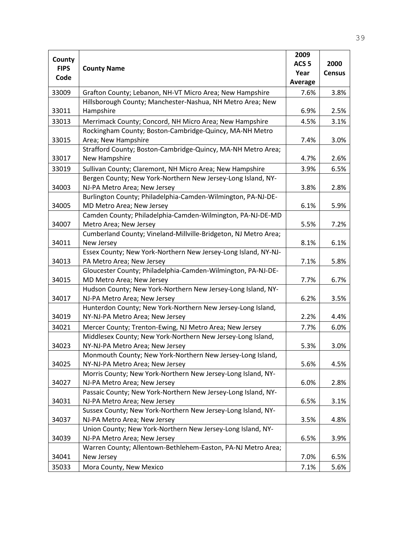|                       |                                                                                              | 2009             |               |
|-----------------------|----------------------------------------------------------------------------------------------|------------------|---------------|
| County<br><b>FIPS</b> | <b>County Name</b>                                                                           | ACS <sub>5</sub> | 2000          |
|                       |                                                                                              | Year             | <b>Census</b> |
| Code                  |                                                                                              | <b>Average</b>   |               |
| 33009                 | Grafton County; Lebanon, NH-VT Micro Area; New Hampshire                                     | 7.6%             | 3.8%          |
|                       | Hillsborough County; Manchester-Nashua, NH Metro Area; New                                   |                  |               |
| 33011                 | Hampshire                                                                                    | 6.9%             | 2.5%          |
| 33013                 | Merrimack County; Concord, NH Micro Area; New Hampshire                                      | 4.5%             | 3.1%          |
|                       | Rockingham County; Boston-Cambridge-Quincy, MA-NH Metro                                      |                  |               |
| 33015                 | Area; New Hampshire                                                                          | 7.4%             | 3.0%          |
|                       | Strafford County; Boston-Cambridge-Quincy, MA-NH Metro Area;                                 |                  |               |
| 33017                 | New Hampshire                                                                                | 4.7%             | 2.6%          |
| 33019                 | Sullivan County; Claremont, NH Micro Area; New Hampshire                                     | 3.9%             | 6.5%          |
|                       | Bergen County; New York-Northern New Jersey-Long Island, NY-                                 |                  |               |
| 34003                 | NJ-PA Metro Area; New Jersey                                                                 | 3.8%             | 2.8%          |
|                       | Burlington County; Philadelphia-Camden-Wilmington, PA-NJ-DE-                                 |                  |               |
| 34005                 | MD Metro Area; New Jersey                                                                    | 6.1%             | 5.9%          |
|                       | Camden County; Philadelphia-Camden-Wilmington, PA-NJ-DE-MD                                   |                  |               |
| 34007                 | Metro Area; New Jersey                                                                       | 5.5%             | 7.2%          |
|                       | Cumberland County; Vineland-Millville-Bridgeton, NJ Metro Area;                              |                  |               |
| 34011                 | New Jersey                                                                                   | 8.1%             | 6.1%          |
|                       | Essex County; New York-Northern New Jersey-Long Island, NY-NJ-                               |                  |               |
| 34013                 | PA Metro Area; New Jersey                                                                    | 7.1%             | 5.8%          |
|                       | Gloucester County; Philadelphia-Camden-Wilmington, PA-NJ-DE-                                 |                  |               |
| 34015                 | MD Metro Area; New Jersey                                                                    | 7.7%             | 6.7%          |
|                       | Hudson County; New York-Northern New Jersey-Long Island, NY-                                 |                  |               |
| 34017                 | NJ-PA Metro Area; New Jersey                                                                 | 6.2%             | 3.5%          |
|                       | Hunterdon County; New York-Northern New Jersey-Long Island,                                  |                  |               |
| 34019                 | NY-NJ-PA Metro Area; New Jersey                                                              | 2.2%             | 4.4%          |
| 34021                 | Mercer County; Trenton-Ewing, NJ Metro Area; New Jersey                                      | 7.7%             | 6.0%          |
|                       | Middlesex County; New York-Northern New Jersey-Long Island,                                  |                  |               |
| 34023                 | NY-NJ-PA Metro Area; New Jersey                                                              | 5.3%             | 3.0%          |
|                       | Monmouth County; New York-Northern New Jersey-Long Island,                                   |                  |               |
| 34025                 | NY-NJ-PA Metro Area; New Jersey                                                              | 5.6%             | 4.5%          |
|                       | Morris County; New York-Northern New Jersey-Long Island, NY-                                 |                  |               |
| 34027                 | NJ-PA Metro Area; New Jersey                                                                 | 6.0%             | 2.8%          |
|                       | Passaic County; New York-Northern New Jersey-Long Island, NY-                                |                  |               |
| 34031                 | NJ-PA Metro Area; New Jersey                                                                 | 6.5%             | 3.1%          |
| 34037                 | Sussex County; New York-Northern New Jersey-Long Island, NY-<br>NJ-PA Metro Area; New Jersey | 3.5%             | 4.8%          |
|                       | Union County; New York-Northern New Jersey-Long Island, NY-                                  |                  |               |
| 34039                 | NJ-PA Metro Area; New Jersey                                                                 | 6.5%             | 3.9%          |
|                       | Warren County; Allentown-Bethlehem-Easton, PA-NJ Metro Area;                                 |                  |               |
| 34041                 | New Jersey                                                                                   | 7.0%             | 6.5%          |
|                       |                                                                                              |                  |               |
| 35033                 | Mora County, New Mexico                                                                      | 7.1%             | 5.6%          |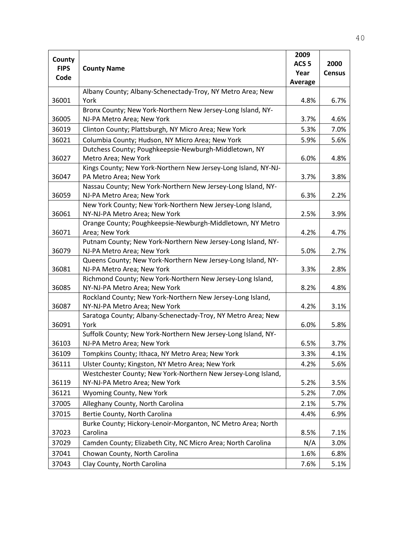|                       |                                                                                             | 2009             |               |
|-----------------------|---------------------------------------------------------------------------------------------|------------------|---------------|
| County<br><b>FIPS</b> |                                                                                             | ACS <sub>5</sub> | 2000          |
| Code                  | <b>County Name</b>                                                                          | Year             | <b>Census</b> |
|                       |                                                                                             | <b>Average</b>   |               |
|                       | Albany County; Albany-Schenectady-Troy, NY Metro Area; New                                  |                  |               |
| 36001                 | York                                                                                        | 4.8%             | 6.7%          |
|                       | Bronx County; New York-Northern New Jersey-Long Island, NY-                                 |                  |               |
| 36005                 | NJ-PA Metro Area; New York                                                                  | 3.7%             | 4.6%          |
| 36019                 | Clinton County; Plattsburgh, NY Micro Area; New York                                        | 5.3%             | 7.0%          |
| 36021                 | Columbia County; Hudson, NY Micro Area; New York                                            | 5.9%             | 5.6%          |
|                       | Dutchess County; Poughkeepsie-Newburgh-Middletown, NY                                       |                  |               |
| 36027                 | Metro Area; New York                                                                        | 6.0%             | 4.8%          |
|                       | Kings County; New York-Northern New Jersey-Long Island, NY-NJ-                              |                  |               |
| 36047                 | PA Metro Area; New York                                                                     | 3.7%             | 3.8%          |
|                       | Nassau County; New York-Northern New Jersey-Long Island, NY-                                |                  |               |
| 36059                 | NJ-PA Metro Area; New York                                                                  | 6.3%             | 2.2%          |
|                       | New York County; New York-Northern New Jersey-Long Island,                                  |                  |               |
| 36061                 | NY-NJ-PA Metro Area; New York                                                               | 2.5%             | 3.9%          |
|                       | Orange County; Poughkeepsie-Newburgh-Middletown, NY Metro                                   |                  |               |
| 36071                 | Area; New York                                                                              | 4.2%             | 4.7%          |
|                       | Putnam County; New York-Northern New Jersey-Long Island, NY-                                |                  |               |
| 36079                 | NJ-PA Metro Area; New York                                                                  | 5.0%             | 2.7%          |
|                       | Queens County; New York-Northern New Jersey-Long Island, NY-                                |                  |               |
| 36081                 | NJ-PA Metro Area; New York                                                                  | 3.3%             | 2.8%          |
| 36085                 | Richmond County; New York-Northern New Jersey-Long Island,<br>NY-NJ-PA Metro Area; New York | 8.2%             | 4.8%          |
|                       | Rockland County; New York-Northern New Jersey-Long Island,                                  |                  |               |
| 36087                 | NY-NJ-PA Metro Area; New York                                                               | 4.2%             | 3.1%          |
|                       | Saratoga County; Albany-Schenectady-Troy, NY Metro Area; New                                |                  |               |
| 36091                 | York                                                                                        | 6.0%             | 5.8%          |
|                       | Suffolk County; New York-Northern New Jersey-Long Island, NY-                               |                  |               |
| 36103                 | NJ-PA Metro Area; New York                                                                  | 6.5%             | 3.7%          |
| 36109                 | Tompkins County; Ithaca, NY Metro Area; New York                                            | 3.3%             | 4.1%          |
| 36111                 | Ulster County; Kingston, NY Metro Area; New York                                            | 4.2%             | 5.6%          |
|                       | Westchester County; New York-Northern New Jersey-Long Island,                               |                  |               |
| 36119                 | NY-NJ-PA Metro Area; New York                                                               | 5.2%             | 3.5%          |
| 36121                 | Wyoming County, New York                                                                    | 5.2%             | 7.0%          |
| 37005                 | Alleghany County, North Carolina                                                            | 2.1%             | 5.7%          |
|                       |                                                                                             |                  |               |
| 37015                 | Bertie County, North Carolina                                                               | 4.4%             | 6.9%          |
| 37023                 | Burke County; Hickory-Lenoir-Morganton, NC Metro Area; North<br>Carolina                    | 8.5%             | 7.1%          |
|                       |                                                                                             |                  |               |
| 37029                 | Camden County; Elizabeth City, NC Micro Area; North Carolina                                | N/A              | 3.0%          |
| 37041                 | Chowan County, North Carolina                                                               | 1.6%             | 6.8%          |
| 37043                 | Clay County, North Carolina                                                                 | 7.6%             | 5.1%          |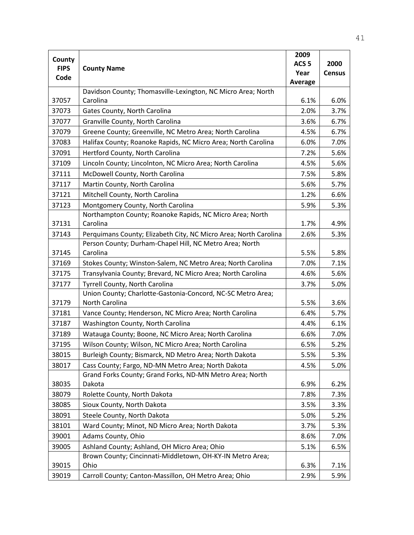|             |                                                                  | 2009             |               |
|-------------|------------------------------------------------------------------|------------------|---------------|
| County      |                                                                  | ACS <sub>5</sub> | 2000          |
| <b>FIPS</b> | <b>County Name</b>                                               | Year             | <b>Census</b> |
| Code        |                                                                  | <b>Average</b>   |               |
|             | Davidson County; Thomasville-Lexington, NC Micro Area; North     |                  |               |
| 37057       | Carolina                                                         | 6.1%             | 6.0%          |
| 37073       | Gates County, North Carolina                                     | 2.0%             | 3.7%          |
| 37077       | Granville County, North Carolina                                 | 3.6%             | 6.7%          |
| 37079       | Greene County; Greenville, NC Metro Area; North Carolina         | 4.5%             | 6.7%          |
| 37083       | Halifax County; Roanoke Rapids, NC Micro Area; North Carolina    | 6.0%             | 7.0%          |
| 37091       | Hertford County, North Carolina                                  | 7.2%             | 5.6%          |
| 37109       | Lincoln County; Lincolnton, NC Micro Area; North Carolina        | 4.5%             | 5.6%          |
| 37111       | McDowell County, North Carolina                                  | 7.5%             | 5.8%          |
| 37117       | Martin County, North Carolina                                    | 5.6%             | 5.7%          |
| 37121       | Mitchell County, North Carolina                                  | 1.2%             | 6.6%          |
| 37123       | Montgomery County, North Carolina                                | 5.9%             | 5.3%          |
|             | Northampton County; Roanoke Rapids, NC Micro Area; North         |                  |               |
| 37131       | Carolina                                                         | 1.7%             | 4.9%          |
| 37143       | Perquimans County; Elizabeth City, NC Micro Area; North Carolina | 2.6%             | 5.3%          |
|             | Person County; Durham-Chapel Hill, NC Metro Area; North          |                  |               |
| 37145       | Carolina                                                         | 5.5%             | 5.8%          |
| 37169       | Stokes County; Winston-Salem, NC Metro Area; North Carolina      | 7.0%             | 7.1%          |
| 37175       | Transylvania County; Brevard, NC Micro Area; North Carolina      | 4.6%             | 5.6%          |
| 37177       | Tyrrell County, North Carolina                                   | 3.7%             | 5.0%          |
|             | Union County; Charlotte-Gastonia-Concord, NC-SC Metro Area;      |                  |               |
| 37179       | North Carolina                                                   | 5.5%             | 3.6%          |
| 37181       | Vance County; Henderson, NC Micro Area; North Carolina           | 6.4%             | 5.7%          |
| 37187       | Washington County, North Carolina                                | 4.4%             | 6.1%          |
| 37189       | Watauga County; Boone, NC Micro Area; North Carolina             | 6.6%             | 7.0%          |
| 37195       | Wilson County; Wilson, NC Micro Area; North Carolina             | 6.5%             | 5.2%          |
| 38015       | Burleigh County; Bismarck, ND Metro Area; North Dakota           | 5.5%             | 5.3%          |
| 38017       | Cass County; Fargo, ND-MN Metro Area; North Dakota               | 4.5%             | 5.0%          |
|             | Grand Forks County; Grand Forks, ND-MN Metro Area; North         |                  |               |
| 38035       | Dakota                                                           | 6.9%             | 6.2%          |
| 38079       | Rolette County, North Dakota                                     | 7.8%             | 7.3%          |
| 38085       | Sioux County, North Dakota                                       | 3.5%             | 3.3%          |
| 38091       | Steele County, North Dakota                                      | 5.0%             | 5.2%          |
| 38101       | Ward County; Minot, ND Micro Area; North Dakota                  | 3.7%             | 5.3%          |
| 39001       | Adams County, Ohio                                               | 8.6%             | 7.0%          |
| 39005       | Ashland County; Ashland, OH Micro Area; Ohio                     | 5.1%             | 6.5%          |
|             | Brown County; Cincinnati-Middletown, OH-KY-IN Metro Area;        |                  |               |
| 39015       | Ohio                                                             | 6.3%             | 7.1%          |
| 39019       | Carroll County; Canton-Massillon, OH Metro Area; Ohio            | 2.9%             | 5.9%          |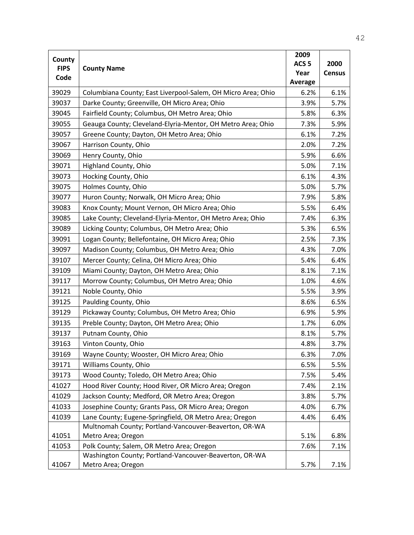|                     |                                                              | 2009             |               |
|---------------------|--------------------------------------------------------------|------------------|---------------|
| County              |                                                              | ACS <sub>5</sub> | 2000          |
| <b>FIPS</b><br>Code | <b>County Name</b>                                           | Year             | <b>Census</b> |
|                     |                                                              | Average          |               |
| 39029               | Columbiana County; East Liverpool-Salem, OH Micro Area; Ohio | 6.2%             | 6.1%          |
| 39037               | Darke County; Greenville, OH Micro Area; Ohio                | 3.9%             | 5.7%          |
| 39045               | Fairfield County; Columbus, OH Metro Area; Ohio              | 5.8%             | 6.3%          |
| 39055               | Geauga County; Cleveland-Elyria-Mentor, OH Metro Area; Ohio  | 7.3%             | 5.9%          |
| 39057               | Greene County; Dayton, OH Metro Area; Ohio                   | 6.1%             | 7.2%          |
| 39067               | Harrison County, Ohio                                        | 2.0%             | 7.2%          |
| 39069               | Henry County, Ohio                                           | 5.9%             | 6.6%          |
| 39071               | Highland County, Ohio                                        | 5.0%             | 7.1%          |
| 39073               | Hocking County, Ohio                                         | 6.1%             | 4.3%          |
| 39075               | Holmes County, Ohio                                          | 5.0%             | 5.7%          |
| 39077               | Huron County; Norwalk, OH Micro Area; Ohio                   | 7.9%             | 5.8%          |
| 39083               | Knox County; Mount Vernon, OH Micro Area; Ohio               | 5.5%             | 6.4%          |
| 39085               | Lake County; Cleveland-Elyria-Mentor, OH Metro Area; Ohio    | 7.4%             | 6.3%          |
| 39089               | Licking County; Columbus, OH Metro Area; Ohio                | 5.3%             | 6.5%          |
| 39091               | Logan County; Bellefontaine, OH Micro Area; Ohio             | 2.5%             | 7.3%          |
| 39097               | Madison County; Columbus, OH Metro Area; Ohio                | 4.3%             | 7.0%          |
| 39107               | Mercer County; Celina, OH Micro Area; Ohio                   | 5.4%             | 6.4%          |
| 39109               | Miami County; Dayton, OH Metro Area; Ohio                    | 8.1%             | 7.1%          |
| 39117               | Morrow County; Columbus, OH Metro Area; Ohio                 | 1.0%             | 4.6%          |
| 39121               | Noble County, Ohio                                           | 5.5%             | 3.9%          |
| 39125               | Paulding County, Ohio                                        | 8.6%             | 6.5%          |
| 39129               | Pickaway County; Columbus, OH Metro Area; Ohio               | 6.9%             | 5.9%          |
| 39135               | Preble County; Dayton, OH Metro Area; Ohio                   | 1.7%             | 6.0%          |
| 39137               | Putnam County, Ohio                                          | 8.1%             | 5.7%          |
| 39163               | Vinton County, Ohio                                          | 4.8%             | 3.7%          |
| 39169               | Wayne County; Wooster, OH Micro Area; Ohio                   | 6.3%             | 7.0%          |
| 39171               | Williams County, Ohio                                        | 6.5%             | 5.5%          |
| 39173               | Wood County; Toledo, OH Metro Area; Ohio                     | 7.5%             | 5.4%          |
| 41027               | Hood River County; Hood River, OR Micro Area; Oregon         | 7.4%             | 2.1%          |
| 41029               | Jackson County; Medford, OR Metro Area; Oregon               | 3.8%             | 5.7%          |
| 41033               | Josephine County; Grants Pass, OR Micro Area; Oregon         | 4.0%             | 6.7%          |
| 41039               | Lane County; Eugene-Springfield, OR Metro Area; Oregon       | 4.4%             | 6.4%          |
|                     | Multnomah County; Portland-Vancouver-Beaverton, OR-WA        |                  |               |
| 41051               | Metro Area; Oregon                                           | 5.1%             | 6.8%          |
| 41053               | Polk County; Salem, OR Metro Area; Oregon                    | 7.6%             | 7.1%          |
|                     | Washington County; Portland-Vancouver-Beaverton, OR-WA       |                  |               |
| 41067               | Metro Area; Oregon                                           | 5.7%             | 7.1%          |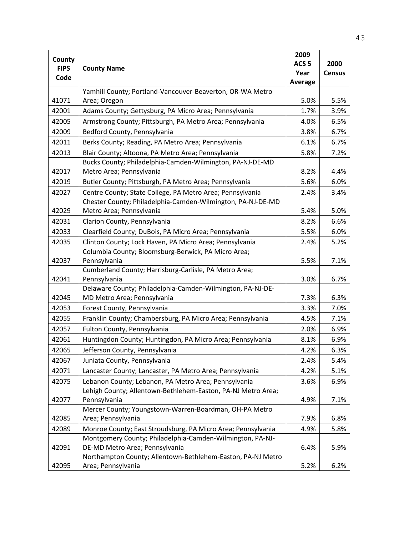|             |                                                                                                                           | 2009             |               |
|-------------|---------------------------------------------------------------------------------------------------------------------------|------------------|---------------|
| County      |                                                                                                                           | ACS <sub>5</sub> | 2000          |
| <b>FIPS</b> | <b>County Name</b>                                                                                                        | Year             | <b>Census</b> |
| Code        |                                                                                                                           | Average          |               |
|             | Yamhill County; Portland-Vancouver-Beaverton, OR-WA Metro                                                                 |                  |               |
| 41071       | Area; Oregon                                                                                                              | 5.0%             | 5.5%          |
| 42001       | Adams County; Gettysburg, PA Micro Area; Pennsylvania                                                                     | 1.7%             | 3.9%          |
| 42005       | Armstrong County; Pittsburgh, PA Metro Area; Pennsylvania                                                                 | 4.0%             | 6.5%          |
| 42009       | Bedford County, Pennsylvania                                                                                              | 3.8%             | 6.7%          |
| 42011       | Berks County; Reading, PA Metro Area; Pennsylvania                                                                        | 6.1%             | 6.7%          |
| 42013       | Blair County; Altoona, PA Metro Area; Pennsylvania                                                                        | 5.8%             | 7.2%          |
|             | Bucks County; Philadelphia-Camden-Wilmington, PA-NJ-DE-MD                                                                 |                  |               |
| 42017       | Metro Area; Pennsylvania                                                                                                  | 8.2%             | 4.4%          |
| 42019       | Butler County; Pittsburgh, PA Metro Area; Pennsylvania                                                                    | 5.6%             | 6.0%          |
| 42027       | Centre County; State College, PA Metro Area; Pennsylvania                                                                 | 2.4%             | 3.4%          |
|             | Chester County; Philadelphia-Camden-Wilmington, PA-NJ-DE-MD                                                               |                  |               |
| 42029       | Metro Area; Pennsylvania                                                                                                  | 5.4%             | 5.0%          |
| 42031       | Clarion County, Pennsylvania                                                                                              | 8.2%             | 6.6%          |
| 42033       | Clearfield County; DuBois, PA Micro Area; Pennsylvania                                                                    | 5.5%             | 6.0%          |
| 42035       | Clinton County; Lock Haven, PA Micro Area; Pennsylvania                                                                   | 2.4%             | 5.2%          |
|             | Columbia County; Bloomsburg-Berwick, PA Micro Area;                                                                       |                  |               |
| 42037       | Pennsylvania                                                                                                              | 5.5%             | 7.1%          |
|             | Cumberland County; Harrisburg-Carlisle, PA Metro Area;                                                                    |                  |               |
| 42041       | Pennsylvania                                                                                                              | 3.0%             | 6.7%          |
|             | Delaware County; Philadelphia-Camden-Wilmington, PA-NJ-DE-                                                                |                  |               |
| 42045       | MD Metro Area; Pennsylvania                                                                                               | 7.3%             | 6.3%          |
| 42053       | Forest County, Pennsylvania                                                                                               | 3.3%             | 7.0%          |
| 42055       | Franklin County; Chambersburg, PA Micro Area; Pennsylvania                                                                | 4.5%             | 7.1%          |
| 42057       | Fulton County, Pennsylvania                                                                                               | 2.0%             | 6.9%          |
| 42061       | Huntingdon County; Huntingdon, PA Micro Area; Pennsylvania                                                                | 8.1%             | 6.9%          |
| 42065       | Jefferson County, Pennsylvania                                                                                            | 4.2%             | 6.3%          |
| 42067       | Juniata County, Pennsylvania                                                                                              | 2.4%             | 5.4%          |
| 42071       | Lancaster County; Lancaster, PA Metro Area; Pennsylvania                                                                  | 4.2%             | 5.1%          |
| 42075       | Lebanon County; Lebanon, PA Metro Area; Pennsylvania                                                                      | 3.6%             | 6.9%          |
|             | Lehigh County; Allentown-Bethlehem-Easton, PA-NJ Metro Area;                                                              |                  |               |
| 42077       | Pennsylvania                                                                                                              | 4.9%             | 7.1%          |
|             | Mercer County; Youngstown-Warren-Boardman, OH-PA Metro                                                                    |                  | 6.8%          |
| 42085       | Area; Pennsylvania                                                                                                        | 7.9%             |               |
| 42089       | Monroe County; East Stroudsburg, PA Micro Area; Pennsylvania<br>Montgomery County; Philadelphia-Camden-Wilmington, PA-NJ- | 4.9%             | 5.8%          |
| 42091       | DE-MD Metro Area; Pennsylvania                                                                                            | 6.4%             | 5.9%          |
|             | Northampton County; Allentown-Bethlehem-Easton, PA-NJ Metro                                                               |                  |               |
| 42095       | Area; Pennsylvania                                                                                                        | 5.2%             | 6.2%          |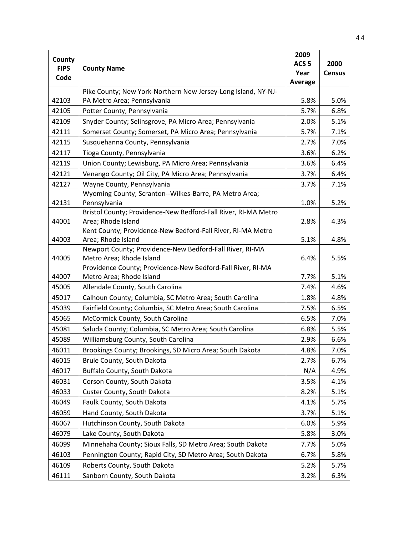|                       |                                                                                      | 2009             |               |
|-----------------------|--------------------------------------------------------------------------------------|------------------|---------------|
| County<br><b>FIPS</b> |                                                                                      | ACS <sub>5</sub> | 2000          |
| Code                  | <b>County Name</b>                                                                   | Year             | <b>Census</b> |
|                       |                                                                                      | <b>Average</b>   |               |
|                       | Pike County; New York-Northern New Jersey-Long Island, NY-NJ-                        |                  |               |
| 42103                 | PA Metro Area; Pennsylvania                                                          | 5.8%             | 5.0%          |
| 42105                 | Potter County, Pennsylvania                                                          | 5.7%             | 6.8%          |
| 42109                 | Snyder County; Selinsgrove, PA Micro Area; Pennsylvania                              | 2.0%             | 5.1%          |
| 42111                 | Somerset County; Somerset, PA Micro Area; Pennsylvania                               | 5.7%             | 7.1%          |
| 42115                 | Susquehanna County, Pennsylvania                                                     | 2.7%             | 7.0%          |
| 42117                 | Tioga County, Pennsylvania                                                           | 3.6%             | 6.2%          |
| 42119                 | Union County; Lewisburg, PA Micro Area; Pennsylvania                                 | 3.6%             | 6.4%          |
| 42121                 | Venango County; Oil City, PA Micro Area; Pennsylvania                                | 3.7%             | 6.4%          |
| 42127                 | Wayne County, Pennsylvania                                                           | 3.7%             | 7.1%          |
|                       | Wyoming County; Scranton--Wilkes-Barre, PA Metro Area;                               |                  |               |
| 42131                 | Pennsylvania                                                                         | 1.0%             | 5.2%          |
|                       | Bristol County; Providence-New Bedford-Fall River, RI-MA Metro                       |                  |               |
| 44001                 | Area; Rhode Island                                                                   | 2.8%             | 4.3%          |
|                       | Kent County; Providence-New Bedford-Fall River, RI-MA Metro                          |                  |               |
| 44003                 | Area; Rhode Island                                                                   | 5.1%             | 4.8%          |
| 44005                 | Newport County; Providence-New Bedford-Fall River, RI-MA<br>Metro Area; Rhode Island | 6.4%             | 5.5%          |
|                       | Providence County; Providence-New Bedford-Fall River, RI-MA                          |                  |               |
| 44007                 | Metro Area; Rhode Island                                                             | 7.7%             | 5.1%          |
| 45005                 | Allendale County, South Carolina                                                     | 7.4%             | 4.6%          |
| 45017                 | Calhoun County; Columbia, SC Metro Area; South Carolina                              | 1.8%             | 4.8%          |
| 45039                 | Fairfield County; Columbia, SC Metro Area; South Carolina                            | 7.5%             | 6.5%          |
| 45065                 | McCormick County, South Carolina                                                     | 6.5%             | 7.0%          |
| 45081                 | Saluda County; Columbia, SC Metro Area; South Carolina                               | 6.8%             | 5.5%          |
| 45089                 | Williamsburg County, South Carolina                                                  | 2.9%             | 6.6%          |
| 46011                 | Brookings County; Brookings, SD Micro Area; South Dakota                             | 4.8%             | 7.0%          |
| 46015                 | Brule County, South Dakota                                                           | 2.7%             | 6.7%          |
| 46017                 | Buffalo County, South Dakota                                                         | N/A              | 4.9%          |
| 46031                 | Corson County, South Dakota                                                          | 3.5%             | 4.1%          |
| 46033                 | Custer County, South Dakota                                                          | 8.2%             | 5.1%          |
| 46049                 | Faulk County, South Dakota                                                           | 4.1%             | 5.7%          |
| 46059                 | Hand County, South Dakota                                                            | 3.7%             | 5.1%          |
| 46067                 | Hutchinson County, South Dakota                                                      | 6.0%             | 5.9%          |
| 46079                 | Lake County, South Dakota                                                            | 5.8%             | 3.0%          |
| 46099                 | Minnehaha County; Sioux Falls, SD Metro Area; South Dakota                           | 7.7%             | 5.0%          |
| 46103                 | Pennington County; Rapid City, SD Metro Area; South Dakota                           | 6.7%             | 5.8%          |
| 46109                 | Roberts County, South Dakota                                                         | 5.2%             | 5.7%          |
|                       |                                                                                      |                  |               |
| 46111                 | Sanborn County, South Dakota                                                         | 3.2%             | 6.3%          |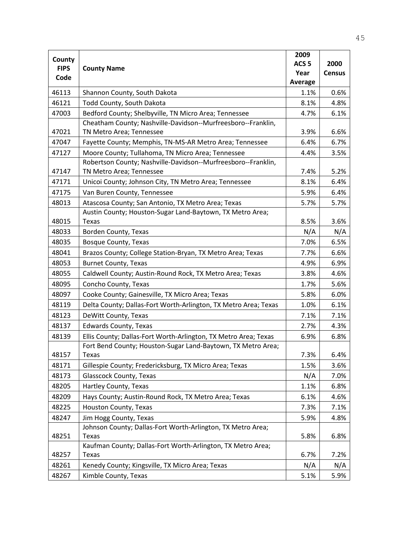|                       |                                                                 | 2009             |               |
|-----------------------|-----------------------------------------------------------------|------------------|---------------|
| County<br><b>FIPS</b> | <b>County Name</b>                                              | ACS <sub>5</sub> | 2000          |
| Code                  |                                                                 | Year             | <b>Census</b> |
|                       |                                                                 | Average          |               |
| 46113                 | Shannon County, South Dakota                                    | 1.1%             | 0.6%          |
| 46121                 | Todd County, South Dakota                                       | 8.1%             | 4.8%          |
| 47003                 | Bedford County; Shelbyville, TN Micro Area; Tennessee           | 4.7%             | 6.1%          |
|                       | Cheatham County; Nashville-Davidson--Murfreesboro--Franklin,    |                  |               |
| 47021                 | TN Metro Area; Tennessee                                        | 3.9%             | 6.6%          |
| 47047                 | Fayette County; Memphis, TN-MS-AR Metro Area; Tennessee         | 6.4%             | 6.7%          |
| 47127                 | Moore County; Tullahoma, TN Micro Area; Tennessee               | 4.4%             | 3.5%          |
|                       | Robertson County; Nashville-Davidson--Murfreesboro--Franklin,   |                  |               |
| 47147                 | TN Metro Area; Tennessee                                        | 7.4%             | 5.2%          |
| 47171                 | Unicoi County; Johnson City, TN Metro Area; Tennessee           | 8.1%             | 6.4%          |
| 47175                 | Van Buren County, Tennessee                                     | 5.9%             | 6.4%          |
| 48013                 | Atascosa County; San Antonio, TX Metro Area; Texas              | 5.7%             | 5.7%          |
|                       | Austin County; Houston-Sugar Land-Baytown, TX Metro Area;       |                  |               |
| 48015                 | <b>Texas</b>                                                    | 8.5%             | 3.6%          |
| 48033                 | Borden County, Texas                                            | N/A              | N/A           |
| 48035                 | <b>Bosque County, Texas</b>                                     | 7.0%             | 6.5%          |
| 48041                 | Brazos County; College Station-Bryan, TX Metro Area; Texas      | 7.7%             | 6.6%          |
| 48053                 | <b>Burnet County, Texas</b>                                     | 4.9%             | 6.9%          |
| 48055                 | Caldwell County; Austin-Round Rock, TX Metro Area; Texas        | 3.8%             | 4.6%          |
| 48095                 | Concho County, Texas                                            | 1.7%             | 5.6%          |
| 48097                 | Cooke County; Gainesville, TX Micro Area; Texas                 | 5.8%             | 6.0%          |
| 48119                 | Delta County; Dallas-Fort Worth-Arlington, TX Metro Area; Texas | 1.0%             | 6.1%          |
| 48123                 | DeWitt County, Texas                                            | 7.1%             | 7.1%          |
| 48137                 | <b>Edwards County, Texas</b>                                    | 2.7%             | 4.3%          |
| 48139                 | Ellis County; Dallas-Fort Worth-Arlington, TX Metro Area; Texas | 6.9%             | 6.8%          |
|                       | Fort Bend County; Houston-Sugar Land-Baytown, TX Metro Area;    |                  |               |
| 48157                 | Texas                                                           | 7.3%             | 6.4%          |
| 48171                 | Gillespie County; Fredericksburg, TX Micro Area; Texas          | 1.5%             | 3.6%          |
| 48173                 | Glasscock County, Texas                                         | N/A              | 7.0%          |
| 48205                 | Hartley County, Texas                                           | 1.1%             | 6.8%          |
| 48209                 | Hays County; Austin-Round Rock, TX Metro Area; Texas            | 6.1%             | 4.6%          |
| 48225                 | Houston County, Texas                                           | 7.3%             | 7.1%          |
| 48247                 | Jim Hogg County, Texas                                          | 5.9%             | 4.8%          |
|                       | Johnson County; Dallas-Fort Worth-Arlington, TX Metro Area;     |                  |               |
| 48251                 | Texas                                                           | 5.8%             | 6.8%          |
|                       | Kaufman County; Dallas-Fort Worth-Arlington, TX Metro Area;     |                  |               |
| 48257                 | Texas                                                           | 6.7%             | 7.2%          |
| 48261                 | Kenedy County; Kingsville, TX Micro Area; Texas                 | N/A              | N/A           |
| 48267                 | Kimble County, Texas                                            | 5.1%             | 5.9%          |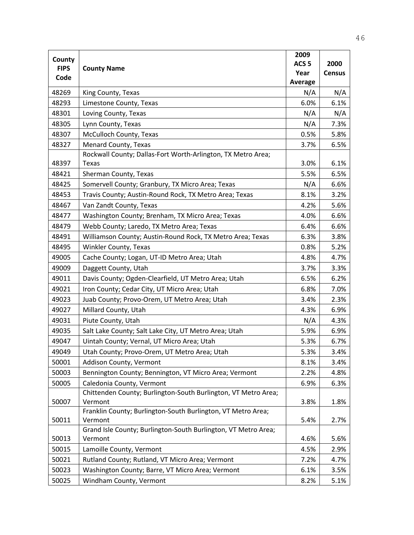| County<br>ACS <sub>5</sub><br>2000<br><b>FIPS</b><br><b>County Name</b><br>Year<br><b>Census</b><br>Code<br><b>Average</b><br>48269<br>King County, Texas<br>N/A<br>N/A<br>6.1%<br>48293<br>Limestone County, Texas<br>6.0%<br>Loving County, Texas<br>48301<br>N/A<br>N/A<br>48305<br>Lynn County, Texas<br>N/A<br>7.3%<br>McCulloch County, Texas<br>48307<br>0.5%<br>5.8%<br>Menard County, Texas<br>3.7%<br>6.5%<br>48327<br>Rockwall County; Dallas-Fort Worth-Arlington, TX Metro Area;<br>48397<br>3.0%<br>6.1%<br>Texas<br>6.5%<br>Sherman County, Texas<br>5.5%<br>48421<br>Somervell County; Granbury, TX Micro Area; Texas<br>N/A<br>6.6%<br>48425<br>Travis County; Austin-Round Rock, TX Metro Area; Texas<br>3.2%<br>48453<br>8.1%<br>Van Zandt County, Texas<br>5.6%<br>48467<br>4.2%<br>Washington County; Brenham, TX Micro Area; Texas<br>6.6%<br>48477<br>4.0%<br>Webb County; Laredo, TX Metro Area; Texas<br>6.6%<br>48479<br>6.4%<br>Williamson County; Austin-Round Rock, TX Metro Area; Texas<br>3.8%<br>48491<br>6.3%<br>48495<br>Winkler County, Texas<br>0.8%<br>5.2%<br>49005<br>Cache County; Logan, UT-ID Metro Area; Utah<br>4.8%<br>4.7%<br>49009<br>Daggett County, Utah<br>3.7%<br>3.3%<br>49011<br>Davis County; Ogden-Clearfield, UT Metro Area; Utah<br>6.2%<br>6.5%<br>Iron County; Cedar City, UT Micro Area; Utah<br>6.8%<br>7.0%<br>49021<br>2.3%<br>49023<br>Juab County; Provo-Orem, UT Metro Area; Utah<br>3.4%<br>Millard County, Utah<br>49027<br>4.3%<br>6.9%<br>4.3%<br>49031<br>Piute County, Utah<br>N/A<br>Salt Lake County; Salt Lake City, UT Metro Area; Utah<br>5.9%<br>6.9%<br>49035<br>Uintah County; Vernal, UT Micro Area; Utah<br>5.3%<br>49047<br>6.7%<br>5.3%<br>3.4%<br>49049<br>Utah County; Provo-Orem, UT Metro Area; Utah<br>Addison County, Vermont<br>50001<br>8.1%<br>3.4%<br>50003<br>Bennington County; Bennington, VT Micro Area; Vermont<br>2.2%<br>4.8%<br>Caledonia County, Vermont<br>50005<br>6.9%<br>6.3% |                                                                | 2009 |  |
|------------------------------------------------------------------------------------------------------------------------------------------------------------------------------------------------------------------------------------------------------------------------------------------------------------------------------------------------------------------------------------------------------------------------------------------------------------------------------------------------------------------------------------------------------------------------------------------------------------------------------------------------------------------------------------------------------------------------------------------------------------------------------------------------------------------------------------------------------------------------------------------------------------------------------------------------------------------------------------------------------------------------------------------------------------------------------------------------------------------------------------------------------------------------------------------------------------------------------------------------------------------------------------------------------------------------------------------------------------------------------------------------------------------------------------------------------------------------------------------------------------------------------------------------------------------------------------------------------------------------------------------------------------------------------------------------------------------------------------------------------------------------------------------------------------------------------------------------------------------------------------------------------------------------------------------------------------------------------------------|----------------------------------------------------------------|------|--|
|                                                                                                                                                                                                                                                                                                                                                                                                                                                                                                                                                                                                                                                                                                                                                                                                                                                                                                                                                                                                                                                                                                                                                                                                                                                                                                                                                                                                                                                                                                                                                                                                                                                                                                                                                                                                                                                                                                                                                                                          |                                                                |      |  |
|                                                                                                                                                                                                                                                                                                                                                                                                                                                                                                                                                                                                                                                                                                                                                                                                                                                                                                                                                                                                                                                                                                                                                                                                                                                                                                                                                                                                                                                                                                                                                                                                                                                                                                                                                                                                                                                                                                                                                                                          |                                                                |      |  |
|                                                                                                                                                                                                                                                                                                                                                                                                                                                                                                                                                                                                                                                                                                                                                                                                                                                                                                                                                                                                                                                                                                                                                                                                                                                                                                                                                                                                                                                                                                                                                                                                                                                                                                                                                                                                                                                                                                                                                                                          |                                                                |      |  |
|                                                                                                                                                                                                                                                                                                                                                                                                                                                                                                                                                                                                                                                                                                                                                                                                                                                                                                                                                                                                                                                                                                                                                                                                                                                                                                                                                                                                                                                                                                                                                                                                                                                                                                                                                                                                                                                                                                                                                                                          |                                                                |      |  |
|                                                                                                                                                                                                                                                                                                                                                                                                                                                                                                                                                                                                                                                                                                                                                                                                                                                                                                                                                                                                                                                                                                                                                                                                                                                                                                                                                                                                                                                                                                                                                                                                                                                                                                                                                                                                                                                                                                                                                                                          |                                                                |      |  |
|                                                                                                                                                                                                                                                                                                                                                                                                                                                                                                                                                                                                                                                                                                                                                                                                                                                                                                                                                                                                                                                                                                                                                                                                                                                                                                                                                                                                                                                                                                                                                                                                                                                                                                                                                                                                                                                                                                                                                                                          |                                                                |      |  |
|                                                                                                                                                                                                                                                                                                                                                                                                                                                                                                                                                                                                                                                                                                                                                                                                                                                                                                                                                                                                                                                                                                                                                                                                                                                                                                                                                                                                                                                                                                                                                                                                                                                                                                                                                                                                                                                                                                                                                                                          |                                                                |      |  |
|                                                                                                                                                                                                                                                                                                                                                                                                                                                                                                                                                                                                                                                                                                                                                                                                                                                                                                                                                                                                                                                                                                                                                                                                                                                                                                                                                                                                                                                                                                                                                                                                                                                                                                                                                                                                                                                                                                                                                                                          |                                                                |      |  |
|                                                                                                                                                                                                                                                                                                                                                                                                                                                                                                                                                                                                                                                                                                                                                                                                                                                                                                                                                                                                                                                                                                                                                                                                                                                                                                                                                                                                                                                                                                                                                                                                                                                                                                                                                                                                                                                                                                                                                                                          |                                                                |      |  |
|                                                                                                                                                                                                                                                                                                                                                                                                                                                                                                                                                                                                                                                                                                                                                                                                                                                                                                                                                                                                                                                                                                                                                                                                                                                                                                                                                                                                                                                                                                                                                                                                                                                                                                                                                                                                                                                                                                                                                                                          |                                                                |      |  |
|                                                                                                                                                                                                                                                                                                                                                                                                                                                                                                                                                                                                                                                                                                                                                                                                                                                                                                                                                                                                                                                                                                                                                                                                                                                                                                                                                                                                                                                                                                                                                                                                                                                                                                                                                                                                                                                                                                                                                                                          |                                                                |      |  |
|                                                                                                                                                                                                                                                                                                                                                                                                                                                                                                                                                                                                                                                                                                                                                                                                                                                                                                                                                                                                                                                                                                                                                                                                                                                                                                                                                                                                                                                                                                                                                                                                                                                                                                                                                                                                                                                                                                                                                                                          |                                                                |      |  |
|                                                                                                                                                                                                                                                                                                                                                                                                                                                                                                                                                                                                                                                                                                                                                                                                                                                                                                                                                                                                                                                                                                                                                                                                                                                                                                                                                                                                                                                                                                                                                                                                                                                                                                                                                                                                                                                                                                                                                                                          |                                                                |      |  |
|                                                                                                                                                                                                                                                                                                                                                                                                                                                                                                                                                                                                                                                                                                                                                                                                                                                                                                                                                                                                                                                                                                                                                                                                                                                                                                                                                                                                                                                                                                                                                                                                                                                                                                                                                                                                                                                                                                                                                                                          |                                                                |      |  |
|                                                                                                                                                                                                                                                                                                                                                                                                                                                                                                                                                                                                                                                                                                                                                                                                                                                                                                                                                                                                                                                                                                                                                                                                                                                                                                                                                                                                                                                                                                                                                                                                                                                                                                                                                                                                                                                                                                                                                                                          |                                                                |      |  |
|                                                                                                                                                                                                                                                                                                                                                                                                                                                                                                                                                                                                                                                                                                                                                                                                                                                                                                                                                                                                                                                                                                                                                                                                                                                                                                                                                                                                                                                                                                                                                                                                                                                                                                                                                                                                                                                                                                                                                                                          |                                                                |      |  |
|                                                                                                                                                                                                                                                                                                                                                                                                                                                                                                                                                                                                                                                                                                                                                                                                                                                                                                                                                                                                                                                                                                                                                                                                                                                                                                                                                                                                                                                                                                                                                                                                                                                                                                                                                                                                                                                                                                                                                                                          |                                                                |      |  |
|                                                                                                                                                                                                                                                                                                                                                                                                                                                                                                                                                                                                                                                                                                                                                                                                                                                                                                                                                                                                                                                                                                                                                                                                                                                                                                                                                                                                                                                                                                                                                                                                                                                                                                                                                                                                                                                                                                                                                                                          |                                                                |      |  |
|                                                                                                                                                                                                                                                                                                                                                                                                                                                                                                                                                                                                                                                                                                                                                                                                                                                                                                                                                                                                                                                                                                                                                                                                                                                                                                                                                                                                                                                                                                                                                                                                                                                                                                                                                                                                                                                                                                                                                                                          |                                                                |      |  |
|                                                                                                                                                                                                                                                                                                                                                                                                                                                                                                                                                                                                                                                                                                                                                                                                                                                                                                                                                                                                                                                                                                                                                                                                                                                                                                                                                                                                                                                                                                                                                                                                                                                                                                                                                                                                                                                                                                                                                                                          |                                                                |      |  |
|                                                                                                                                                                                                                                                                                                                                                                                                                                                                                                                                                                                                                                                                                                                                                                                                                                                                                                                                                                                                                                                                                                                                                                                                                                                                                                                                                                                                                                                                                                                                                                                                                                                                                                                                                                                                                                                                                                                                                                                          |                                                                |      |  |
|                                                                                                                                                                                                                                                                                                                                                                                                                                                                                                                                                                                                                                                                                                                                                                                                                                                                                                                                                                                                                                                                                                                                                                                                                                                                                                                                                                                                                                                                                                                                                                                                                                                                                                                                                                                                                                                                                                                                                                                          |                                                                |      |  |
|                                                                                                                                                                                                                                                                                                                                                                                                                                                                                                                                                                                                                                                                                                                                                                                                                                                                                                                                                                                                                                                                                                                                                                                                                                                                                                                                                                                                                                                                                                                                                                                                                                                                                                                                                                                                                                                                                                                                                                                          |                                                                |      |  |
|                                                                                                                                                                                                                                                                                                                                                                                                                                                                                                                                                                                                                                                                                                                                                                                                                                                                                                                                                                                                                                                                                                                                                                                                                                                                                                                                                                                                                                                                                                                                                                                                                                                                                                                                                                                                                                                                                                                                                                                          |                                                                |      |  |
|                                                                                                                                                                                                                                                                                                                                                                                                                                                                                                                                                                                                                                                                                                                                                                                                                                                                                                                                                                                                                                                                                                                                                                                                                                                                                                                                                                                                                                                                                                                                                                                                                                                                                                                                                                                                                                                                                                                                                                                          |                                                                |      |  |
|                                                                                                                                                                                                                                                                                                                                                                                                                                                                                                                                                                                                                                                                                                                                                                                                                                                                                                                                                                                                                                                                                                                                                                                                                                                                                                                                                                                                                                                                                                                                                                                                                                                                                                                                                                                                                                                                                                                                                                                          |                                                                |      |  |
|                                                                                                                                                                                                                                                                                                                                                                                                                                                                                                                                                                                                                                                                                                                                                                                                                                                                                                                                                                                                                                                                                                                                                                                                                                                                                                                                                                                                                                                                                                                                                                                                                                                                                                                                                                                                                                                                                                                                                                                          |                                                                |      |  |
|                                                                                                                                                                                                                                                                                                                                                                                                                                                                                                                                                                                                                                                                                                                                                                                                                                                                                                                                                                                                                                                                                                                                                                                                                                                                                                                                                                                                                                                                                                                                                                                                                                                                                                                                                                                                                                                                                                                                                                                          |                                                                |      |  |
|                                                                                                                                                                                                                                                                                                                                                                                                                                                                                                                                                                                                                                                                                                                                                                                                                                                                                                                                                                                                                                                                                                                                                                                                                                                                                                                                                                                                                                                                                                                                                                                                                                                                                                                                                                                                                                                                                                                                                                                          |                                                                |      |  |
|                                                                                                                                                                                                                                                                                                                                                                                                                                                                                                                                                                                                                                                                                                                                                                                                                                                                                                                                                                                                                                                                                                                                                                                                                                                                                                                                                                                                                                                                                                                                                                                                                                                                                                                                                                                                                                                                                                                                                                                          |                                                                |      |  |
|                                                                                                                                                                                                                                                                                                                                                                                                                                                                                                                                                                                                                                                                                                                                                                                                                                                                                                                                                                                                                                                                                                                                                                                                                                                                                                                                                                                                                                                                                                                                                                                                                                                                                                                                                                                                                                                                                                                                                                                          |                                                                |      |  |
|                                                                                                                                                                                                                                                                                                                                                                                                                                                                                                                                                                                                                                                                                                                                                                                                                                                                                                                                                                                                                                                                                                                                                                                                                                                                                                                                                                                                                                                                                                                                                                                                                                                                                                                                                                                                                                                                                                                                                                                          |                                                                |      |  |
|                                                                                                                                                                                                                                                                                                                                                                                                                                                                                                                                                                                                                                                                                                                                                                                                                                                                                                                                                                                                                                                                                                                                                                                                                                                                                                                                                                                                                                                                                                                                                                                                                                                                                                                                                                                                                                                                                                                                                                                          | Chittenden County; Burlington-South Burlington, VT Metro Area; |      |  |
| 50007<br>Vermont<br>3.8%<br>1.8%                                                                                                                                                                                                                                                                                                                                                                                                                                                                                                                                                                                                                                                                                                                                                                                                                                                                                                                                                                                                                                                                                                                                                                                                                                                                                                                                                                                                                                                                                                                                                                                                                                                                                                                                                                                                                                                                                                                                                         |                                                                |      |  |
| Franklin County; Burlington-South Burlington, VT Metro Area;                                                                                                                                                                                                                                                                                                                                                                                                                                                                                                                                                                                                                                                                                                                                                                                                                                                                                                                                                                                                                                                                                                                                                                                                                                                                                                                                                                                                                                                                                                                                                                                                                                                                                                                                                                                                                                                                                                                             |                                                                |      |  |
| 50011<br>Vermont<br>5.4%<br>2.7%                                                                                                                                                                                                                                                                                                                                                                                                                                                                                                                                                                                                                                                                                                                                                                                                                                                                                                                                                                                                                                                                                                                                                                                                                                                                                                                                                                                                                                                                                                                                                                                                                                                                                                                                                                                                                                                                                                                                                         |                                                                |      |  |
| Grand Isle County; Burlington-South Burlington, VT Metro Area;<br>50013<br>Vermont<br>5.6%<br>4.6%                                                                                                                                                                                                                                                                                                                                                                                                                                                                                                                                                                                                                                                                                                                                                                                                                                                                                                                                                                                                                                                                                                                                                                                                                                                                                                                                                                                                                                                                                                                                                                                                                                                                                                                                                                                                                                                                                       |                                                                |      |  |
| 50015<br>Lamoille County, Vermont<br>4.5%<br>2.9%                                                                                                                                                                                                                                                                                                                                                                                                                                                                                                                                                                                                                                                                                                                                                                                                                                                                                                                                                                                                                                                                                                                                                                                                                                                                                                                                                                                                                                                                                                                                                                                                                                                                                                                                                                                                                                                                                                                                        |                                                                |      |  |
| 50021<br>Rutland County; Rutland, VT Micro Area; Vermont<br>7.2%<br>4.7%                                                                                                                                                                                                                                                                                                                                                                                                                                                                                                                                                                                                                                                                                                                                                                                                                                                                                                                                                                                                                                                                                                                                                                                                                                                                                                                                                                                                                                                                                                                                                                                                                                                                                                                                                                                                                                                                                                                 |                                                                |      |  |
| Washington County; Barre, VT Micro Area; Vermont<br>50023<br>6.1%<br>3.5%                                                                                                                                                                                                                                                                                                                                                                                                                                                                                                                                                                                                                                                                                                                                                                                                                                                                                                                                                                                                                                                                                                                                                                                                                                                                                                                                                                                                                                                                                                                                                                                                                                                                                                                                                                                                                                                                                                                |                                                                |      |  |
| 50025<br>Windham County, Vermont<br>8.2%<br>5.1%                                                                                                                                                                                                                                                                                                                                                                                                                                                                                                                                                                                                                                                                                                                                                                                                                                                                                                                                                                                                                                                                                                                                                                                                                                                                                                                                                                                                                                                                                                                                                                                                                                                                                                                                                                                                                                                                                                                                         |                                                                |      |  |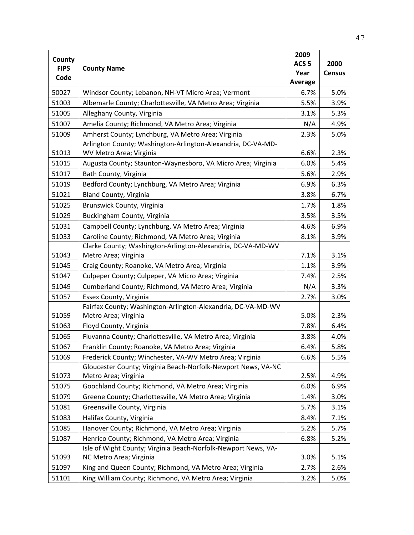| County      |                                                                | 2009             |               |
|-------------|----------------------------------------------------------------|------------------|---------------|
| <b>FIPS</b> | <b>County Name</b>                                             | ACS <sub>5</sub> | 2000          |
| Code        |                                                                | Year             | <b>Census</b> |
|             |                                                                | Average          |               |
| 50027       | Windsor County; Lebanon, NH-VT Micro Area; Vermont             | 6.7%             | 5.0%          |
| 51003       | Albemarle County; Charlottesville, VA Metro Area; Virginia     | 5.5%             | 3.9%          |
| 51005       | Alleghany County, Virginia                                     | 3.1%             | 5.3%          |
| 51007       | Amelia County; Richmond, VA Metro Area; Virginia               | N/A              | 4.9%          |
| 51009       | Amherst County; Lynchburg, VA Metro Area; Virginia             | 2.3%             | 5.0%          |
|             | Arlington County; Washington-Arlington-Alexandria, DC-VA-MD-   |                  |               |
| 51013       | WV Metro Area; Virginia                                        | 6.6%             | 2.3%          |
| 51015       | Augusta County; Staunton-Waynesboro, VA Micro Area; Virginia   | 6.0%             | 5.4%          |
| 51017       | Bath County, Virginia                                          | 5.6%             | 2.9%          |
| 51019       | Bedford County; Lynchburg, VA Metro Area; Virginia             | 6.9%             | 6.3%          |
| 51021       | <b>Bland County, Virginia</b>                                  | 3.8%             | 6.7%          |
| 51025       | Brunswick County, Virginia                                     | 1.7%             | 1.8%          |
| 51029       | Buckingham County, Virginia                                    | 3.5%             | 3.5%          |
| 51031       | Campbell County; Lynchburg, VA Metro Area; Virginia            | 4.6%             | 6.9%          |
| 51033       | Caroline County; Richmond, VA Metro Area; Virginia             | 8.1%             | 3.9%          |
|             | Clarke County; Washington-Arlington-Alexandria, DC-VA-MD-WV    |                  |               |
| 51043       | Metro Area; Virginia                                           | 7.1%             | 3.1%          |
| 51045       | Craig County; Roanoke, VA Metro Area; Virginia                 | 1.1%             | 3.9%          |
| 51047       | Culpeper County; Culpeper, VA Micro Area; Virginia             | 7.4%             | 2.5%          |
| 51049       | Cumberland County; Richmond, VA Metro Area; Virginia           | N/A              | 3.3%          |
| 51057       | Essex County, Virginia                                         | 2.7%             | 3.0%          |
|             | Fairfax County; Washington-Arlington-Alexandria, DC-VA-MD-WV   |                  |               |
| 51059       | Metro Area; Virginia                                           | 5.0%             | 2.3%          |
| 51063       | Floyd County, Virginia                                         | 7.8%             | 6.4%          |
| 51065       | Fluvanna County; Charlottesville, VA Metro Area; Virginia      | 3.8%             | 4.0%          |
| 51067       | Franklin County; Roanoke, VA Metro Area; Virginia              | 6.4%             | 5.8%          |
| 51069       | Frederick County; Winchester, VA-WV Metro Area; Virginia       | 6.6%             | 5.5%          |
|             | Gloucester County; Virginia Beach-Norfolk-Newport News, VA-NC  |                  |               |
| 51073       | Metro Area; Virginia                                           | 2.5%             | 4.9%          |
| 51075       | Goochland County; Richmond, VA Metro Area; Virginia            | 6.0%             | 6.9%          |
| 51079       | Greene County; Charlottesville, VA Metro Area; Virginia        | 1.4%             | 3.0%          |
| 51081       | Greensville County, Virginia                                   | 5.7%             | 3.1%          |
| 51083       | Halifax County, Virginia                                       | 8.4%             | 7.1%          |
| 51085       | Hanover County; Richmond, VA Metro Area; Virginia              | 5.2%             | 5.7%          |
| 51087       | Henrico County; Richmond, VA Metro Area; Virginia              | 6.8%             | 5.2%          |
|             | Isle of Wight County; Virginia Beach-Norfolk-Newport News, VA- |                  |               |
| 51093       | NC Metro Area; Virginia                                        | 3.0%             | 5.1%          |
| 51097       | King and Queen County; Richmond, VA Metro Area; Virginia       | 2.7%             | 2.6%          |
| 51101       | King William County; Richmond, VA Metro Area; Virginia         | 3.2%             | 5.0%          |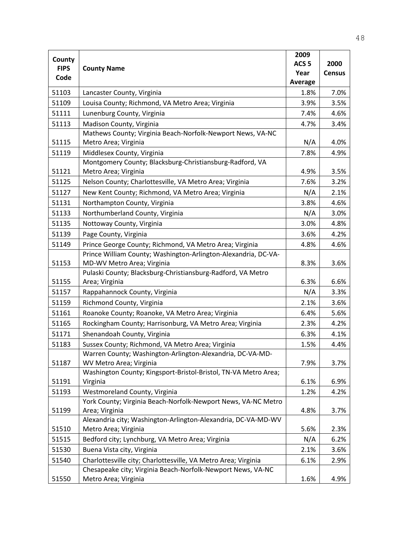| ACS <sub>5</sub><br>2000<br><b>FIPS</b><br><b>County Name</b><br>Year<br><b>Census</b><br>Code<br>Average<br>51103<br>1.8%<br>7.0%<br>Lancaster County, Virginia<br>Louisa County; Richmond, VA Metro Area; Virginia<br>51109<br>3.5%<br>3.9%<br>51111<br>Lunenburg County, Virginia<br>7.4%<br>4.6%<br>51113<br>Madison County, Virginia<br>4.7%<br>3.4%<br>Mathews County; Virginia Beach-Norfolk-Newport News, VA-NC<br>51115<br>Metro Area; Virginia<br>N/A<br>4.0%<br>Middlesex County, Virginia<br>51119<br>7.8%<br>4.9%<br>Montgomery County; Blacksburg-Christiansburg-Radford, VA<br>Metro Area; Virginia<br>3.5%<br>51121<br>4.9%<br>51125<br>Nelson County; Charlottesville, VA Metro Area; Virginia<br>7.6%<br>3.2%<br>New Kent County; Richmond, VA Metro Area; Virginia<br>51127<br>N/A<br>2.1%<br>51131<br>Northampton County, Virginia<br>3.8%<br>4.6%<br>51133<br>Northumberland County, Virginia<br>3.0%<br>N/A<br>Nottoway County, Virginia<br>4.8%<br>51135<br>3.0%<br>Page County, Virginia<br>3.6%<br>4.2%<br>51139<br>Prince George County; Richmond, VA Metro Area; Virginia<br>51149<br>4.8%<br>4.6%<br>Prince William County; Washington-Arlington-Alexandria, DC-VA-<br>MD-WV Metro Area; Virginia<br>51153<br>8.3%<br>3.6%<br>Pulaski County; Blacksburg-Christiansburg-Radford, VA Metro<br>51155<br>Area; Virginia<br>6.3%<br>6.6%<br>N/A<br>51157<br>Rappahannock County, Virginia<br>3.3%<br>Richmond County, Virginia<br>51159<br>2.1%<br>3.6%<br>Roanoke County; Roanoke, VA Metro Area; Virginia<br>51161<br>6.4%<br>5.6%<br>51165<br>Rockingham County; Harrisonburg, VA Metro Area; Virginia<br>2.3%<br>4.2%<br>51171<br>Shenandoah County, Virginia<br>6.3%<br>4.1%<br>Sussex County; Richmond, VA Metro Area; Virginia<br>51183<br>1.5%<br>4.4%<br>Warren County; Washington-Arlington-Alexandria, DC-VA-MD-<br>51187<br>WV Metro Area; Virginia<br>7.9%<br>3.7%<br>Washington County; Kingsport-Bristol-Bristol, TN-VA Metro Area;<br>51191<br>Virginia<br>6.1%<br>6.9%<br>51193<br>Westmoreland County, Virginia<br>1.2%<br>4.2%<br>York County; Virginia Beach-Norfolk-Newport News, VA-NC Metro<br>51199<br>Area; Virginia<br>4.8%<br>3.7%<br>Alexandria city; Washington-Arlington-Alexandria, DC-VA-MD-WV<br>51510<br>Metro Area; Virginia<br>5.6%<br>2.3%<br>Bedford city; Lynchburg, VA Metro Area; Virginia<br>51515<br>N/A<br>6.2%<br>51530<br>Buena Vista city, Virginia<br>2.1%<br>3.6%<br>51540<br>Charlottesville city; Charlottesville, VA Metro Area; Virginia<br>6.1%<br>2.9%<br>Chesapeake city; Virginia Beach-Norfolk-Newport News, VA-NC | County |                      | 2009 |      |
|------------------------------------------------------------------------------------------------------------------------------------------------------------------------------------------------------------------------------------------------------------------------------------------------------------------------------------------------------------------------------------------------------------------------------------------------------------------------------------------------------------------------------------------------------------------------------------------------------------------------------------------------------------------------------------------------------------------------------------------------------------------------------------------------------------------------------------------------------------------------------------------------------------------------------------------------------------------------------------------------------------------------------------------------------------------------------------------------------------------------------------------------------------------------------------------------------------------------------------------------------------------------------------------------------------------------------------------------------------------------------------------------------------------------------------------------------------------------------------------------------------------------------------------------------------------------------------------------------------------------------------------------------------------------------------------------------------------------------------------------------------------------------------------------------------------------------------------------------------------------------------------------------------------------------------------------------------------------------------------------------------------------------------------------------------------------------------------------------------------------------------------------------------------------------------------------------------------------------------------------------------------------------------------------------------------------------------------------------------------------------------------------------------------------------------------------------------------------------------------------------------------------------------------------------------------------------------------------------|--------|----------------------|------|------|
|                                                                                                                                                                                                                                                                                                                                                                                                                                                                                                                                                                                                                                                                                                                                                                                                                                                                                                                                                                                                                                                                                                                                                                                                                                                                                                                                                                                                                                                                                                                                                                                                                                                                                                                                                                                                                                                                                                                                                                                                                                                                                                                                                                                                                                                                                                                                                                                                                                                                                                                                                                                                      |        |                      |      |      |
|                                                                                                                                                                                                                                                                                                                                                                                                                                                                                                                                                                                                                                                                                                                                                                                                                                                                                                                                                                                                                                                                                                                                                                                                                                                                                                                                                                                                                                                                                                                                                                                                                                                                                                                                                                                                                                                                                                                                                                                                                                                                                                                                                                                                                                                                                                                                                                                                                                                                                                                                                                                                      |        |                      |      |      |
|                                                                                                                                                                                                                                                                                                                                                                                                                                                                                                                                                                                                                                                                                                                                                                                                                                                                                                                                                                                                                                                                                                                                                                                                                                                                                                                                                                                                                                                                                                                                                                                                                                                                                                                                                                                                                                                                                                                                                                                                                                                                                                                                                                                                                                                                                                                                                                                                                                                                                                                                                                                                      |        |                      |      |      |
|                                                                                                                                                                                                                                                                                                                                                                                                                                                                                                                                                                                                                                                                                                                                                                                                                                                                                                                                                                                                                                                                                                                                                                                                                                                                                                                                                                                                                                                                                                                                                                                                                                                                                                                                                                                                                                                                                                                                                                                                                                                                                                                                                                                                                                                                                                                                                                                                                                                                                                                                                                                                      |        |                      |      |      |
|                                                                                                                                                                                                                                                                                                                                                                                                                                                                                                                                                                                                                                                                                                                                                                                                                                                                                                                                                                                                                                                                                                                                                                                                                                                                                                                                                                                                                                                                                                                                                                                                                                                                                                                                                                                                                                                                                                                                                                                                                                                                                                                                                                                                                                                                                                                                                                                                                                                                                                                                                                                                      |        |                      |      |      |
|                                                                                                                                                                                                                                                                                                                                                                                                                                                                                                                                                                                                                                                                                                                                                                                                                                                                                                                                                                                                                                                                                                                                                                                                                                                                                                                                                                                                                                                                                                                                                                                                                                                                                                                                                                                                                                                                                                                                                                                                                                                                                                                                                                                                                                                                                                                                                                                                                                                                                                                                                                                                      |        |                      |      |      |
|                                                                                                                                                                                                                                                                                                                                                                                                                                                                                                                                                                                                                                                                                                                                                                                                                                                                                                                                                                                                                                                                                                                                                                                                                                                                                                                                                                                                                                                                                                                                                                                                                                                                                                                                                                                                                                                                                                                                                                                                                                                                                                                                                                                                                                                                                                                                                                                                                                                                                                                                                                                                      |        |                      |      |      |
|                                                                                                                                                                                                                                                                                                                                                                                                                                                                                                                                                                                                                                                                                                                                                                                                                                                                                                                                                                                                                                                                                                                                                                                                                                                                                                                                                                                                                                                                                                                                                                                                                                                                                                                                                                                                                                                                                                                                                                                                                                                                                                                                                                                                                                                                                                                                                                                                                                                                                                                                                                                                      |        |                      |      |      |
|                                                                                                                                                                                                                                                                                                                                                                                                                                                                                                                                                                                                                                                                                                                                                                                                                                                                                                                                                                                                                                                                                                                                                                                                                                                                                                                                                                                                                                                                                                                                                                                                                                                                                                                                                                                                                                                                                                                                                                                                                                                                                                                                                                                                                                                                                                                                                                                                                                                                                                                                                                                                      |        |                      |      |      |
|                                                                                                                                                                                                                                                                                                                                                                                                                                                                                                                                                                                                                                                                                                                                                                                                                                                                                                                                                                                                                                                                                                                                                                                                                                                                                                                                                                                                                                                                                                                                                                                                                                                                                                                                                                                                                                                                                                                                                                                                                                                                                                                                                                                                                                                                                                                                                                                                                                                                                                                                                                                                      |        |                      |      |      |
|                                                                                                                                                                                                                                                                                                                                                                                                                                                                                                                                                                                                                                                                                                                                                                                                                                                                                                                                                                                                                                                                                                                                                                                                                                                                                                                                                                                                                                                                                                                                                                                                                                                                                                                                                                                                                                                                                                                                                                                                                                                                                                                                                                                                                                                                                                                                                                                                                                                                                                                                                                                                      |        |                      |      |      |
|                                                                                                                                                                                                                                                                                                                                                                                                                                                                                                                                                                                                                                                                                                                                                                                                                                                                                                                                                                                                                                                                                                                                                                                                                                                                                                                                                                                                                                                                                                                                                                                                                                                                                                                                                                                                                                                                                                                                                                                                                                                                                                                                                                                                                                                                                                                                                                                                                                                                                                                                                                                                      |        |                      |      |      |
|                                                                                                                                                                                                                                                                                                                                                                                                                                                                                                                                                                                                                                                                                                                                                                                                                                                                                                                                                                                                                                                                                                                                                                                                                                                                                                                                                                                                                                                                                                                                                                                                                                                                                                                                                                                                                                                                                                                                                                                                                                                                                                                                                                                                                                                                                                                                                                                                                                                                                                                                                                                                      |        |                      |      |      |
|                                                                                                                                                                                                                                                                                                                                                                                                                                                                                                                                                                                                                                                                                                                                                                                                                                                                                                                                                                                                                                                                                                                                                                                                                                                                                                                                                                                                                                                                                                                                                                                                                                                                                                                                                                                                                                                                                                                                                                                                                                                                                                                                                                                                                                                                                                                                                                                                                                                                                                                                                                                                      |        |                      |      |      |
|                                                                                                                                                                                                                                                                                                                                                                                                                                                                                                                                                                                                                                                                                                                                                                                                                                                                                                                                                                                                                                                                                                                                                                                                                                                                                                                                                                                                                                                                                                                                                                                                                                                                                                                                                                                                                                                                                                                                                                                                                                                                                                                                                                                                                                                                                                                                                                                                                                                                                                                                                                                                      |        |                      |      |      |
|                                                                                                                                                                                                                                                                                                                                                                                                                                                                                                                                                                                                                                                                                                                                                                                                                                                                                                                                                                                                                                                                                                                                                                                                                                                                                                                                                                                                                                                                                                                                                                                                                                                                                                                                                                                                                                                                                                                                                                                                                                                                                                                                                                                                                                                                                                                                                                                                                                                                                                                                                                                                      |        |                      |      |      |
|                                                                                                                                                                                                                                                                                                                                                                                                                                                                                                                                                                                                                                                                                                                                                                                                                                                                                                                                                                                                                                                                                                                                                                                                                                                                                                                                                                                                                                                                                                                                                                                                                                                                                                                                                                                                                                                                                                                                                                                                                                                                                                                                                                                                                                                                                                                                                                                                                                                                                                                                                                                                      |        |                      |      |      |
|                                                                                                                                                                                                                                                                                                                                                                                                                                                                                                                                                                                                                                                                                                                                                                                                                                                                                                                                                                                                                                                                                                                                                                                                                                                                                                                                                                                                                                                                                                                                                                                                                                                                                                                                                                                                                                                                                                                                                                                                                                                                                                                                                                                                                                                                                                                                                                                                                                                                                                                                                                                                      |        |                      |      |      |
|                                                                                                                                                                                                                                                                                                                                                                                                                                                                                                                                                                                                                                                                                                                                                                                                                                                                                                                                                                                                                                                                                                                                                                                                                                                                                                                                                                                                                                                                                                                                                                                                                                                                                                                                                                                                                                                                                                                                                                                                                                                                                                                                                                                                                                                                                                                                                                                                                                                                                                                                                                                                      |        |                      |      |      |
|                                                                                                                                                                                                                                                                                                                                                                                                                                                                                                                                                                                                                                                                                                                                                                                                                                                                                                                                                                                                                                                                                                                                                                                                                                                                                                                                                                                                                                                                                                                                                                                                                                                                                                                                                                                                                                                                                                                                                                                                                                                                                                                                                                                                                                                                                                                                                                                                                                                                                                                                                                                                      |        |                      |      |      |
|                                                                                                                                                                                                                                                                                                                                                                                                                                                                                                                                                                                                                                                                                                                                                                                                                                                                                                                                                                                                                                                                                                                                                                                                                                                                                                                                                                                                                                                                                                                                                                                                                                                                                                                                                                                                                                                                                                                                                                                                                                                                                                                                                                                                                                                                                                                                                                                                                                                                                                                                                                                                      |        |                      |      |      |
|                                                                                                                                                                                                                                                                                                                                                                                                                                                                                                                                                                                                                                                                                                                                                                                                                                                                                                                                                                                                                                                                                                                                                                                                                                                                                                                                                                                                                                                                                                                                                                                                                                                                                                                                                                                                                                                                                                                                                                                                                                                                                                                                                                                                                                                                                                                                                                                                                                                                                                                                                                                                      |        |                      |      |      |
|                                                                                                                                                                                                                                                                                                                                                                                                                                                                                                                                                                                                                                                                                                                                                                                                                                                                                                                                                                                                                                                                                                                                                                                                                                                                                                                                                                                                                                                                                                                                                                                                                                                                                                                                                                                                                                                                                                                                                                                                                                                                                                                                                                                                                                                                                                                                                                                                                                                                                                                                                                                                      |        |                      |      |      |
|                                                                                                                                                                                                                                                                                                                                                                                                                                                                                                                                                                                                                                                                                                                                                                                                                                                                                                                                                                                                                                                                                                                                                                                                                                                                                                                                                                                                                                                                                                                                                                                                                                                                                                                                                                                                                                                                                                                                                                                                                                                                                                                                                                                                                                                                                                                                                                                                                                                                                                                                                                                                      |        |                      |      |      |
|                                                                                                                                                                                                                                                                                                                                                                                                                                                                                                                                                                                                                                                                                                                                                                                                                                                                                                                                                                                                                                                                                                                                                                                                                                                                                                                                                                                                                                                                                                                                                                                                                                                                                                                                                                                                                                                                                                                                                                                                                                                                                                                                                                                                                                                                                                                                                                                                                                                                                                                                                                                                      |        |                      |      |      |
|                                                                                                                                                                                                                                                                                                                                                                                                                                                                                                                                                                                                                                                                                                                                                                                                                                                                                                                                                                                                                                                                                                                                                                                                                                                                                                                                                                                                                                                                                                                                                                                                                                                                                                                                                                                                                                                                                                                                                                                                                                                                                                                                                                                                                                                                                                                                                                                                                                                                                                                                                                                                      |        |                      |      |      |
|                                                                                                                                                                                                                                                                                                                                                                                                                                                                                                                                                                                                                                                                                                                                                                                                                                                                                                                                                                                                                                                                                                                                                                                                                                                                                                                                                                                                                                                                                                                                                                                                                                                                                                                                                                                                                                                                                                                                                                                                                                                                                                                                                                                                                                                                                                                                                                                                                                                                                                                                                                                                      |        |                      |      |      |
|                                                                                                                                                                                                                                                                                                                                                                                                                                                                                                                                                                                                                                                                                                                                                                                                                                                                                                                                                                                                                                                                                                                                                                                                                                                                                                                                                                                                                                                                                                                                                                                                                                                                                                                                                                                                                                                                                                                                                                                                                                                                                                                                                                                                                                                                                                                                                                                                                                                                                                                                                                                                      |        |                      |      |      |
|                                                                                                                                                                                                                                                                                                                                                                                                                                                                                                                                                                                                                                                                                                                                                                                                                                                                                                                                                                                                                                                                                                                                                                                                                                                                                                                                                                                                                                                                                                                                                                                                                                                                                                                                                                                                                                                                                                                                                                                                                                                                                                                                                                                                                                                                                                                                                                                                                                                                                                                                                                                                      |        |                      |      |      |
|                                                                                                                                                                                                                                                                                                                                                                                                                                                                                                                                                                                                                                                                                                                                                                                                                                                                                                                                                                                                                                                                                                                                                                                                                                                                                                                                                                                                                                                                                                                                                                                                                                                                                                                                                                                                                                                                                                                                                                                                                                                                                                                                                                                                                                                                                                                                                                                                                                                                                                                                                                                                      |        |                      |      |      |
|                                                                                                                                                                                                                                                                                                                                                                                                                                                                                                                                                                                                                                                                                                                                                                                                                                                                                                                                                                                                                                                                                                                                                                                                                                                                                                                                                                                                                                                                                                                                                                                                                                                                                                                                                                                                                                                                                                                                                                                                                                                                                                                                                                                                                                                                                                                                                                                                                                                                                                                                                                                                      |        |                      |      |      |
|                                                                                                                                                                                                                                                                                                                                                                                                                                                                                                                                                                                                                                                                                                                                                                                                                                                                                                                                                                                                                                                                                                                                                                                                                                                                                                                                                                                                                                                                                                                                                                                                                                                                                                                                                                                                                                                                                                                                                                                                                                                                                                                                                                                                                                                                                                                                                                                                                                                                                                                                                                                                      |        |                      |      |      |
|                                                                                                                                                                                                                                                                                                                                                                                                                                                                                                                                                                                                                                                                                                                                                                                                                                                                                                                                                                                                                                                                                                                                                                                                                                                                                                                                                                                                                                                                                                                                                                                                                                                                                                                                                                                                                                                                                                                                                                                                                                                                                                                                                                                                                                                                                                                                                                                                                                                                                                                                                                                                      |        |                      |      |      |
|                                                                                                                                                                                                                                                                                                                                                                                                                                                                                                                                                                                                                                                                                                                                                                                                                                                                                                                                                                                                                                                                                                                                                                                                                                                                                                                                                                                                                                                                                                                                                                                                                                                                                                                                                                                                                                                                                                                                                                                                                                                                                                                                                                                                                                                                                                                                                                                                                                                                                                                                                                                                      |        |                      |      |      |
|                                                                                                                                                                                                                                                                                                                                                                                                                                                                                                                                                                                                                                                                                                                                                                                                                                                                                                                                                                                                                                                                                                                                                                                                                                                                                                                                                                                                                                                                                                                                                                                                                                                                                                                                                                                                                                                                                                                                                                                                                                                                                                                                                                                                                                                                                                                                                                                                                                                                                                                                                                                                      |        |                      |      |      |
|                                                                                                                                                                                                                                                                                                                                                                                                                                                                                                                                                                                                                                                                                                                                                                                                                                                                                                                                                                                                                                                                                                                                                                                                                                                                                                                                                                                                                                                                                                                                                                                                                                                                                                                                                                                                                                                                                                                                                                                                                                                                                                                                                                                                                                                                                                                                                                                                                                                                                                                                                                                                      |        |                      |      |      |
|                                                                                                                                                                                                                                                                                                                                                                                                                                                                                                                                                                                                                                                                                                                                                                                                                                                                                                                                                                                                                                                                                                                                                                                                                                                                                                                                                                                                                                                                                                                                                                                                                                                                                                                                                                                                                                                                                                                                                                                                                                                                                                                                                                                                                                                                                                                                                                                                                                                                                                                                                                                                      |        |                      |      |      |
|                                                                                                                                                                                                                                                                                                                                                                                                                                                                                                                                                                                                                                                                                                                                                                                                                                                                                                                                                                                                                                                                                                                                                                                                                                                                                                                                                                                                                                                                                                                                                                                                                                                                                                                                                                                                                                                                                                                                                                                                                                                                                                                                                                                                                                                                                                                                                                                                                                                                                                                                                                                                      |        |                      |      |      |
|                                                                                                                                                                                                                                                                                                                                                                                                                                                                                                                                                                                                                                                                                                                                                                                                                                                                                                                                                                                                                                                                                                                                                                                                                                                                                                                                                                                                                                                                                                                                                                                                                                                                                                                                                                                                                                                                                                                                                                                                                                                                                                                                                                                                                                                                                                                                                                                                                                                                                                                                                                                                      |        |                      |      |      |
|                                                                                                                                                                                                                                                                                                                                                                                                                                                                                                                                                                                                                                                                                                                                                                                                                                                                                                                                                                                                                                                                                                                                                                                                                                                                                                                                                                                                                                                                                                                                                                                                                                                                                                                                                                                                                                                                                                                                                                                                                                                                                                                                                                                                                                                                                                                                                                                                                                                                                                                                                                                                      |        |                      |      |      |
|                                                                                                                                                                                                                                                                                                                                                                                                                                                                                                                                                                                                                                                                                                                                                                                                                                                                                                                                                                                                                                                                                                                                                                                                                                                                                                                                                                                                                                                                                                                                                                                                                                                                                                                                                                                                                                                                                                                                                                                                                                                                                                                                                                                                                                                                                                                                                                                                                                                                                                                                                                                                      |        |                      |      |      |
|                                                                                                                                                                                                                                                                                                                                                                                                                                                                                                                                                                                                                                                                                                                                                                                                                                                                                                                                                                                                                                                                                                                                                                                                                                                                                                                                                                                                                                                                                                                                                                                                                                                                                                                                                                                                                                                                                                                                                                                                                                                                                                                                                                                                                                                                                                                                                                                                                                                                                                                                                                                                      | 51550  | Metro Area; Virginia | 1.6% | 4.9% |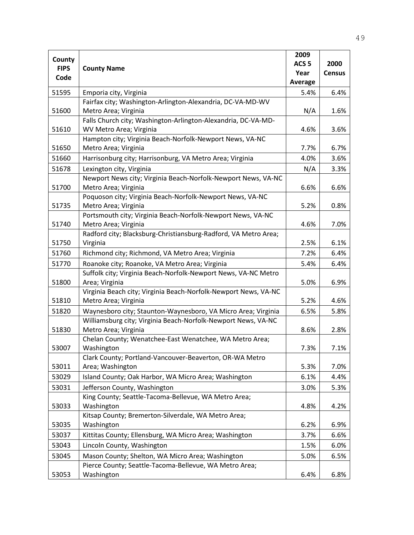|                       |                                                                 | 2009             |               |
|-----------------------|-----------------------------------------------------------------|------------------|---------------|
| County<br><b>FIPS</b> |                                                                 | ACS <sub>5</sub> | 2000          |
| Code                  | <b>County Name</b>                                              | Year             | <b>Census</b> |
|                       |                                                                 | Average          |               |
| 51595                 | Emporia city, Virginia                                          | 5.4%             | 6.4%          |
|                       | Fairfax city; Washington-Arlington-Alexandria, DC-VA-MD-WV      |                  |               |
| 51600                 | Metro Area; Virginia                                            | N/A              | 1.6%          |
|                       | Falls Church city; Washington-Arlington-Alexandria, DC-VA-MD-   |                  |               |
| 51610                 | WV Metro Area; Virginia                                         | 4.6%             | 3.6%          |
|                       | Hampton city; Virginia Beach-Norfolk-Newport News, VA-NC        |                  |               |
| 51650                 | Metro Area; Virginia                                            | 7.7%             | 6.7%          |
| 51660                 | Harrisonburg city; Harrisonburg, VA Metro Area; Virginia        | 4.0%             | 3.6%          |
| 51678                 | Lexington city, Virginia                                        | N/A              | 3.3%          |
|                       | Newport News city; Virginia Beach-Norfolk-Newport News, VA-NC   |                  |               |
| 51700                 | Metro Area; Virginia                                            | 6.6%             | 6.6%          |
|                       | Poquoson city; Virginia Beach-Norfolk-Newport News, VA-NC       |                  |               |
| 51735                 | Metro Area; Virginia                                            | 5.2%             | 0.8%          |
|                       | Portsmouth city; Virginia Beach-Norfolk-Newport News, VA-NC     |                  |               |
| 51740                 | Metro Area; Virginia                                            | 4.6%             | 7.0%          |
|                       | Radford city; Blacksburg-Christiansburg-Radford, VA Metro Area; |                  |               |
| 51750                 | Virginia                                                        | 2.5%             | 6.1%          |
| 51760                 | Richmond city; Richmond, VA Metro Area; Virginia                | 7.2%             | 6.4%          |
| 51770                 | Roanoke city; Roanoke, VA Metro Area; Virginia                  | 5.4%             | 6.4%          |
|                       | Suffolk city; Virginia Beach-Norfolk-Newport News, VA-NC Metro  |                  |               |
| 51800                 | Area; Virginia                                                  | 5.0%             | 6.9%          |
|                       | Virginia Beach city; Virginia Beach-Norfolk-Newport News, VA-NC |                  |               |
| 51810                 | Metro Area; Virginia                                            | 5.2%             | 4.6%          |
| 51820                 | Waynesboro city; Staunton-Waynesboro, VA Micro Area; Virginia   | 6.5%             | 5.8%          |
|                       | Williamsburg city; Virginia Beach-Norfolk-Newport News, VA-NC   |                  |               |
| 51830                 | Metro Area; Virginia                                            | 8.6%             | 2.8%          |
|                       | Chelan County; Wenatchee-East Wenatchee, WA Metro Area;         |                  |               |
| 53007                 | Washington                                                      | 7.3%             | 7.1%          |
|                       | Clark County; Portland-Vancouver-Beaverton, OR-WA Metro         |                  |               |
| 53011                 | Area; Washington                                                | 5.3%             | 7.0%          |
| 53029                 | Island County; Oak Harbor, WA Micro Area; Washington            | 6.1%             | 4.4%          |
| 53031                 | Jefferson County, Washington                                    | 3.0%             | 5.3%          |
|                       | King County; Seattle-Tacoma-Bellevue, WA Metro Area;            |                  |               |
| 53033                 | Washington                                                      | 4.8%             | 4.2%          |
|                       | Kitsap County; Bremerton-Silverdale, WA Metro Area;             |                  |               |
| 53035                 | Washington                                                      | 6.2%             | 6.9%          |
| 53037                 | Kittitas County; Ellensburg, WA Micro Area; Washington          | 3.7%             | 6.6%          |
| 53043                 | Lincoln County, Washington                                      | 1.5%             | 6.0%          |
| 53045                 | Mason County; Shelton, WA Micro Area; Washington                | 5.0%             | 6.5%          |
|                       | Pierce County; Seattle-Tacoma-Bellevue, WA Metro Area;          |                  |               |
| 53053                 | Washington                                                      | 6.4%             | 6.8%          |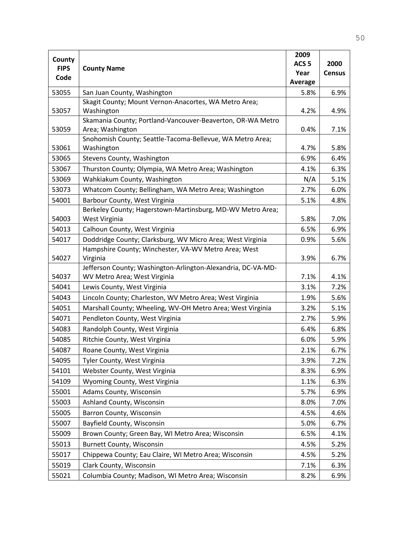|                       |                                                                                | 2009           |               |
|-----------------------|--------------------------------------------------------------------------------|----------------|---------------|
| County<br><b>FIPS</b> | <b>County Name</b>                                                             |                | 2000          |
| Code                  |                                                                                | Year           | <b>Census</b> |
|                       |                                                                                | <b>Average</b> |               |
| 53055                 | San Juan County, Washington                                                    | 5.8%           | 6.9%          |
|                       | Skagit County; Mount Vernon-Anacortes, WA Metro Area;                          |                |               |
| 53057                 | Washington                                                                     | 4.2%           | 4.9%          |
| 53059                 | Skamania County; Portland-Vancouver-Beaverton, OR-WA Metro<br>Area; Washington | 0.4%           | 7.1%          |
| 53061                 | Snohomish County; Seattle-Tacoma-Bellevue, WA Metro Area;<br>Washington        | 4.7%           | 5.8%          |
| 53065                 | Stevens County, Washington                                                     | 6.9%           | 6.4%          |
| 53067                 | Thurston County; Olympia, WA Metro Area; Washington                            | 4.1%           | 6.3%          |
| 53069                 | Wahkiakum County, Washington                                                   | N/A            | 5.1%          |
| 53073                 | Whatcom County; Bellingham, WA Metro Area; Washington                          | 2.7%           | 6.0%          |
| 54001                 | Barbour County, West Virginia                                                  | 5.1%           | 4.8%          |
| 54003                 | Berkeley County; Hagerstown-Martinsburg, MD-WV Metro Area;<br>West Virginia    | 5.8%           | 7.0%          |
| 54013                 | Calhoun County, West Virginia                                                  | 6.5%           | 6.9%          |
| 54017                 | Doddridge County; Clarksburg, WV Micro Area; West Virginia                     | 0.9%           | 5.6%          |
| 54027                 | Hampshire County; Winchester, VA-WV Metro Area; West<br>Virginia               | 3.9%           | 6.7%          |
|                       | Jefferson County; Washington-Arlington-Alexandria, DC-VA-MD-                   |                |               |
| 54037                 | WV Metro Area; West Virginia                                                   | 7.1%           | 4.1%          |
| 54041                 | Lewis County, West Virginia                                                    | 3.1%           | 7.2%          |
| 54043                 | Lincoln County; Charleston, WV Metro Area; West Virginia                       | 1.9%           | 5.6%          |
| 54051                 | Marshall County; Wheeling, WV-OH Metro Area; West Virginia                     | 3.2%           | 5.1%          |
| 54071                 | Pendleton County, West Virginia                                                | 2.7%           | 5.9%          |
| 54083                 | Randolph County, West Virginia                                                 | 6.4%           | 6.8%          |
| 54085                 | Ritchie County, West Virginia                                                  | 6.0%           | 5.9%          |
| 54087                 | Roane County, West Virginia                                                    | 2.1%           | 6.7%          |
| 54095                 | Tyler County, West Virginia                                                    | 3.9%           | 7.2%          |
| 54101                 | Webster County, West Virginia                                                  | 8.3%           | 6.9%          |
| 54109                 | Wyoming County, West Virginia                                                  | 1.1%           | 6.3%          |
| 55001                 | Adams County, Wisconsin                                                        | 5.7%           | 6.9%          |
| 55003                 | Ashland County, Wisconsin                                                      | 8.0%           | 7.0%          |
| 55005                 | Barron County, Wisconsin                                                       | 4.5%           | 4.6%          |
| 55007                 | Bayfield County, Wisconsin                                                     | 5.0%           | 6.7%          |
| 55009                 | Brown County; Green Bay, WI Metro Area; Wisconsin                              | 6.5%           | 4.1%          |
| 55013                 | <b>Burnett County, Wisconsin</b>                                               | 4.5%           | 5.2%          |
| 55017                 | Chippewa County; Eau Claire, WI Metro Area; Wisconsin                          | 4.5%           | 5.2%          |
| 55019                 | Clark County, Wisconsin                                                        | 7.1%           | 6.3%          |
| 55021                 | Columbia County; Madison, WI Metro Area; Wisconsin                             | 8.2%           | 6.9%          |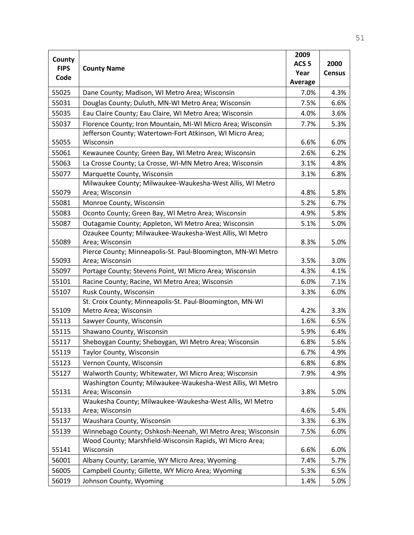| County      |                                                              | 2009             |               |
|-------------|--------------------------------------------------------------|------------------|---------------|
| <b>FIPS</b> | <b>County Name</b>                                           | ACS <sub>5</sub> | 2000          |
| Code        |                                                              | Year             | <b>Census</b> |
|             |                                                              | Average          |               |
| 55025       | Dane County; Madison, WI Metro Area; Wisconsin               | 7.0%             | 4.3%          |
| 55031       | Douglas County; Duluth, MN-WI Metro Area; Wisconsin          | 7.5%             | 6.6%          |
| 55035       | Eau Claire County; Eau Claire, WI Metro Area; Wisconsin      | 4.0%             | 3.6%          |
| 55037       | Florence County; Iron Mountain, MI-WI Micro Area; Wisconsin  | 7.7%             | 5.3%          |
|             | Jefferson County; Watertown-Fort Atkinson, WI Micro Area;    |                  |               |
| 55055       | Wisconsin                                                    | 6.6%             | 6.0%          |
| 55061       | Kewaunee County; Green Bay, WI Metro Area; Wisconsin         | 2.6%             | 6.2%          |
| 55063       | La Crosse County; La Crosse, WI-MN Metro Area; Wisconsin     | 3.1%             | 4.8%          |
| 55077       | Marquette County, Wisconsin                                  | 3.1%             | 6.8%          |
|             | Milwaukee County; Milwaukee-Waukesha-West Allis, WI Metro    |                  |               |
| 55079       | Area; Wisconsin                                              | 4.8%             | 5.8%          |
| 55081       | Monroe County, Wisconsin                                     | 5.2%             | 6.7%          |
| 55083       | Oconto County; Green Bay, WI Metro Area; Wisconsin           | 4.9%             | 5.8%          |
| 55087       | Outagamie County; Appleton, WI Metro Area; Wisconsin         | 5.1%             | 5.0%          |
|             | Ozaukee County; Milwaukee-Waukesha-West Allis, WI Metro      |                  |               |
| 55089       | Area; Wisconsin                                              | 8.3%             | 5.0%          |
|             | Pierce County; Minneapolis-St. Paul-Bloomington, MN-WI Metro |                  |               |
| 55093       | Area; Wisconsin                                              | 3.5%             | 3.0%          |
| 55097       | Portage County; Stevens Point, WI Micro Area; Wisconsin      | 4.3%             | 4.1%          |
| 55101       | Racine County; Racine, WI Metro Area; Wisconsin              | 6.0%             | 7.1%          |
| 55107       | Rusk County, Wisconsin                                       | 3.3%             | 6.0%          |
|             | St. Croix County; Minneapolis-St. Paul-Bloomington, MN-WI    |                  |               |
| 55109       | Metro Area; Wisconsin                                        | 4.2%             | 3.3%          |
| 55113       | Sawyer County, Wisconsin                                     | 1.6%             | 6.5%          |
| 55115       | Shawano County, Wisconsin                                    | 5.9%             | 6.4%          |
| 55117       | Sheboygan County; Sheboygan, WI Metro Area; Wisconsin        | 6.8%             | 5.6%          |
| 55119       | Taylor County, Wisconsin                                     | 6.7%             | 4.9%          |
| 55123       | Vernon County, Wisconsin                                     | 6.8%             | 6.8%          |
| 55127       | Walworth County; Whitewater, WI Micro Area; Wisconsin        | 7.9%             | 4.9%          |
|             | Washington County; Milwaukee-Waukesha-West Allis, WI Metro   |                  |               |
| 55131       | Area; Wisconsin                                              | 3.8%             | 5.0%          |
|             | Waukesha County; Milwaukee-Waukesha-West Allis, WI Metro     |                  |               |
| 55133       | Area; Wisconsin                                              | 4.6%             | 5.4%          |
| 55137       | Waushara County, Wisconsin                                   | 3.3%             | 6.3%          |
| 55139       | Winnebago County; Oshkosh-Neenah, WI Metro Area; Wisconsin   | 7.5%             | 6.0%          |
|             | Wood County; Marshfield-Wisconsin Rapids, WI Micro Area;     |                  |               |
| 55141       | Wisconsin                                                    | 6.6%             | 6.0%          |
| 56001       | Albany County; Laramie, WY Micro Area; Wyoming               | 7.4%             | 5.7%          |
| 56005       | Campbell County; Gillette, WY Micro Area; Wyoming            | 5.3%             | 6.5%          |
| 56019       | Johnson County, Wyoming                                      | 1.4%             | 5.0%          |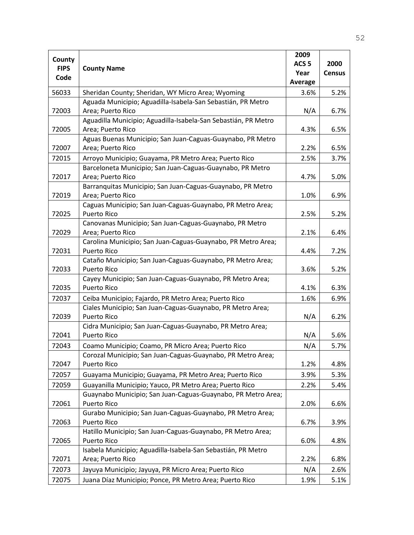|             |                                                                                  | 2009             |               |
|-------------|----------------------------------------------------------------------------------|------------------|---------------|
| County      |                                                                                  | ACS <sub>5</sub> | 2000          |
| <b>FIPS</b> | <b>County Name</b>                                                               | Year             | <b>Census</b> |
| Code        |                                                                                  | <b>Average</b>   |               |
| 56033       | Sheridan County; Sheridan, WY Micro Area; Wyoming                                | 3.6%             | 5.2%          |
|             | Aguada Municipio; Aguadilla-Isabela-San Sebastián, PR Metro                      |                  |               |
| 72003       | Area; Puerto Rico                                                                | N/A              | 6.7%          |
|             | Aguadilla Municipio; Aguadilla-Isabela-San Sebastián, PR Metro                   |                  |               |
| 72005       | Area; Puerto Rico                                                                | 4.3%             | 6.5%          |
|             | Aguas Buenas Municipio; San Juan-Caguas-Guaynabo, PR Metro                       |                  |               |
| 72007       | Area; Puerto Rico                                                                | 2.2%             | 6.5%          |
| 72015       | Arroyo Municipio; Guayama, PR Metro Area; Puerto Rico                            | 2.5%             | 3.7%          |
|             | Barceloneta Municipio; San Juan-Caguas-Guaynabo, PR Metro                        |                  |               |
| 72017       | Area; Puerto Rico                                                                | 4.7%             | 5.0%          |
|             | Barranquitas Municipio; San Juan-Caguas-Guaynabo, PR Metro                       |                  |               |
| 72019       | Area; Puerto Rico                                                                | 1.0%             | 6.9%          |
| 72025       | Caguas Municipio; San Juan-Caguas-Guaynabo, PR Metro Area;<br><b>Puerto Rico</b> | 2.5%             | 5.2%          |
|             | Canovanas Municipio; San Juan-Caguas-Guaynabo, PR Metro                          |                  |               |
| 72029       | Area; Puerto Rico                                                                | 2.1%             | 6.4%          |
|             | Carolina Municipio; San Juan-Caguas-Guaynabo, PR Metro Area;                     |                  |               |
| 72031       | Puerto Rico                                                                      | 4.4%             | 7.2%          |
|             | Cataño Municipio; San Juan-Caguas-Guaynabo, PR Metro Area;                       |                  |               |
| 72033       | <b>Puerto Rico</b>                                                               | 3.6%             | 5.2%          |
|             | Cayey Municipio; San Juan-Caguas-Guaynabo, PR Metro Area;                        |                  |               |
| 72035       | <b>Puerto Rico</b>                                                               | 4.1%             | 6.3%          |
| 72037       | Ceiba Municipio; Fajardo, PR Metro Area; Puerto Rico                             | 1.6%             | 6.9%          |
|             | Ciales Municipio; San Juan-Caguas-Guaynabo, PR Metro Area;                       |                  |               |
| 72039       | <b>Puerto Rico</b>                                                               | N/A              | 6.2%          |
|             | Cidra Municipio; San Juan-Caguas-Guaynabo, PR Metro Area;                        |                  |               |
| 72041       | <b>Puerto Rico</b>                                                               | N/A              | 5.6%          |
| 72043       | Coamo Municipio; Coamo, PR Micro Area; Puerto Rico                               | N/A              | 5.7%          |
|             | Corozal Municipio; San Juan-Caguas-Guaynabo, PR Metro Area;                      |                  |               |
| 72047       | <b>Puerto Rico</b>                                                               | 1.2%             | 4.8%          |
| 72057       | Guayama Municipio; Guayama, PR Metro Area; Puerto Rico                           | 3.9%             | 5.3%          |
| 72059       | Guayanilla Municipio; Yauco, PR Metro Area; Puerto Rico                          | 2.2%             | 5.4%          |
|             | Guaynabo Municipio; San Juan-Caguas-Guaynabo, PR Metro Area;                     |                  |               |
| 72061       | Puerto Rico                                                                      | 2.0%             | 6.6%          |
|             | Gurabo Municipio; San Juan-Caguas-Guaynabo, PR Metro Area;                       |                  |               |
| 72063       | Puerto Rico                                                                      | 6.7%             | 3.9%          |
|             | Hatillo Municipio; San Juan-Caguas-Guaynabo, PR Metro Area;                      |                  |               |
| 72065       | <b>Puerto Rico</b>                                                               | 6.0%             | 4.8%          |
|             | Isabela Municipio; Aguadilla-Isabela-San Sebastián, PR Metro                     |                  |               |
| 72071       | Area; Puerto Rico                                                                | 2.2%             | 6.8%          |
| 72073       | Jayuya Municipio; Jayuya, PR Micro Area; Puerto Rico                             | N/A              | 2.6%          |
| 72075       | Juana Díaz Municipio; Ponce, PR Metro Area; Puerto Rico                          | 1.9%             | 5.1%          |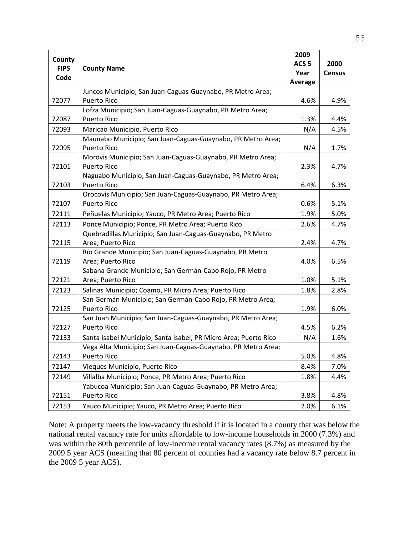| County<br><b>FIPS</b><br>Code | <b>County Name</b>                                               | 2009<br>ACS <sub>5</sub><br>Year<br><b>Average</b> | 2000<br><b>Census</b> |
|-------------------------------|------------------------------------------------------------------|----------------------------------------------------|-----------------------|
|                               | Juncos Municipio; San Juan-Caguas-Guaynabo, PR Metro Area;       |                                                    |                       |
| 72077                         | <b>Puerto Rico</b>                                               | 4.6%                                               | 4.9%                  |
|                               | Lofza Municipio; San Juan-Caguas-Guaynabo, PR Metro Area;        |                                                    |                       |
| 72087                         | <b>Puerto Rico</b>                                               | 1.3%                                               | 4.4%                  |
| 72093                         | Maricao Municipio, Puerto Rico                                   | N/A                                                | 4.5%                  |
|                               | Maunabo Municipio; San Juan-Caguas-Guaynabo, PR Metro Area;      |                                                    |                       |
| 72095                         | <b>Puerto Rico</b>                                               | N/A                                                | 1.7%                  |
|                               | Morovis Municipio; San Juan-Caguas-Guaynabo, PR Metro Area;      |                                                    |                       |
| 72101                         | <b>Puerto Rico</b>                                               | 2.3%                                               | 4.7%                  |
|                               | Naguabo Municipio; San Juan-Caguas-Guaynabo, PR Metro Area;      |                                                    |                       |
| 72103                         | <b>Puerto Rico</b>                                               | 6.4%                                               | 6.3%                  |
|                               | Orocovis Municipio; San Juan-Caguas-Guaynabo, PR Metro Area;     |                                                    |                       |
| 72107                         | <b>Puerto Rico</b>                                               | 0.6%                                               | 5.1%                  |
| 72111                         | Peñuelas Municipio; Yauco, PR Metro Area; Puerto Rico            | 1.9%                                               | 5.0%                  |
| 72113                         | Ponce Municipio; Ponce, PR Metro Area; Puerto Rico               | 2.6%                                               | 4.7%                  |
|                               | Quebradillas Municipio; San Juan-Caguas-Guaynabo, PR Metro       |                                                    |                       |
| 72115                         | Area; Puerto Rico                                                | 2.4%                                               | 4.7%                  |
|                               | Río Grande Municipio; San Juan-Caguas-Guaynabo, PR Metro         |                                                    |                       |
| 72119                         | Area; Puerto Rico                                                | 4.0%                                               | 6.5%                  |
|                               | Sabana Grande Municipio; San Germán-Cabo Rojo, PR Metro          |                                                    |                       |
| 72121                         | Area; Puerto Rico                                                | 1.0%                                               | 5.1%                  |
| 72123                         | Salinas Municipio; Coamo, PR Micro Area; Puerto Rico             | 1.8%                                               | 2.8%                  |
|                               | San Germán Municipio; San Germán-Cabo Rojo, PR Metro Area;       |                                                    |                       |
| 72125                         | <b>Puerto Rico</b>                                               | 1.9%                                               | 6.0%                  |
|                               | San Juan Municipio; San Juan-Caguas-Guaynabo, PR Metro Area;     |                                                    |                       |
| 72127                         | <b>Puerto Rico</b>                                               | 4.5%                                               | 6.2%                  |
| 72133                         | Santa Isabel Municipio; Santa Isabel, PR Micro Area; Puerto Rico | N/A                                                | 1.6%                  |
|                               | Vega Alta Municipio; San Juan-Caguas-Guaynabo, PR Metro Area;    |                                                    |                       |
| 72143                         | Puerto Rico                                                      | 5.0%                                               | 4.8%                  |
| 72147                         | Vieques Municipio, Puerto Rico                                   | 8.4%                                               | 7.0%                  |
| 72149                         | Villalba Municipio; Ponce, PR Metro Area; Puerto Rico            | 1.8%                                               | 4.4%                  |
|                               | Yabucoa Municipio; San Juan-Caguas-Guaynabo, PR Metro Area;      |                                                    |                       |
| 72151                         | Puerto Rico                                                      | 3.8%                                               | 4.8%                  |
| 72153                         | Yauco Municipio; Yauco, PR Metro Area; Puerto Rico               | 2.0%                                               | 6.1%                  |

Note: A property meets the low-vacancy threshold if it is located in a county that was below the national rental vacancy rate for units affordable to low-income households in 2000 (7.3%) and was within the 80th percentile of low-income rental vacancy rates (8.7%) as measured by the 2009 5 year ACS (meaning that 80 percent of counties had a vacancy rate below 8.7 percent in the 2009 5 year ACS).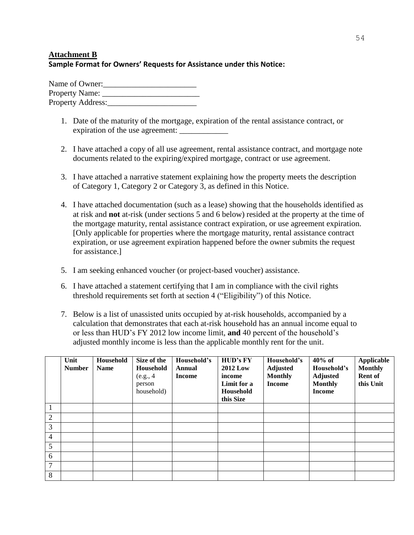# **Attachment B Sample Format for Owners' Requests for Assistance under this Notice:**

Name of Owner:\_\_\_\_\_\_\_\_\_\_\_\_\_\_\_\_\_\_\_\_\_\_\_ Property Name: \_\_\_\_\_\_\_\_\_\_\_\_\_\_\_\_\_\_\_\_\_\_\_\_ Property Address:

- 1. Date of the maturity of the mortgage, expiration of the rental assistance contract, or expiration of the use agreement:
- 2. I have attached a copy of all use agreement, rental assistance contract, and mortgage note documents related to the expiring/expired mortgage, contract or use agreement.
- 3. I have attached a narrative statement explaining how the property meets the description of Category 1, Category 2 or Category 3, as defined in this Notice.
- 4. I have attached documentation (such as a lease) showing that the households identified as at risk and **not** at-risk (under sections 5 and 6 below) resided at the property at the time of the mortgage maturity, rental assistance contract expiration, or use agreement expiration. [Only applicable for properties where the mortgage maturity, rental assistance contract expiration, or use agreement expiration happened before the owner submits the request for assistance.]
- 5. I am seeking enhanced voucher (or project-based voucher) assistance.
- 6. I have attached a statement certifying that I am in compliance with the civil rights threshold requirements set forth at section 4 ("Eligibility") of this Notice.
- 7. Below is a list of unassisted units occupied by at-risk households, accompanied by a calculation that demonstrates that each at-risk household has an annual income equal to or less than HUD's FY 2012 low income limit, **and** 40 percent of the household's adjusted monthly income is less than the applicable monthly rent for the unit.

|                | Unit<br><b>Number</b> | Household<br><b>Name</b> | Size of the<br>Household<br>(e.g., 4)<br>person<br>household) | Household's<br>Annual<br><b>Income</b> | <b>HUD's FY</b><br><b>2012 Low</b><br>income<br>Limit for a<br>Household<br>this Size | Household's<br><b>Adjusted</b><br><b>Monthly</b><br><b>Income</b> | $40\%$ of<br>Household's<br><b>Adjusted</b><br><b>Monthly</b><br><b>Income</b> | Applicable<br><b>Monthly</b><br><b>Rent of</b><br>this Unit |
|----------------|-----------------------|--------------------------|---------------------------------------------------------------|----------------------------------------|---------------------------------------------------------------------------------------|-------------------------------------------------------------------|--------------------------------------------------------------------------------|-------------------------------------------------------------|
| 1              |                       |                          |                                                               |                                        |                                                                                       |                                                                   |                                                                                |                                                             |
| $\overline{2}$ |                       |                          |                                                               |                                        |                                                                                       |                                                                   |                                                                                |                                                             |
| 3              |                       |                          |                                                               |                                        |                                                                                       |                                                                   |                                                                                |                                                             |
| $\overline{4}$ |                       |                          |                                                               |                                        |                                                                                       |                                                                   |                                                                                |                                                             |
| 5              |                       |                          |                                                               |                                        |                                                                                       |                                                                   |                                                                                |                                                             |
| 6              |                       |                          |                                                               |                                        |                                                                                       |                                                                   |                                                                                |                                                             |
| 7              |                       |                          |                                                               |                                        |                                                                                       |                                                                   |                                                                                |                                                             |
| 8              |                       |                          |                                                               |                                        |                                                                                       |                                                                   |                                                                                |                                                             |